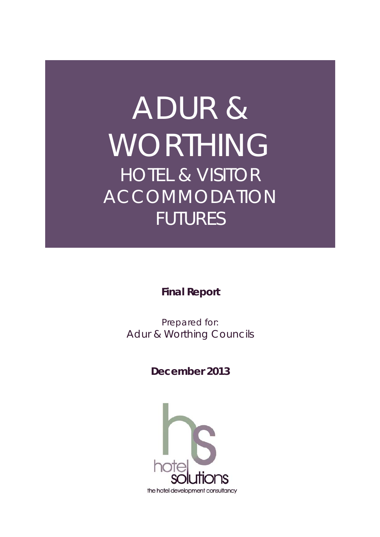# ADUR & WORTHING HOTEL & VISITOR ACCOMMODATION FUTURES

**Final Report** 

Prepared for: Adur & Worthing Councils

**December 2013** 

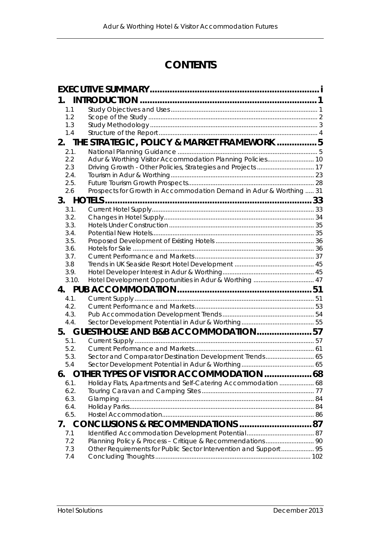## **CONTENTS**

| 1.                                            |                                                                     |  |  |  |  |  |  |
|-----------------------------------------------|---------------------------------------------------------------------|--|--|--|--|--|--|
| 1.1                                           |                                                                     |  |  |  |  |  |  |
| 1.2                                           |                                                                     |  |  |  |  |  |  |
| 1.3                                           |                                                                     |  |  |  |  |  |  |
| 1.4                                           |                                                                     |  |  |  |  |  |  |
| 2. THE STRATEGIC, POLICY & MARKET FRAMEWORK 5 |                                                                     |  |  |  |  |  |  |
| 2.1.                                          |                                                                     |  |  |  |  |  |  |
| 2.2                                           |                                                                     |  |  |  |  |  |  |
| 2.3                                           |                                                                     |  |  |  |  |  |  |
| 2.4.                                          |                                                                     |  |  |  |  |  |  |
| 2.5.                                          |                                                                     |  |  |  |  |  |  |
| 2.6                                           | Prospects for Growth in Accommodation Demand in Adur & Worthing  31 |  |  |  |  |  |  |
| 3.                                            |                                                                     |  |  |  |  |  |  |
| 3.1.                                          |                                                                     |  |  |  |  |  |  |
| 3.2.                                          |                                                                     |  |  |  |  |  |  |
| 3.3.                                          |                                                                     |  |  |  |  |  |  |
| 3.4.                                          |                                                                     |  |  |  |  |  |  |
| 3.5.                                          |                                                                     |  |  |  |  |  |  |
| 3.6.<br>3.7.                                  |                                                                     |  |  |  |  |  |  |
| 3.8                                           |                                                                     |  |  |  |  |  |  |
| 3.9.                                          |                                                                     |  |  |  |  |  |  |
| 3.10.                                         |                                                                     |  |  |  |  |  |  |
|                                               |                                                                     |  |  |  |  |  |  |
| 4.1.                                          |                                                                     |  |  |  |  |  |  |
| 4.2.                                          |                                                                     |  |  |  |  |  |  |
| 4.3.                                          |                                                                     |  |  |  |  |  |  |
| 4.4.                                          |                                                                     |  |  |  |  |  |  |
| 5.                                            | GUESTHOUSE AND B&B ACCOMMODATION57                                  |  |  |  |  |  |  |
| 5.1.                                          |                                                                     |  |  |  |  |  |  |
| 5.2.                                          |                                                                     |  |  |  |  |  |  |
| 5.3.                                          | Sector and Comparator Destination Development Trends 65             |  |  |  |  |  |  |
| 5.4                                           |                                                                     |  |  |  |  |  |  |
| 6.                                            | OTHER TYPES OF VISITOR ACCOMMODATION  68                            |  |  |  |  |  |  |
| 6.1.                                          | Holiday Flats, Apartments and Self-Catering Accommodation  68       |  |  |  |  |  |  |
| 6.2.                                          |                                                                     |  |  |  |  |  |  |
| 6.3.                                          |                                                                     |  |  |  |  |  |  |
| 6.4.                                          |                                                                     |  |  |  |  |  |  |
| 6.5.                                          |                                                                     |  |  |  |  |  |  |
| 7.                                            |                                                                     |  |  |  |  |  |  |
| 7.1                                           |                                                                     |  |  |  |  |  |  |
| 7.2                                           |                                                                     |  |  |  |  |  |  |
| 7.3                                           | Other Requirements for Public Sector Intervention and Support 95    |  |  |  |  |  |  |
| 7.4                                           |                                                                     |  |  |  |  |  |  |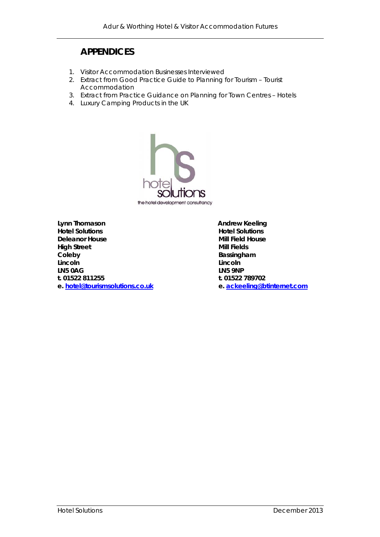## **APPENDICES**

- 1. Visitor Accommodation Businesses Interviewed
- 2. Extract from Good Practice Guide to Planning for Tourism Tourist Accommodation
- 3. Extract from Practice Guidance on Planning for Town Centres Hotels
- 4. Luxury Camping Products in the UK



Lynn Thomason **Andrew Keeling Hotel Solutions Hotel Solutions Deleanor House Community Community Community Community Community Community Community Community Community Community Community Community Community Community Community Community Community Community Community Community Commun High Street Mill Fields Coleby Bassingham Lincoln**<br> **Lincoln LN5 0AG LN5 9NP t. 01522 811255 t. 01522 789702 e. hotel@tourismsolutions.co.uk e. ackeeling@btinternet.com**

**Lincoln Lincoln**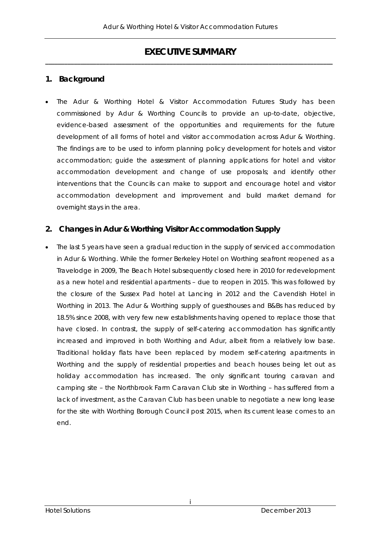## **EXECUTIVE SUMMARY** *\_\_\_\_\_\_\_\_\_\_\_\_\_\_\_\_\_\_\_\_\_\_\_\_\_\_\_\_\_\_\_\_\_\_\_\_\_\_\_\_\_\_\_\_\_\_\_\_\_\_\_\_\_\_\_\_\_\_\_\_\_\_\_\_\_\_\_\_\_\_\_\_\_\_\_\_\_\_\_\_\_\_\_\_\_\_\_\_\_\_*

## **1. Background**

 The Adur & Worthing Hotel & Visitor Accommodation Futures Study has been commissioned by Adur & Worthing Councils to provide an up-to-date, objective, evidence-based assessment of the opportunities and requirements for the future development of all forms of hotel and visitor accommodation across Adur & Worthing. The findings are to be used to inform planning policy development for hotels and visitor accommodation; guide the assessment of planning applications for hotel and visitor accommodation development and change of use proposals; and identify other interventions that the Councils can make to support and encourage hotel and visitor accommodation development and improvement and build market demand for overnight stays in the area.

## **2. Changes in Adur & Worthing Visitor Accommodation Supply**

• The last 5 years have seen a gradual reduction in the supply of serviced accommodation in Adur & Worthing. While the former Berkeley Hotel on Worthing seafront reopened as a Travelodge in 2009, The Beach Hotel subsequently closed here in 2010 for redevelopment as a new hotel and residential apartments – due to reopen in 2015. This was followed by the closure of the Sussex Pad hotel at Lancing in 2012 and the Cavendish Hotel in Worthing in 2013. The Adur & Worthing supply of guesthouses and B&Bs has reduced by 18.5% since 2008, with very few new establishments having opened to replace those that have closed. In contrast, the supply of self-catering accommodation has significantly increased and improved in both Worthing and Adur, albeit from a relatively low base. Traditional holiday flats have been replaced by modern self-catering apartments in Worthing and the supply of residential properties and beach houses being let out as holiday accommodation has increased. The only significant touring caravan and camping site – the Northbrook Farm Caravan Club site in Worthing – has suffered from a lack of investment, as the Caravan Club has been unable to negotiate a new long lease for the site with Worthing Borough Council post 2015, when its current lease comes to an end.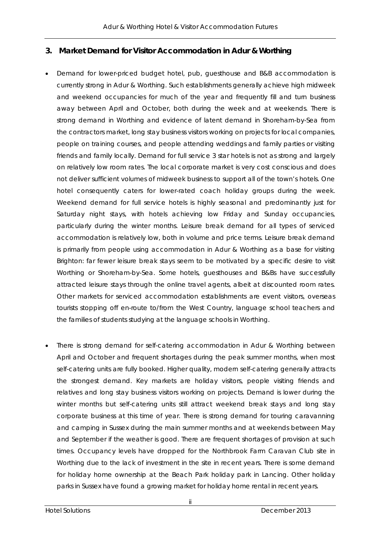## **3. Market Demand for Visitor Accommodation in Adur & Worthing**

- Demand for lower-priced budget hotel, pub, guesthouse and B&B accommodation is currently strong in Adur & Worthing. Such establishments generally achieve high midweek and weekend occupancies for much of the year and frequently fill and turn business away between April and October, both during the week and at weekends. There is strong demand in Worthing and evidence of latent demand in Shoreham-by-Sea from the contractors market, long stay business visitors working on projects for local companies, people on training courses, and people attending weddings and family parties or visiting friends and family locally. Demand for full service 3 star hotels is not as strong and largely on relatively low room rates. The local corporate market is very cost conscious and does not deliver sufficient volumes of midweek business to support all of the town's hotels. One hotel consequently caters for lower-rated coach holiday groups during the week. Weekend demand for full service hotels is highly seasonal and predominantly just for Saturday night stays, with hotels achieving low Friday and Sunday occupancies, particularly during the winter months. Leisure break demand for all types of serviced accommodation is relatively low, both in volume and price terms. Leisure break demand is primarily from people using accommodation in Adur & Worthing as a base for visiting Brighton: far fewer leisure break stays seem to be motivated by a specific desire to visit Worthing or Shoreham-by-Sea. Some hotels, guesthouses and B&Bs have successfully attracted leisure stays through the online travel agents, albeit at discounted room rates. Other markets for serviced accommodation establishments are event visitors, overseas tourists stopping off en-route to/from the West Country, language school teachers and the families of students studying at the language schools in Worthing.
- There is strong demand for self-catering accommodation in Adur & Worthing between April and October and frequent shortages during the peak summer months, when most self-catering units are fully booked. Higher quality, modern self-catering generally attracts the strongest demand. Key markets are holiday visitors, people visiting friends and relatives and long stay business visitors working on projects. Demand is lower during the winter months but self-catering units still attract weekend break stays and long stay corporate business at this time of year. There is strong demand for touring caravanning and camping in Sussex during the main summer months and at weekends between May and September if the weather is good. There are frequent shortages of provision at such times. Occupancy levels have dropped for the Northbrook Farm Caravan Club site in Worthing due to the lack of investment in the site in recent years. There is some demand for holiday home ownership at the Beach Park holiday park in Lancing. Other holiday parks in Sussex have found a growing market for holiday home rental in recent years.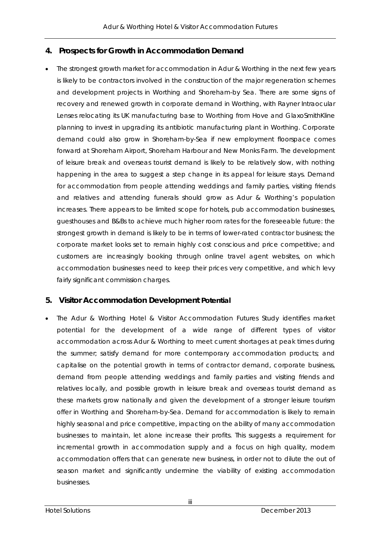## **4. Prospects for Growth in Accommodation Demand**

 The strongest growth market for accommodation in Adur & Worthing in the next few years is likely to be contractors involved in the construction of the major regeneration schemes and development projects in Worthing and Shoreham-by Sea. There are some signs of recovery and renewed growth in corporate demand in Worthing, with Rayner Intraocular Lenses relocating its UK manufacturing base to Worthing from Hove and GlaxoSmithKline planning to invest in upgrading its antibiotic manufacturing plant in Worthing. Corporate demand could also grow in Shoreham-by-Sea if new employment floorspace comes forward at Shoreham Airport, Shoreham Harbour and New Monks Farm. The development of leisure break and overseas tourist demand is likely to be relatively slow, with nothing happening in the area to suggest a step change in its appeal for leisure stays. Demand for accommodation from people attending weddings and family parties, visiting friends and relatives and attending funerals should grow as Adur & Worthing's population increases. There appears to be limited scope for hotels, pub accommodation businesses, guesthouses and B&Bs to achieve much higher room rates for the foreseeable future: the strongest growth in demand is likely to be in terms of lower-rated contractor business; the corporate market looks set to remain highly cost conscious and price competitive; and customers are increasingly booking through online travel agent websites, on which accommodation businesses need to keep their prices very competitive, and which levy fairly significant commission charges.

## **5. Visitor Accommodation Development Potential**

 The Adur & Worthing Hotel & Visitor Accommodation Futures Study identifies market potential for the development of a wide range of different types of visitor accommodation across Adur & Worthing to meet current shortages at peak times during the summer; satisfy demand for more contemporary accommodation products; and capitalise on the potential growth in terms of contractor demand, corporate business, demand from people attending weddings and family parties and visiting friends and relatives locally, and possible growth in leisure break and overseas tourist demand as these markets grow nationally and given the development of a stronger leisure tourism offer in Worthing and Shoreham-by-Sea. Demand for accommodation is likely to remain highly seasonal and price competitive, impacting on the ability of many accommodation businesses to maintain, let alone increase their profits. This suggests a requirement for incremental growth in accommodation supply and a focus on high quality, modern accommodation offers that can generate new business, in order not to dilute the out of season market and significantly undermine the viability of existing accommodation businesses.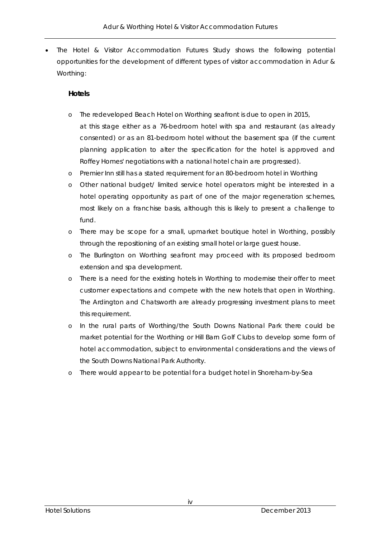The Hotel & Visitor Accommodation Futures Study shows the following potential opportunities for the development of different types of visitor accommodation in Adur & Worthing:

## **Hotels**

- o The redeveloped Beach Hotel on Worthing seafront is due to open in 2015, at this stage either as a 76-bedroom hotel with spa and restaurant (as already consented) or as an 81-bedroom hotel without the basement spa (if the current planning application to alter the specification for the hotel is approved and Roffey Homes' negotiations with a national hotel chain are progressed).
- o Premier Inn still has a stated requirement for an 80-bedroom hotel in Worthing
- o Other national budget/ limited service hotel operators might be interested in a hotel operating opportunity as part of one of the major regeneration schemes, most likely on a franchise basis, although this is likely to present a challenge to fund.
- o There may be scope for a small, upmarket boutique hotel in Worthing, possibly through the repositioning of an existing small hotel or large guest house.
- o The Burlington on Worthing seafront may proceed with its proposed bedroom extension and spa development.
- o There is a need for the existing hotels in Worthing to modernise their offer to meet customer expectations and compete with the new hotels that open in Worthing. The Ardington and Chatsworth are already progressing investment plans to meet this requirement.
- o In the rural parts of Worthing/the South Downs National Park there could be market potential for the Worthing or Hill Barn Golf Clubs to develop some form of hotel accommodation, subject to environmental considerations and the views of the South Downs National Park Authority.
- o There would appear to be potential for a budget hotel in Shoreham-by-Sea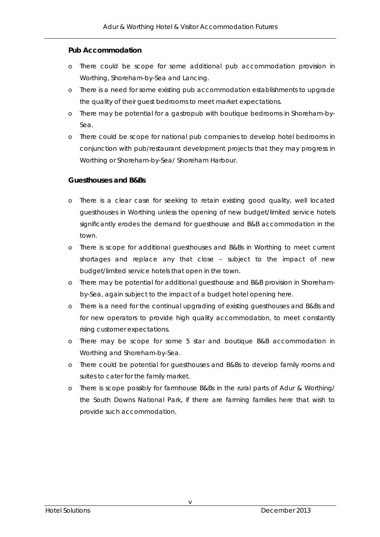## **Pub Accommodation**

- o There could be scope for some additional pub accommodation provision in Worthing, Shoreham-by-Sea and Lancing.
- o There is a need for some existing pub accommodation establishments to upgrade the quality of their guest bedrooms to meet market expectations.
- o There may be potential for a gastropub with boutique bedrooms in Shoreham-by-Sea.
- o There could be scope for national pub companies to develop hotel bedrooms in conjunction with pub/restaurant development projects that they may progress in Worthing or Shoreham-by-Sea/ Shoreham Harbour.

## **Guesthouses and B&Bs**

- o There is a clear case for seeking to retain existing good quality, well located guesthouses in Worthing unless the opening of new budget/limited service hotels significantly erodes the demand for guesthouse and B&B accommodation in the town.
- o There is scope for additional guesthouses and B&Bs in Worthing to meet current shortages and replace any that close – subject to the impact of new budget/limited service hotels that open in the town.
- o There may be potential for additional guesthouse and B&B provision in Shorehamby-Sea, again subject to the impact of a budget hotel opening here.
- o There is a need for the continual upgrading of existing guesthouses and B&Bs and for new operators to provide high quality accommodation, to meet constantly rising customer expectations.
- o There may be scope for some 5 star and boutique B&B accommodation in Worthing and Shoreham-by-Sea.
- o There could be potential for guesthouses and B&Bs to develop family rooms and suites to cater for the family market.
- o There is scope possibly for farmhouse B&Bs in the rural parts of Adur & Worthing/ the South Downs National Park, if there are farming families here that wish to provide such accommodation.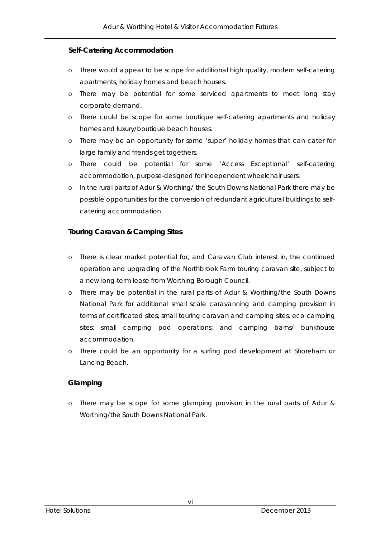## **Self-Catering Accommodation**

- o There would appear to be scope for additional high quality, modern self-catering apartments, holiday homes and beach houses.
- o There may be potential for some serviced apartments to meet long stay corporate demand.
- o There could be scope for some boutique self-catering apartments and holiday homes and luxury/boutique beach houses.
- o There may be an opportunity for some 'super' holiday homes that can cater for large family and friends get togethers.
- o There could be potential for some 'Access Exceptional' self-catering accommodation, purpose-designed for independent wheelchair users.
- o In the rural parts of Adur & Worthing/ the South Downs National Park there may be possible opportunities for the conversion of redundant agricultural buildings to selfcatering accommodation.

## **Touring Caravan & Camping Sites**

- o There is clear market potential for, and Caravan Club interest in, the continued operation and upgrading of the Northbrook Farm touring caravan site, subject to a new long-term lease from Worthing Borough Council.
- o There may be potential in the rural parts of Adur & Worthing/the South Downs National Park for additional small scale caravanning and camping provision in terms of certificated sites; small touring caravan and camping sites; eco camping sites; small camping pod operations; and camping barns/ bunkhouse accommodation.
- o There could be an opportunity for a surfing pod development at Shoreham or Lancing Beach.

## **Glamping**

o There may be scope for some glamping provision in the rural parts of Adur & Worthing/the South Downs National Park.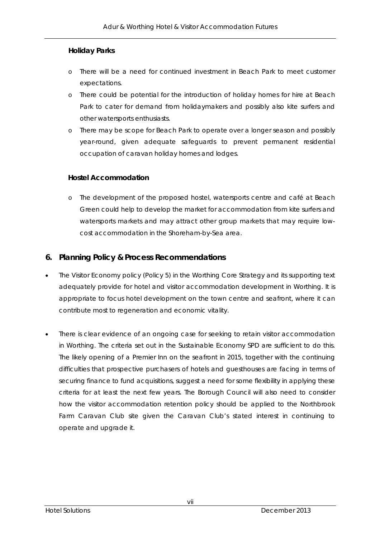## **Holiday Parks**

- o There will be a need for continued investment in Beach Park to meet customer expectations.
- o There could be potential for the introduction of holiday homes for hire at Beach Park to cater for demand from holidaymakers and possibly also kite surfers and other watersports enthusiasts.
- o There may be scope for Beach Park to operate over a longer season and possibly year-round, given adequate safeguards to prevent permanent residential occupation of caravan holiday homes and lodges.

## **Hostel Accommodation**

o The development of the proposed hostel, watersports centre and café at Beach Green could help to develop the market for accommodation from kite surfers and watersports markets and may attract other group markets that may require lowcost accommodation in the Shoreham-by-Sea area.

## **6. Planning Policy & Process Recommendations**

- The Visitor Economy policy (Policy 5) in the Worthing Core Strategy and its supporting text adequately provide for hotel and visitor accommodation development in Worthing. It is appropriate to focus hotel development on the town centre and seafront, where it can contribute most to regeneration and economic vitality.
- There is clear evidence of an ongoing case for seeking to retain visitor accommodation in Worthing. The criteria set out in the Sustainable Economy SPD are sufficient to do this. The likely opening of a Premier Inn on the seafront in 2015, together with the continuing difficulties that prospective purchasers of hotels and guesthouses are facing in terms of securing finance to fund acquisitions, suggest a need for some flexibility in applying these criteria for at least the next few years. The Borough Council will also need to consider how the visitor accommodation retention policy should be applied to the Northbrook Farm Caravan Club site given the Caravan Club's stated interest in continuing to operate and upgrade it.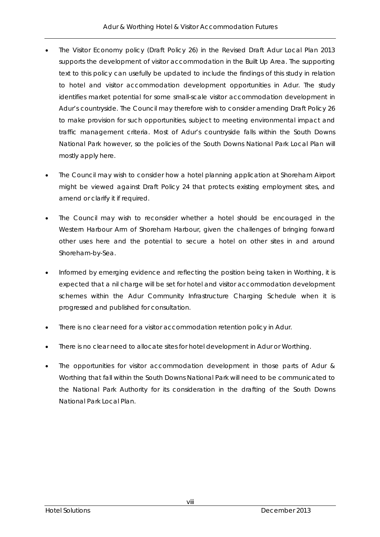- The Visitor Economy policy (Draft Policy 26) in the Revised Draft Adur Local Plan 2013 supports the development of visitor accommodation in the Built Up Area. The supporting text to this policy can usefully be updated to include the findings of this study in relation to hotel and visitor accommodation development opportunities in Adur. The study identifies market potential for some small-scale visitor accommodation development in Adur's countryside. The Council may therefore wish to consider amending Draft Policy 26 to make provision for such opportunities, subject to meeting environmental impact and traffic management criteria. Most of Adur's countryside falls within the South Downs National Park however, so the policies of the South Downs National Park Local Plan will mostly apply here.
- The Council may wish to consider how a hotel planning application at Shoreham Airport might be viewed against Draft Policy 24 that protects existing employment sites, and amend or clarify it if required.
- The Council may wish to reconsider whether a hotel should be encouraged in the Western Harbour Arm of Shoreham Harbour, given the challenges of bringing forward other uses here and the potential to secure a hotel on other sites in and around Shoreham-by-Sea.
- Informed by emerging evidence and reflecting the position being taken in Worthing, it is expected that a nil charge will be set for hotel and visitor accommodation development schemes within the Adur Community Infrastructure Charging Schedule when it is progressed and published for consultation.
- There is no clear need for a visitor accommodation retention policy in Adur.
- There is no clear need to allocate sites for hotel development in Adur or Worthing.
- The opportunities for visitor accommodation development in those parts of Adur & Worthing that fall within the South Downs National Park will need to be communicated to the National Park Authority for its consideration in the drafting of the South Downs National Park Local Plan.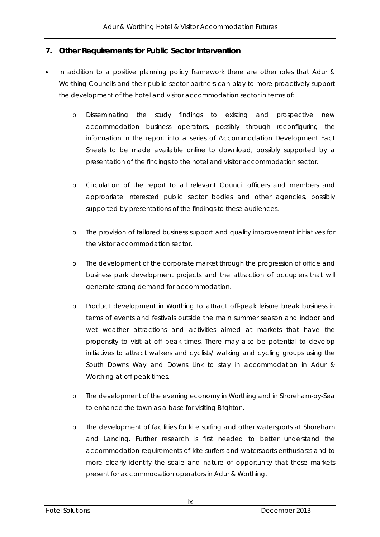## **7. Other Requirements for Public Sector Intervention**

- In addition to a positive planning policy framework there are other roles that Adur & Worthing Councils and their public sector partners can play to more proactively support the development of the hotel and visitor accommodation sector in terms of:
	- o Disseminating the study findings to existing and prospective new accommodation business operators, possibly through reconfiguring the information in the report into a series of Accommodation Development Fact Sheets to be made available online to download, possibly supported by a presentation of the findings to the hotel and visitor accommodation sector.
	- o Circulation of the report to all relevant Council officers and members and appropriate interested public sector bodies and other agencies, possibly supported by presentations of the findings to these audiences.
	- o The provision of tailored business support and quality improvement initiatives for the visitor accommodation sector.
	- o The development of the corporate market through the progression of office and business park development projects and the attraction of occupiers that will generate strong demand for accommodation.
	- o Product development in Worthing to attract off-peak leisure break business in terms of events and festivals outside the main summer season and indoor and wet weather attractions and activities aimed at markets that have the propensity to visit at off peak times. There may also be potential to develop initiatives to attract walkers and cyclists/ walking and cycling groups using the South Downs Way and Downs Link to stay in accommodation in Adur & Worthing at off peak times.
	- o The development of the evening economy in Worthing and in Shoreham-by-Sea to enhance the town as a base for visiting Brighton.
	- o The development of facilities for kite surfing and other watersports at Shoreham and Lancing. Further research is first needed to better understand the accommodation requirements of kite surfers and watersports enthusiasts and to more clearly identify the scale and nature of opportunity that these markets present for accommodation operators in Adur & Worthing.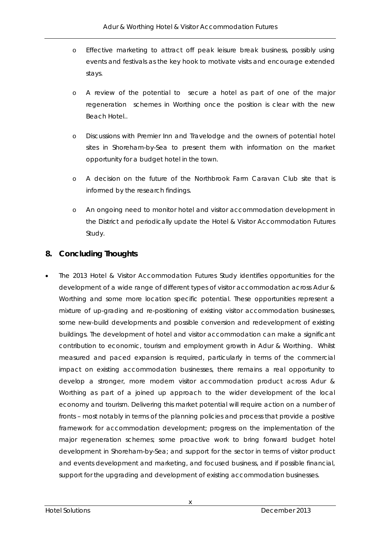- o Effective marketing to attract off peak leisure break business, possibly using events and festivals as the key hook to motivate visits and encourage extended stays.
- o A review of the potential to secure a hotel as part of one of the major regeneration schemes in Worthing once the position is clear with the new Beach Hotel..
- o Discussions with Premier Inn and Travelodge and the owners of potential hotel sites in Shoreham-by-Sea to present them with information on the market opportunity for a budget hotel in the town.
- o A decision on the future of the Northbrook Farm Caravan Club site that is informed by the research findings.
- o An ongoing need to monitor hotel and visitor accommodation development in the District and periodically update the Hotel & Visitor Accommodation Futures Study.

## **8. Concluding Thoughts**

 The 2013 Hotel & Visitor Accommodation Futures Study identifies opportunities for the development of a wide range of different types of visitor accommodation across Adur & Worthing and some more location specific potential. These opportunities represent a mixture of up-grading and re-positioning of existing visitor accommodation businesses, some new-build developments and possible conversion and redevelopment of existing buildings. The development of hotel and visitor accommodation can make a significant contribution to economic, tourism and employment growth in Adur & Worthing. Whilst measured and paced expansion is required, particularly in terms of the commercial impact on existing accommodation businesses, there remains a real opportunity to develop a stronger, more modern visitor accommodation product across Adur & Worthing as part of a joined up approach to the wider development of the local economy and tourism. Delivering this market potential will require action on a number of fronts – most notably in terms of the planning policies and process that provide a positive framework for accommodation development; progress on the implementation of the major regeneration schemes; some proactive work to bring forward budget hotel development in Shoreham-by-Sea; and support for the sector in terms of visitor product and events development and marketing, and focused business, and if possible financial, support for the upgrading and development of existing accommodation businesses.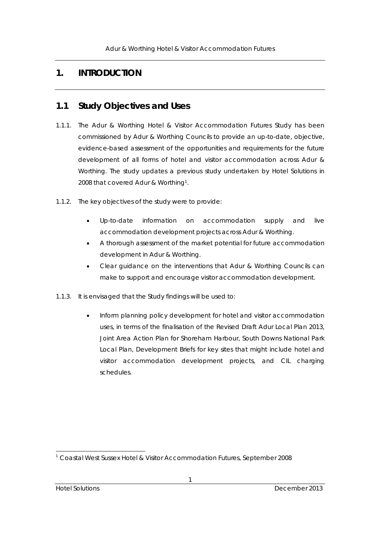## **1. INTRODUCTION**

## **1.1 Study Objectives and Uses**

- 1.1.1. The Adur & Worthing Hotel & Visitor Accommodation Futures Study has been commissioned by Adur & Worthing Councils to provide an up-to-date, objective, evidence-based assessment of the opportunities and requirements for the future development of all forms of hotel and visitor accommodation across Adur & Worthing. The study updates a previous study undertaken by Hotel Solutions in 2008 that covered Adur & Worthing1.
- 1.1.2. The key objectives of the study were to provide:
	- Up-to-date information on accommodation supply and live accommodation development projects across Adur & Worthing.
	- A thorough assessment of the market potential for future accommodation development in Adur & Worthing.
	- Clear guidance on the interventions that Adur & Worthing Councils can make to support and encourage visitor accommodation development.
- 1.1.3. It is envisaged that the Study findings will be used to:
	- Inform planning policy development for hotel and visitor accommodation uses, in terms of the finalisation of the Revised Draft Adur Local Plan 2013, Joint Area Action Plan for Shoreham Harbour, South Downs National Park Local Plan, Development Briefs for key sites that might include hotel and visitor accommodation development projects, and CIL charging schedules.

l

<sup>1</sup> Coastal West Sussex Hotel & Visitor Accommodation Futures, September 2008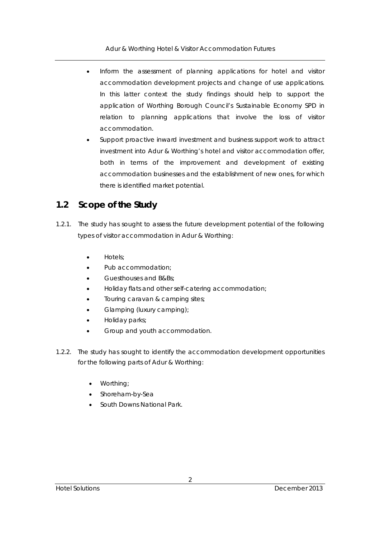- Inform the assessment of planning applications for hotel and visitor accommodation development projects and change of use applications. In this latter context the study findings should help to support the application of Worthing Borough Council's Sustainable Economy SPD in relation to planning applications that involve the loss of visitor accommodation.
- Support proactive inward investment and business support work to attract investment into Adur & Worthing's hotel and visitor accommodation offer, both in terms of the improvement and development of existing accommodation businesses and the establishment of new ones, for which there is identified market potential.

## **1.2 Scope of the Study**

- 1.2.1. The study has sought to assess the future development potential of the following types of visitor accommodation in Adur & Worthing:
	- Hotels;
	- Pub accommodation;
	- Guesthouses and B&Bs;
	- Holiday flats and other self-catering accommodation;
	- Touring caravan & camping sites;
	- Glamping (luxury camping);
	- Holiday parks;
	- Group and youth accommodation.
- 1.2.2. The study has sought to identify the accommodation development opportunities for the following parts of Adur & Worthing:
	- Worthing;
	- Shoreham-by-Sea
	- South Downs National Park.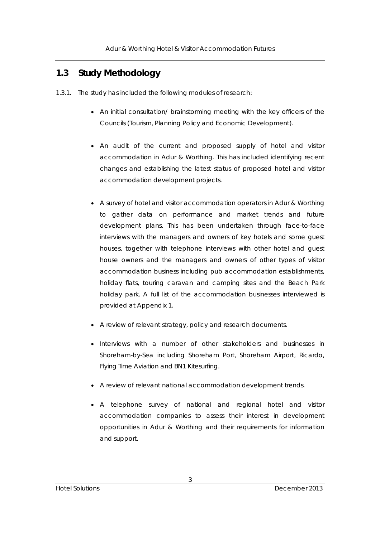## **1.3 Study Methodology**

- 1.3.1. The study has included the following modules of research:
	- An initial consultation/ brainstorming meeting with the key officers of the Councils (Tourism, Planning Policy and Economic Development).
	- An audit of the current and proposed supply of hotel and visitor accommodation in Adur & Worthing. This has included identifying recent changes and establishing the latest status of proposed hotel and visitor accommodation development projects.
	- A survey of hotel and visitor accommodation operators in Adur & Worthing to gather data on performance and market trends and future development plans. This has been undertaken through face-to-face interviews with the managers and owners of key hotels and some guest houses, together with telephone interviews with other hotel and guest house owners and the managers and owners of other types of visitor accommodation business including pub accommodation establishments, holiday flats, touring caravan and camping sites and the Beach Park holiday park. A full list of the accommodation businesses interviewed is provided at Appendix 1.
	- A review of relevant strategy, policy and research documents.
	- Interviews with a number of other stakeholders and businesses in Shoreham-by-Sea including Shoreham Port, Shoreham Airport, Ricardo, Flying Time Aviation and BN1 Kitesurfing.
	- A review of relevant national accommodation development trends.
	- A telephone survey of national and regional hotel and visitor accommodation companies to assess their interest in development opportunities in Adur & Worthing and their requirements for information and support.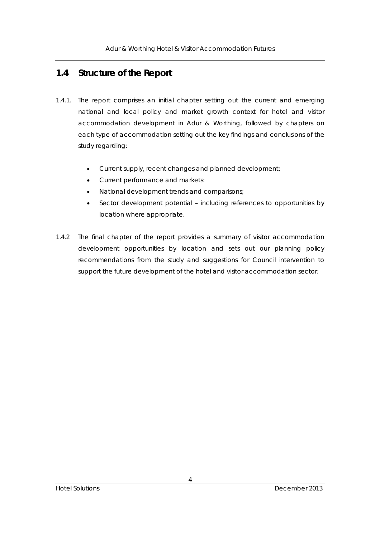## **1.4 Structure of the Report**

- 1.4.1. The report comprises an initial chapter setting out the current and emerging national and local policy and market growth context for hotel and visitor accommodation development in Adur & Worthing, followed by chapters on each type of accommodation setting out the key findings and conclusions of the study regarding:
	- Current supply, recent changes and planned development;
	- Current performance and markets:
	- National development trends and comparisons;
	- Sector development potential including references to opportunities by location where appropriate.
- 1.4.2 The final chapter of the report provides a summary of visitor accommodation development opportunities by location and sets out our planning policy recommendations from the study and suggestions for Council intervention to support the future development of the hotel and visitor accommodation sector.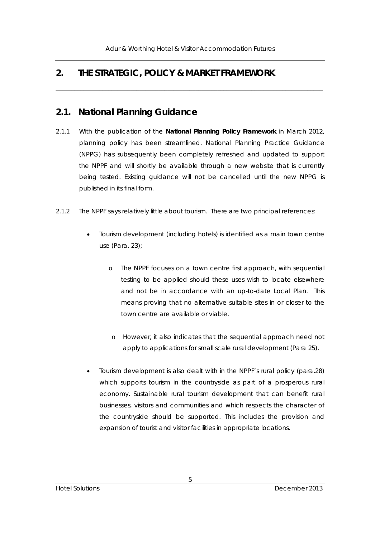\_\_\_\_\_\_\_\_\_\_\_\_\_\_\_\_\_\_\_\_\_\_\_\_\_\_\_\_\_\_\_\_\_\_\_\_\_\_\_\_\_\_\_\_\_\_\_\_\_\_\_\_\_\_\_\_\_\_\_\_\_\_\_\_\_\_\_\_\_\_\_\_\_\_\_\_\_\_\_\_\_\_\_\_\_\_

## **2. THE STRATEGIC, POLICY & MARKET FRAMEWORK**

## **2.1. National Planning Guidance**

- 2.1.1 With the publication of the **National Planning Policy Framework** in March 2012, planning policy has been streamlined. National Planning Practice Guidance (NPPG) has subsequently been completely refreshed and updated to support the NPPF and will shortly be available through a new website that is currently being tested. Existing guidance will not be cancelled until the new NPPG is published in its final form.
- 2.1.2 The NPPF says relatively little about tourism. There are two principal references:
	- Tourism development (including hotels) is identified as a main town centre use (Para. 23);
		- o The NPPF focuses on a town centre first approach, with sequential testing to be applied should these uses wish to locate elsewhere and not be in accordance with an up-to-date Local Plan. This means proving that no alternative suitable sites in or closer to the town centre are available or viable.
			- o However, it also indicates that the sequential approach need not apply to applications for small scale rural development (Para 25).
	- Tourism development is also dealt with in the NPPF's rural policy (para.28) which supports tourism in the countryside as part of a prosperous rural economy. Sustainable rural tourism development that can benefit rural businesses, visitors and communities and which respects the character of the countryside should be supported. This includes the provision and expansion of tourist and visitor facilities in appropriate locations.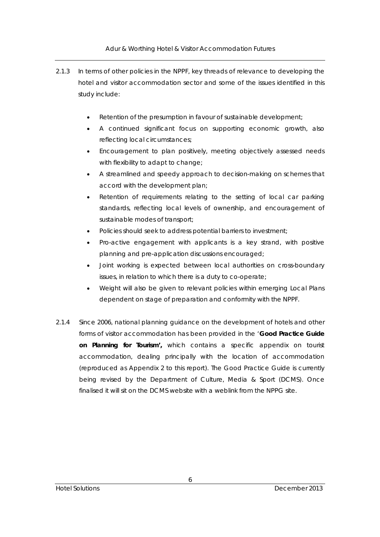- 2.1.3 In terms of other policies in the NPPF, key threads of relevance to developing the hotel and visitor accommodation sector and some of the issues identified in this study include:
	- Retention of the presumption in favour of sustainable development:
	- A continued significant focus on supporting economic growth, also reflecting local circumstances;
	- Encouragement to plan positively, meeting objectively assessed needs with flexibility to adapt to change;
	- A streamlined and speedy approach to decision-making on schemes that accord with the development plan;
	- Retention of requirements relating to the setting of local car parking standards, reflecting local levels of ownership, and encouragement of sustainable modes of transport;
	- Policies should seek to address potential barriers to investment;
	- Pro-active engagement with applicants is a key strand, with positive planning and pre-application discussions encouraged;
	- Joint working is expected between local authorities on cross-boundary issues, in relation to which there is a duty to co-operate;
	- Weight will also be given to relevant policies within emerging Local Plans dependent on stage of preparation and conformity with the NPPF.
- 2.1.4 Since 2006, national planning guidance on the development of hotels and other forms of visitor accommodation has been provided in the '**Good Practice Guide on Planning for Tourism',** which contains a specific appendix on tourist accommodation, dealing principally with the location of accommodation (reproduced as Appendix 2 to this report). The Good Practice Guide is currently being revised by the Department of Culture, Media & Sport (DCMS). Once finalised it will sit on the DCMS website with a weblink from the NPPG site.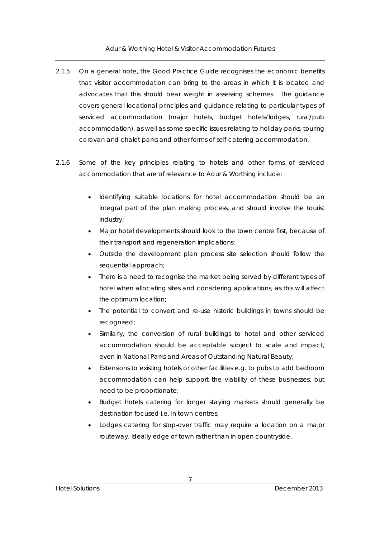- 2.1.5 On a general note, the Good Practice Guide recognises the economic benefits that visitor accommodation can bring to the areas in which it is located and advocates that this should bear weight in assessing schemes. The guidance covers general locational principles and guidance relating to particular types of serviced accommodation (major hotels, budget hotels/lodges, rural/pub accommodation), as well as some specific issues relating to holiday parks, touring caravan and chalet parks and other forms of self-catering accommodation.
- 2.1.6 Some of the key principles relating to hotels and other forms of serviced accommodation that are of relevance to Adur & Worthing include:
	- Identifying suitable locations for hotel accommodation should be an integral part of the plan making process, and should involve the tourist industry;
	- Major hotel developments should look to the town centre first, because of their transport and regeneration implications;
	- Outside the development plan process site selection should follow the sequential approach;
	- There is a need to recognise the market being served by different types of hotel when allocating sites and considering applications, as this will affect the optimum location;
	- The potential to convert and re-use historic buildings in towns should be recognised;
	- Similarly, the conversion of rural buildings to hotel and other serviced accommodation should be acceptable subject to scale and impact, even in National Parks and Areas of Outstanding Natural Beauty;
	- Extensions to existing hotels or other facilities e.g. to pubs to add bedroom accommodation can help support the viability of these businesses, but need to be proportionate;
	- Budget hotels catering for longer staying markets should generally be destination focused i.e. in town centres;
	- Lodges catering for stop-over traffic may require a location on a major routeway, ideally edge of town rather than in open countryside.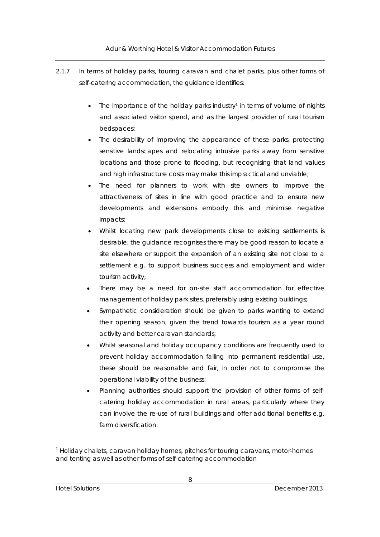- 2.1.7 In terms of holiday parks, touring caravan and chalet parks, plus other forms of self-catering accommodation, the guidance identifies:
	- The importance of the holiday parks industry<sup>1</sup> in terms of volume of nights and associated visitor spend, and as the largest provider of rural tourism bedspaces;
	- The desirability of improving the appearance of these parks, protecting sensitive landscapes and relocating intrusive parks away from sensitive locations and those prone to flooding, but recognising that land values and high infrastructure costs may make this impractical and unviable;
	- The need for planners to work with site owners to improve the attractiveness of sites in line with good practice and to ensure new developments and extensions embody this and minimise negative impacts;
	- Whilst locating new park developments close to existing settlements is desirable, the guidance recognises there may be good reason to locate a site elsewhere or support the expansion of an existing site not close to a settlement e.g. to support business success and employment and wider tourism activity;
	- There may be a need for on-site staff accommodation for effective management of holiday park sites, preferably using existing buildings;
	- Sympathetic consideration should be given to parks wanting to extend their opening season, given the trend towards tourism as a year round activity and better caravan standards;
	- Whilst seasonal and holiday occupancy conditions are frequently used to prevent holiday accommodation falling into permanent residential use, these should be reasonable and fair, in order not to compromise the operational viability of the business;
	- Planning authorities should support the provision of other forms of selfcatering holiday accommodation in rural areas, particularly where they can involve the re-use of rural buildings and offer additional benefits e.g. farm diversification.

l

 $<sup>1</sup>$  Holiday chalets, caravan holiday homes, pitches for touring caravans, motor-homes</sup> and tenting as well as other forms of self-catering accommodation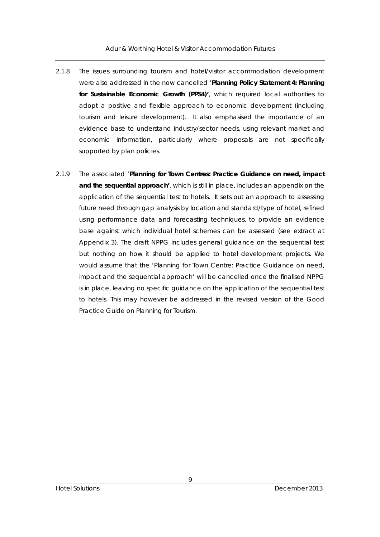- 2.1.8 The issues surrounding tourism and hotel/visitor accommodation development were also addressed in the now cancelled '**Planning Policy Statement 4: Planning for Sustainable Economic Growth (PPS4)'**, which required local authorities to adopt a positive and flexible approach to economic development (including tourism and leisure development). It also emphasised the importance of an evidence base to understand industry/sector needs, using relevant market and economic information, particularly where proposals are not specifically supported by plan policies.
- 2.1.9 The associated '**Planning for Town Centres: Practice Guidance on need, impact and the sequential approach'**, which is still in place, includes an appendix on the application of the sequential test to hotels. It sets out an approach to assessing future need through gap analysis by location and standard/type of hotel, refined using performance data and forecasting techniques, to provide an evidence base against which individual hotel schemes can be assessed (see extract at Appendix 3). The draft NPPG includes general guidance on the sequential test but nothing on how it should be applied to hotel development projects. We would assume that the 'Planning for Town Centre: Practice Guidance on need, impact and the sequential approach' will be cancelled once the finalised NPPG is in place, leaving no specific guidance on the application of the sequential test to hotels. This may however be addressed in the revised version of the Good Practice Guide on Planning for Tourism.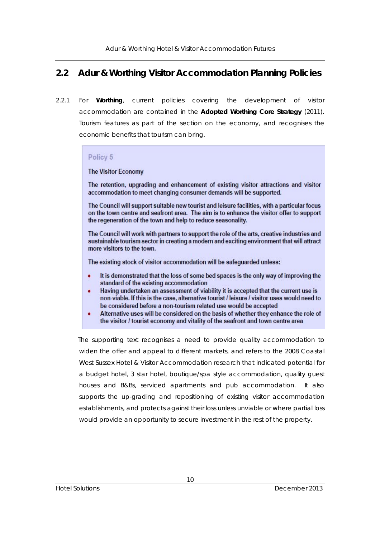## **2.2 Adur & Worthing Visitor Accommodation Planning Policies**

2.2.1 For **Worthing**, current policies covering the development of visitor accommodation are contained in the **Adopted Worthing Core Strategy** (2011). Tourism features as part of the section on the economy, and recognises the economic benefits that tourism can bring.

## Policy 5

#### **The Visitor Economy**

The retention, upgrading and enhancement of existing visitor attractions and visitor accommodation to meet changing consumer demands will be supported.

The Council will support suitable new tourist and leisure facilities, with a particular focus on the town centre and seafront area. The aim is to enhance the visitor offer to support the regeneration of the town and help to reduce seasonality.

The Council will work with partners to support the role of the arts, creative industries and sustainable tourism sector in creating a modern and exciting environment that will attract more visitors to the town.

The existing stock of visitor accommodation will be safeguarded unless:

- It is demonstrated that the loss of some bed spaces is the only way of improving the standard of the existing accommodation
- Having undertaken an assessment of viability it is accepted that the current use is ٠ non-viable. If this is the case, alternative tourist / leisure / visitor uses would need to be considered before a non-tourism related use would be accepted
- Alternative uses will be considered on the basis of whether they enhance the role of ٠ the visitor / tourist economy and vitality of the seafront and town centre area

The supporting text recognises a need to provide quality accommodation to widen the offer and appeal to different markets, and refers to the 2008 Coastal West Sussex Hotel & Visitor Accommodation research that indicated potential for a budget hotel, 3 star hotel, boutique/spa style accommodation, quality guest houses and B&Bs, serviced apartments and pub accommodation. It also supports the up-grading and repositioning of existing visitor accommodation establishments, and protects against their loss unless unviable or where partial loss would provide an opportunity to secure investment in the rest of the property.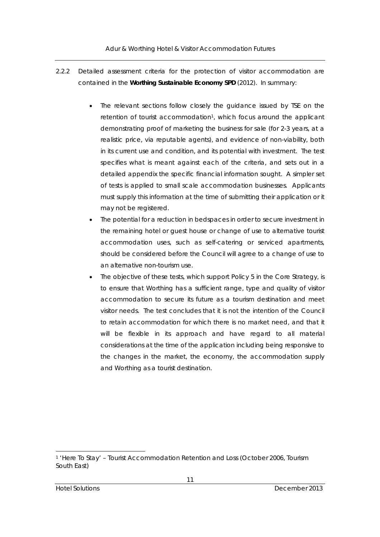- 2.2.2 Detailed assessment criteria for the protection of visitor accommodation are contained in the **Worthing Sustainable Economy SPD** (2012). In summary:
	- The relevant sections follow closely the guidance issued by TSE on the retention of tourist accommodation<sup>1</sup>, which focus around the applicant demonstrating proof of marketing the business for sale (for 2-3 years, at a realistic price, via reputable agents), and evidence of non-viability, both in its current use and condition, and its potential with investment. The test specifies what is meant against each of the criteria, and sets out in a detailed appendix the specific financial information sought. A simpler set of tests is applied to small scale accommodation businesses. Applicants must supply this information at the time of submitting their application or it may not be registered.
	- The potential for a reduction in bedspaces in order to secure investment in the remaining hotel or guest house or change of use to alternative tourist accommodation uses, such as self-catering or serviced apartments, should be considered before the Council will agree to a change of use to an alternative non-tourism use.
	- The objective of these tests, which support Policy 5 in the Core Strategy, is to ensure that Worthing has a sufficient range, type and quality of visitor accommodation to secure its future as a tourism destination and meet visitor needs. The test concludes that it is not the intention of the Council to retain accommodation for which there is no market need, and that it will be flexible in its approach and have regard to all material considerations at the time of the application including being responsive to the changes in the market, the economy, the accommodation supply and Worthing as a tourist destination.

l

<sup>1 &#</sup>x27;Here To Stay' – Tourist Accommodation Retention and Loss (October 2006, Tourism South East)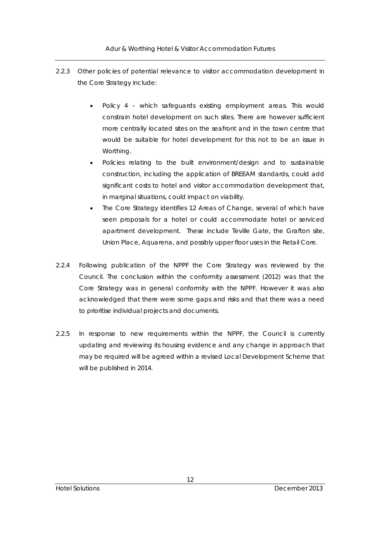- 2.2.3 Other policies of potential relevance to visitor accommodation development in the Core Strategy include:
	- Policy 4 which safeguards existing employment areas. This would constrain hotel development on such sites. There are however sufficient more centrally located sites on the seafront and in the town centre that would be suitable for hotel development for this not to be an issue in Worthing.
	- Policies relating to the built environment/design and to sustainable construction, including the application of BREEAM standards, could add significant costs to hotel and visitor accommodation development that, in marginal situations, could impact on viability.
	- The Core Strategy identifies 12 Areas of Change, several of which have seen proposals for a hotel or could accommodate hotel or serviced apartment development. These include Teville Gate, the Grafton site, Union Place, Aquarena, and possibly upper floor uses in the Retail Core.
- 2.2.4 Following publication of the NPPF the Core Strategy was reviewed by the Council. The conclusion within the conformity assessment (2012) was that the Core Strategy was in general conformity with the NPPF. However it was also acknowledged that there were some gaps and risks and that there was a need to prioritise individual projects and documents.
- 2.2.5 In response to new requirements within the NPPF, the Council is currently updating and reviewing its housing evidence and any change in approach that may be required will be agreed within a revised Local Development Scheme that will be published in 2014.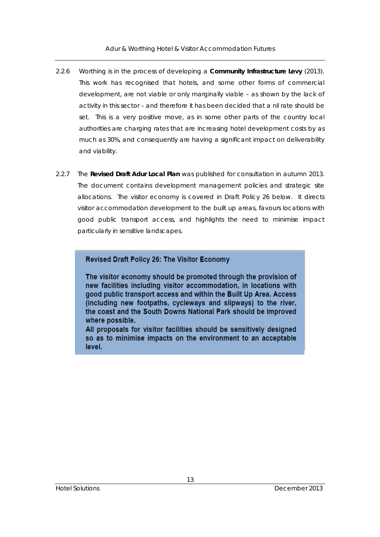- 2.2.6 Worthing is in the process of developing a **Community Infrastructure Levy** (2013). This work has recognised that hotels, and some other forms of commercial development, are not viable or only marginally viable – as shown by the lack of activity in this sector – and therefore it has been decided that a nil rate should be set. This is a very positive move, as in some other parts of the country local authorities are charging rates that are increasing hotel development costs by as much as 30%, and consequently are having a significant impact on deliverability and viability.
- 2.2.7 The **Revised Draft Adur Local Plan** was published for consultation in autumn 2013. The document contains development management policies and strategic site allocations. The visitor economy is covered in Draft Policy 26 below. It directs visitor accommodation development to the built up areas, favours locations with good public transport access, and highlights the need to minimise impact particularly in sensitive landscapes.

## Revised Draft Policy 26: The Visitor Economy

The visitor economy should be promoted through the provision of new facilities including visitor accommodation, in locations with good public transport access and within the Built Up Area. Access (including new footpaths, cycleways and slipways) to the river, the coast and the South Downs National Park should be improved where possible.

All proposals for visitor facilities should be sensitively designed so as to minimise impacts on the environment to an acceptable level.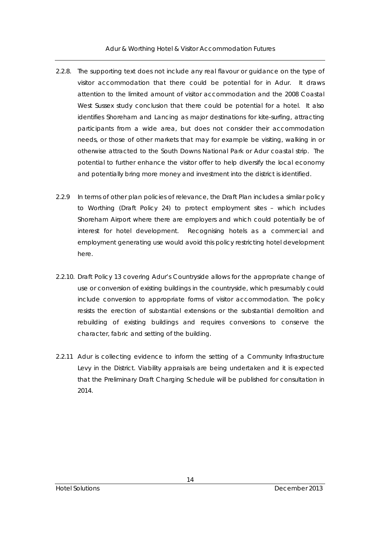- 2.2.8. The supporting text does not include any real flavour or guidance on the type of visitor accommodation that there could be potential for in Adur. It draws attention to the limited amount of visitor accommodation and the 2008 Coastal West Sussex study conclusion that there could be potential for a hotel. It also identifies Shoreham and Lancing as major destinations for kite-surfing, attracting participants from a wide area, but does not consider their accommodation needs, or those of other markets that may for example be visiting, walking in or otherwise attracted to the South Downs National Park or Adur coastal strip. The potential to further enhance the visitor offer to help diversify the local economy and potentially bring more money and investment into the district is identified.
- 2.2.9 In terms of other plan policies of relevance, the Draft Plan includes a similar policy to Worthing (Draft Policy 24) to protect employment sites – which includes Shoreham Airport where there are employers and which could potentially be of interest for hotel development. Recognising hotels as a commercial and employment generating use would avoid this policy restricting hotel development here.
- 2.2.10. Draft Policy 13 covering Adur's Countryside allows for the appropriate change of use or conversion of existing buildings in the countryside, which presumably could include conversion to appropriate forms of visitor accommodation. The policy resists the erection of substantial extensions or the substantial demolition and rebuilding of existing buildings and requires conversions to conserve the character, fabric and setting of the building.
- 2.2.11 Adur is collecting evidence to inform the setting of a Community Infrastructure Levy in the District. Viability appraisals are being undertaken and it is expected that the Preliminary Draft Charging Schedule will be published for consultation in 2014.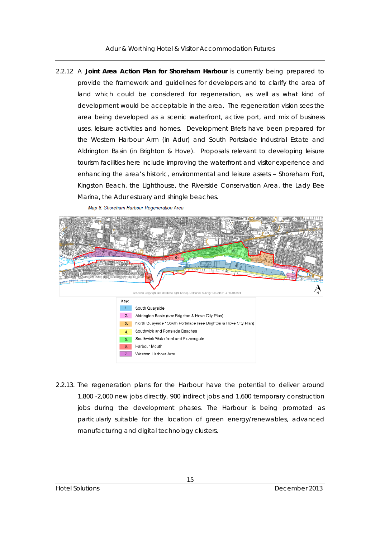2.2.12 A **Joint Area Action Plan for Shoreham Harbour** is currently being prepared to provide the framework and guidelines for developers and to clarify the area of land which could be considered for regeneration, as well as what kind of development would be acceptable in the area. The regeneration vision sees the area being developed as a scenic waterfront, active port, and mix of business uses, leisure activities and homes. Development Briefs have been prepared for the Western Harbour Arm (in Adur) and South Portslade Industrial Estate and Aldrington Basin (in Brighton & Hove). Proposals relevant to developing leisure tourism facilities here include improving the waterfront and visitor experience and enhancing the area's historic, environmental and leisure assets – Shoreham Fort, Kingston Beach, the Lighthouse, the Riverside Conservation Area, the Lady Bee Marina, the Adur estuary and shingle beaches.



2.2.13. The regeneration plans for the Harbour have the potential to deliver around 1,800 -2,000 new jobs directly, 900 indirect jobs and 1,600 temporary construction jobs during the development phases. The Harbour is being promoted as particularly suitable for the location of green energy/renewables, advanced manufacturing and digital technology clusters.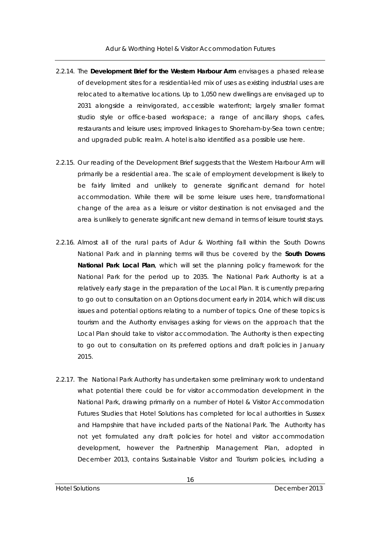- 2.2.14. The **Development Brief for the Western Harbour Arm** envisages a phased release of development sites for a residential-led mix of uses as existing industrial uses are relocated to alternative locations. Up to 1,050 new dwellings are envisaged up to 2031 alongside a reinvigorated, accessible waterfront; largely smaller format studio style or office-based workspace; a range of ancillary shops, cafes, restaurants and leisure uses; improved linkages to Shoreham-by-Sea town centre; and upgraded public realm. A hotel is also identified as a possible use here.
- 2.2.15. Our reading of the Development Brief suggests that the Western Harbour Arm will primarily be a residential area. The scale of employment development is likely to be fairly limited and unlikely to generate significant demand for hotel accommodation. While there will be some leisure uses here, transformational change of the area as a leisure or visitor destination is not envisaged and the area is unlikely to generate significant new demand in terms of leisure tourist stays.
- 2.2.16. Almost all of the rural parts of Adur & Worthing fall within the South Downs National Park and in planning terms will thus be covered by the **South Downs National Park Local Plan**, which will set the planning policy framework for the National Park for the period up to 2035. The National Park Authority is at a relatively early stage in the preparation of the Local Plan. It is currently preparing to go out to consultation on an Options document early in 2014, which will discuss issues and potential options relating to a number of topics. One of these topics is tourism and the Authority envisages asking for views on the approach that the Local Plan should take to visitor accommodation. The Authority is then expecting to go out to consultation on its preferred options and draft policies in January 2015.
- 2.2.17. The National Park Authority has undertaken some preliminary work to understand what potential there could be for visitor accommodation development in the National Park, drawing primarily on a number of Hotel & Visitor Accommodation Futures Studies that Hotel Solutions has completed for local authorities in Sussex and Hampshire that have included parts of the National Park. The Authority has not yet formulated any draft policies for hotel and visitor accommodation development, however the Partnership Management Plan, adopted in December 2013, contains Sustainable Visitor and Tourism policies, including a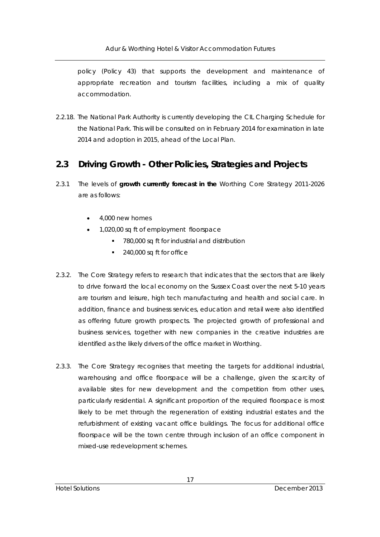policy (Policy 43) that supports the development and maintenance of appropriate recreation and tourism facilities, including a mix of quality accommodation.

2.2.18. The National Park Authority is currently developing the CIL Charging Schedule for the National Park. This will be consulted on in February 2014 for examination in late 2014 and adoption in 2015, ahead of the Local Plan.

## **2.3 Driving Growth - Other Policies, Strategies and Projects**

- 2.3.1 The levels of **growth currently forecast in the** Worthing Core Strategy 2011-2026 are as follows:
	- 4,000 new homes
	- 1,020,00 sq ft of employment floorspace
		- 780,000 sq ft for industrial and distribution
		- 240,000 sq ft for office
- 2.3.2. The Core Strategy refers to research that indicates that the sectors that are likely to drive forward the local economy on the Sussex Coast over the next 5-10 years are tourism and leisure, high tech manufacturing and health and social care. In addition, finance and business services, education and retail were also identified as offering future growth prospects. The projected growth of professional and business services, together with new companies in the creative industries are identified as the likely drivers of the office market in Worthing.
- 2.3.3. The Core Strategy recognises that meeting the targets for additional industrial, warehousing and office floorspace will be a challenge, given the scarcity of available sites for new development and the competition from other uses, particularly residential. A significant proportion of the required floorspace is most likely to be met through the regeneration of existing industrial estates and the refurbishment of existing vacant office buildings. The focus for additional office floorspace will be the town centre through inclusion of an office component in mixed-use redevelopment schemes.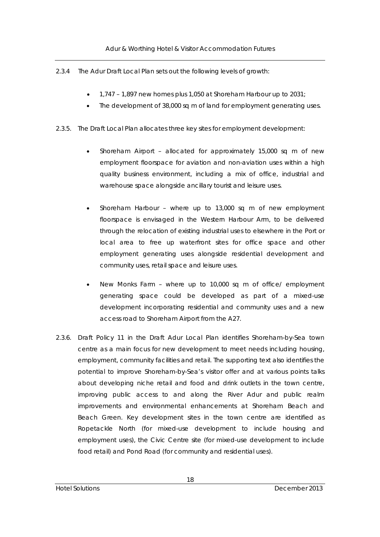- 2.3.4 The Adur Draft Local Plan sets out the following levels of growth:
	- 1,747 1,897 new homes plus 1,050 at Shoreham Harbour up to 2031;
	- The development of 38,000 sq m of land for employment generating uses.
- 2.3.5. The Draft Local Plan allocates three key sites for employment development:
	- Shoreham Airport allocated for approximately 15,000 sq m of new employment floorspace for aviation and non-aviation uses within a high quality business environment, including a mix of office, industrial and warehouse space alongside ancillary tourist and leisure uses.
	- Shoreham Harbour where up to 13,000 sq m of new employment floorspace is envisaged in the Western Harbour Arm, to be delivered through the relocation of existing industrial uses to elsewhere in the Port or local area to free up waterfront sites for office space and other employment generating uses alongside residential development and community uses, retail space and leisure uses.
	- New Monks Farm where up to 10,000 sq m of office/ employment generating space could be developed as part of a mixed-use development incorporating residential and community uses and a new access road to Shoreham Airport from the A27.
- 2.3.6. Draft Policy 11 in the Draft Adur Local Plan identifies Shoreham-by-Sea town centre as a main focus for new development to meet needs including housing, employment, community facilities and retail. The supporting text also identifies the potential to improve Shoreham-by-Sea's visitor offer and at various points talks about developing niche retail and food and drink outlets in the town centre, improving public access to and along the River Adur and public realm improvements and environmental enhancements at Shoreham Beach and Beach Green. Key development sites in the town centre are identified as Ropetackle North (for mixed-use development to include housing and employment uses), the Civic Centre site (for mixed-use development to include food retail) and Pond Road (for community and residential uses).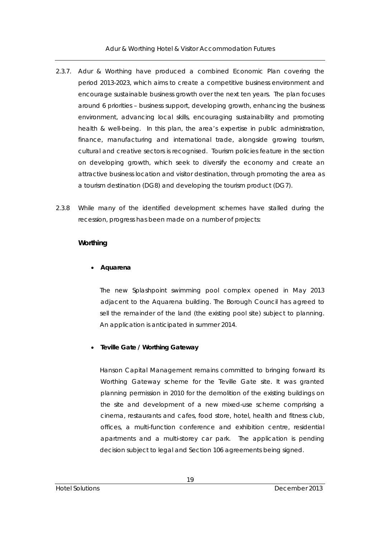- 2.3.7. Adur & Worthing have produced a combined Economic Plan covering the period 2013-2023, which aims to create a competitive business environment and encourage sustainable business growth over the next ten years. The plan focuses around 6 priorities – business support, developing growth, enhancing the business environment, advancing local skills, encouraging sustainability and promoting health & well-being. In this plan, the area's expertise in public administration, finance, manufacturing and international trade, alongside growing tourism, cultural and creative sectors is recognised. Tourism policies feature in the section on developing growth, which seek to diversify the economy and create an attractive business location and visitor destination, through promoting the area as a tourism destination (DG8) and developing the tourism product (DG7).
- 2.3.8 While many of the identified development schemes have stalled during the recession, progress has been made on a number of projects:

## **Worthing**

## **Aquarena**

 The new Splashpoint swimming pool complex opened in May 2013 adjacent to the Aquarena building. The Borough Council has agreed to sell the remainder of the land (the existing pool site) subject to planning. An application is anticipated in summer 2014.

#### **Teville Gate / Worthing Gateway**

Hanson Capital Management remains committed to bringing forward its Worthing Gateway scheme for the Teville Gate site. It was granted planning permission in 2010 for the demolition of the existing buildings on the site and development of a new mixed-use scheme comprising a cinema, restaurants and cafes, food store, hotel, health and fitness club, offices, a multi-function conference and exhibition centre, residential apartments and a multi-storey car park. The application is pending decision subject to legal and Section 106 agreements being signed.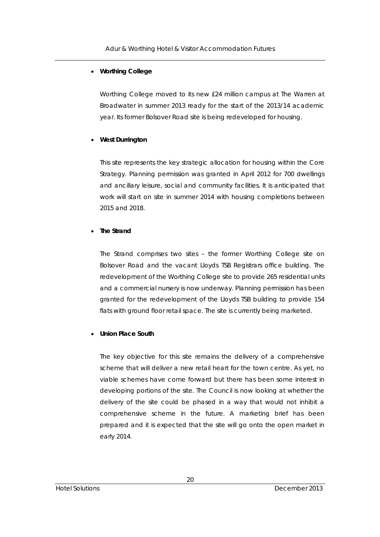## **Worthing College**

Worthing College moved to its new £24 million campus at The Warren at Broadwater in summer 2013 ready for the start of the 2013/14 academic year. Its former Bolsover Road site is being redeveloped for housing.

## **West Durrington**

This site represents the key strategic allocation for housing within the Core Strategy. Planning permission was granted in April 2012 for 700 dwellings and ancillary leisure, social and community facilities. It is anticipated that work will start on site in summer 2014 with housing completions between 2015 and 2018.

## **The Strand**

The Strand comprises two sites – the former Worthing College site on Bolsover Road and the vacant Lloyds TSB Registrars office building. The redevelopment of the Worthing College site to provide 265 residential units and a commercial nursery is now underway. Planning permission has been granted for the redevelopment of the Lloyds TSB building to provide 154 flats with ground floor retail space. The site is currently being marketed.

#### **Union Place South**

The key objective for this site remains the delivery of a comprehensive scheme that will deliver a new retail heart for the town centre. As yet, no viable schemes have come forward but there has been some interest in developing portions of the site. The Council is now looking at whether the delivery of the site could be phased in a way that would not inhibit a comprehensive scheme in the future. A marketing brief has been prepared and it is expected that the site will go onto the open market in early 2014.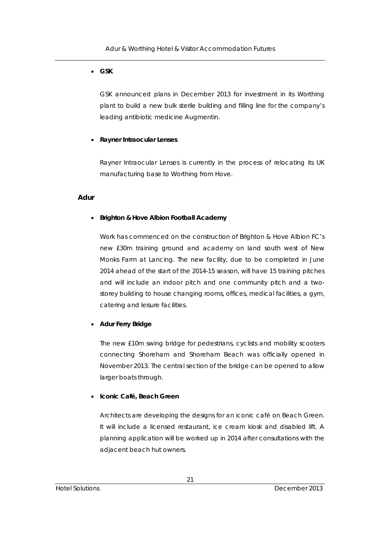## **GSK**

GSK announced plans in December 2013 for investment in its Worthing plant to build a new bulk sterile building and filling line for the company's leading antibiotic medicine Augmentin.

## **Rayner Intraocular Lenses**

Rayner Intraocular Lenses is currently in the process of relocating its UK manufacturing base to Worthing from Hove.

## **Adur**

## **Brighton & Hove Albion Football Academy**

Work has commenced on the construction of Brighton & Hove Albion FC's new £30m training ground and academy on land south west of New Monks Farm at Lancing. The new facility, due to be completed in June 2014 ahead of the start of the 2014-15 season, will have 15 training pitches and will include an indoor pitch and one community pitch and a twostorey building to house changing rooms, offices, medical facilities, a gym, catering and leisure facilities.

## **Adur Ferry Bridge**

The new £10m swing bridge for pedestrians, cyclists and mobility scooters connecting Shoreham and Shoreham Beach was officially opened in November 2013. The central section of the bridge can be opened to allow larger boats through.

#### **Iconic Café, Beach Green**

Architects are developing the designs for an iconic café on Beach Green. It will include a licensed restaurant, ice cream kiosk and disabled lift. A planning application will be worked up in 2014 after consultations with the adjacent beach hut owners.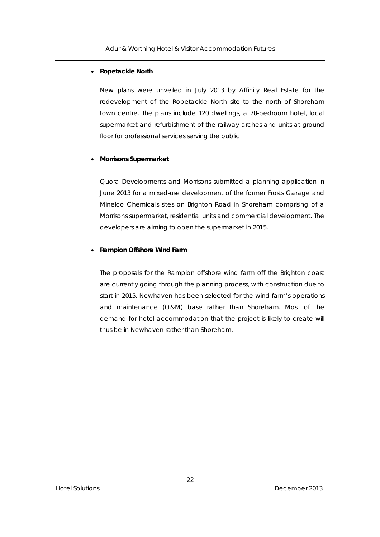#### **Ropetackle North**

New plans were unveiled in July 2013 by Affinity Real Estate for the redevelopment of the Ropetackle North site to the north of Shoreham town centre. The plans include 120 dwellings, a 70-bedroom hotel, local supermarket and refurbishment of the railway arches and units at ground floor for professional services serving the public.

#### **Morrisons Supermarket**

Quora Developments and Morrisons submitted a planning application in June 2013 for a mixed-use development of the former Frosts Garage and Minelco Chemicals sites on Brighton Road in Shoreham comprising of a Morrisons supermarket, residential units and commercial development. The developers are aiming to open the supermarket in 2015.

#### **Rampion Offshore Wind Farm**

The proposals for the Rampion offshore wind farm off the Brighton coast are currently going through the planning process, with construction due to start in 2015. Newhaven has been selected for the wind farm's operations and maintenance (O&M) base rather than Shoreham. Most of the demand for hotel accommodation that the project is likely to create will thus be in Newhaven rather than Shoreham.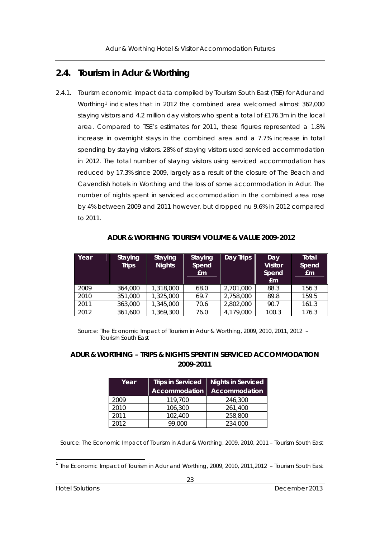## **2.4. Tourism in Adur & Worthing**

2.4.1. Tourism economic impact data compiled by Tourism South East (TSE) for Adur and Worthing<sup>1</sup> indicates that in 2012 the combined area welcomed almost 362,000 staying visitors and 4.2 million day visitors who spent a total of £176.3m in the local area. Compared to TSE's estimates for 2011, these figures represented a 1.8% increase in overnight stays in the combined area and a 7.7% increase in total spending by staying visitors. 28% of staying visitors used serviced accommodation in 2012. The total number of staying visitors using serviced accommodation has reduced by 17.3% since 2009, largely as a result of the closure of The Beach and Cavendish hotels in Worthing and the loss of some accommodation in Adur. The number of nights spent in serviced accommodation in the combined area rose by 4% between 2009 and 2011 however, but dropped nu 9.6% in 2012 compared to 2011.

| Year | <b>Staying</b><br><b>Trips</b> | <b>Staying</b><br><b>Nights</b> | <b>Staying</b><br>Spend<br>Em | Day Trips | Day<br><b>Visitor</b><br>Spend<br>Em | Total<br>Spend<br>Em |
|------|--------------------------------|---------------------------------|-------------------------------|-----------|--------------------------------------|----------------------|
| 2009 | 364,000                        | 1,318,000                       | 68.0                          | 2,701,000 | 88.3                                 | 156.3                |
| 2010 | 351,000                        | 1,325,000                       | 69.7                          | 2,758,000 | 89.8                                 | 159.5                |
| 2011 | 363,000                        | 1,345,000                       | 70.6                          | 2,802,000 | 90.7                                 | 161.3                |
| 2012 | 361,600                        | 1,369,300                       | 76.0                          | 4,179,000 | 100.3                                | 176.3                |

**ADUR & WORTHING TOURISM VOLUME & VALUE 2009-2012** 

 Source: The Economic Impact of Tourism in Adur & Worthing, 2009, 2010, 2011, 2012 – Tourism South East

## **ADUR & WORTHING – TRIPS & NIGHTS SPENT IN SERVICED ACCOMMODATION 2009-2011**

| Year | <b>Trips in Serviced</b><br>Accommodation | <b>Nights in Serviced</b><br><b>Accommodation</b> |
|------|-------------------------------------------|---------------------------------------------------|
| 2009 | 119,700                                   | 246,300                                           |
| 2010 | 106,300                                   | 261,400                                           |
| 2011 | 102,400                                   | 258,800                                           |
| 2012 | 99.000                                    | 234,000                                           |

Source: The Economic Impact of Tourism in Adur & Worthing, 2009, 2010, 2011 – Tourism South East

l <sup>1</sup> The Economic Impact of Tourism in Adur and Worthing, 2009, 2010, 2011, 2012 - Tourism South East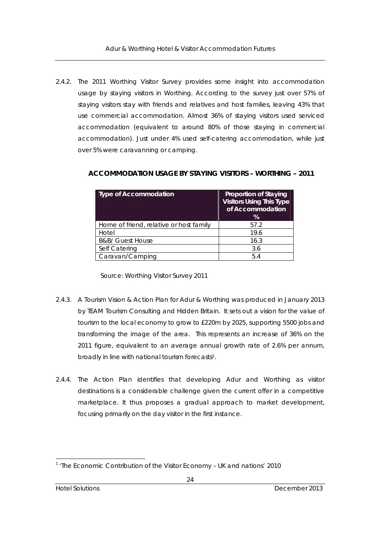2.4.2. The 2011 Worthing Visitor Survey provides some insight into accommodation usage by staying visitors in Worthing. According to the survey just over 57% of staying visitors stay with friends and relatives and host families, leaving 43% that use commercial accommodation. Almost 36% of staying visitors used serviced accommodation (equivalent to around 80% of those staying in commercial accommodation). Just under 4% used self-catering accommodation, while just over 5% were caravanning or camping.

| <b>Type of Accommodation</b>            | <b>Proportion of Staying</b><br><b>Visitors Using This Type</b><br>of Accommodation<br>% |
|-----------------------------------------|------------------------------------------------------------------------------------------|
| Home of friend, relative or host family | 57.2                                                                                     |
| Hotel                                   | 19.6                                                                                     |
| <b>B&amp;B/ Guest House</b>             | 16.3                                                                                     |
| Self Catering                           | 3.6                                                                                      |
| Caravan/Camping                         | 5.4                                                                                      |
|                                         |                                                                                          |

#### **ACCOMMODATION USAGE BY STAYING VISITORS – WORTHING – 2011**

Source: Worthing Visitor Survey 2011

- 2.4.3. A Tourism Vision & Action Plan for Adur & Worthing was produced in January 2013 by TEAM Tourism Consulting and Hidden Britain. It sets out a vision for the value of tourism to the local economy to grow to £220m by 2025, supporting 5500 jobs and transforming the image of the area. This represents an increase of 36% on the 2011 figure, equivalent to an average annual growth rate of 2.6% per annum, broadly in line with national tourism forecasts1.
- 2.4.4. The Action Plan identifies that developing Adur and Worthing as visitor destinations is a considerable challenge given the current offer in a competitive marketplace. It thus proposes a gradual approach to market development, focusing primarily on the day visitor in the first instance.

l <sup>1</sup> 'The Economic Contribution of the Visitor Economy - UK and nations' 2010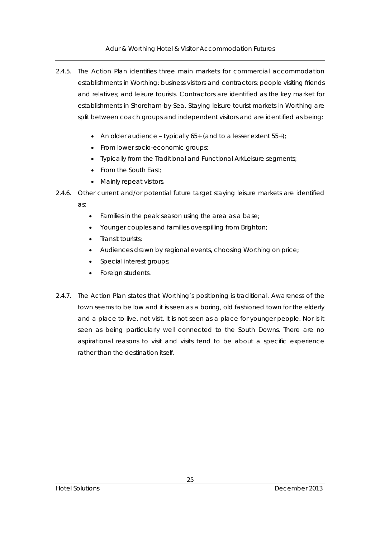Adur & Worthing Hotel & Visitor Accommodation Futures

- 2.4.5. The Action Plan identifies three main markets for commercial accommodation establishments in Worthing: business visitors and contractors; people visiting friends and relatives; and leisure tourists. Contractors are identified as the key market for establishments in Shoreham-by-Sea. Staying leisure tourist markets in Worthing are split between coach groups and independent visitors and are identified as being:
	- An older audience typically  $65+$  (and to a lesser extent  $55+)$ ;
	- From lower socio-economic groups;
	- Typically from the Traditional and Functional ArkLeisure segments;
	- From the South East;
	- Mainly repeat visitors.
- 2.4.6. Other current and/or potential future target staying leisure markets are identified as:
	- Families in the peak season using the area as a base;
	- Younger couples and families overspilling from Brighton;
	- Transit tourists;
	- Audiences drawn by regional events, choosing Worthing on price;
	- Special interest groups;
	- Foreign students.
- 2.4.7. The Action Plan states that Worthing's positioning is traditional. Awareness of the town seems to be low and it is seen as a boring, old fashioned town for the elderly and a place to live, not visit. It is not seen as a place for younger people. Nor is it seen as being particularly well connected to the South Downs. There are no aspirational reasons to visit and visits tend to be about a specific experience rather than the destination itself.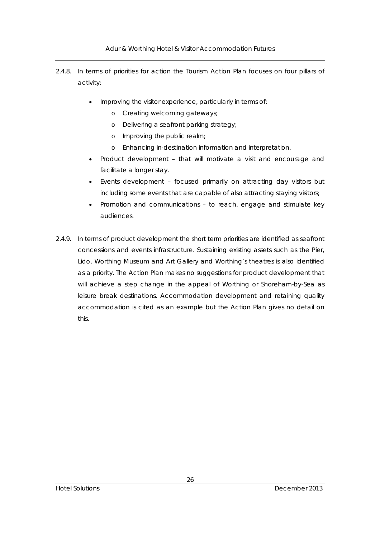Adur & Worthing Hotel & Visitor Accommodation Futures

- 2.4.8. In terms of priorities for action the Tourism Action Plan focuses on four pillars of activity:
	- Improving the visitor experience, particularly in terms of:
		- o Creating welcoming gateways;
		- o Delivering a seafront parking strategy;
		- o Improving the public realm;
		- o Enhancing in-destination information and interpretation.
	- Product development that will motivate a visit and encourage and facilitate a longer stay.
	- Events development focused primarily on attracting day visitors but including some events that are capable of also attracting staying visitors;
	- Promotion and communications to reach, engage and stimulate key audiences.
- 2.4.9. In terms of product development the short term priorities are identified as seafront concessions and events infrastructure. Sustaining existing assets such as the Pier, Lido, Worthing Museum and Art Gallery and Worthing's theatres is also identified as a priority. The Action Plan makes no suggestions for product development that will achieve a step change in the appeal of Worthing or Shoreham-by-Sea as leisure break destinations. Accommodation development and retaining quality accommodation is cited as an example but the Action Plan gives no detail on this.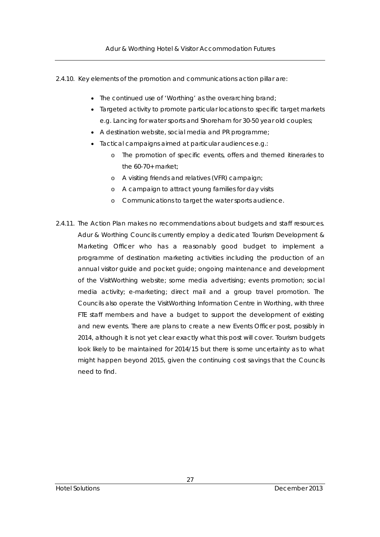- 2.4.10. Key elements of the promotion and communications action pillar are:
	- The continued use of 'Worthing' as the overarching brand;
	- Targeted activity to promote particular locations to specific target markets e.g. Lancing for water sports and Shoreham for 30-50 year old couples;
	- A destination website, social media and PR programme;
	- Tactical campaigns aimed at particular audiences e.g.:
		- o The promotion of specific events, offers and themed itineraries to the 60-70+ market;
		- o A visiting friends and relatives (VFR) campaign;
		- o A campaign to attract young families for day visits
		- o Communications to target the water sports audience.
- 2.4.11. The Action Plan makes no recommendations about budgets and staff resources. Adur & Worthing Councils currently employ a dedicated Tourism Development & Marketing Officer who has a reasonably good budget to implement a programme of destination marketing activities including the production of an annual visitor guide and pocket guide; ongoing maintenance and development of the VisitWorthing website; some media advertising; events promotion; social media activity; e-marketing; direct mail and a group travel promotion. The Councils also operate the VisitWorthing Information Centre in Worthing, with three FTE staff members and have a budget to support the development of existing and new events. There are plans to create a new Events Officer post, possibly in 2014, although it is not yet clear exactly what this post will cover. Tourism budgets look likely to be maintained for 2014/15 but there is some uncertainty as to what might happen beyond 2015, given the continuing cost savings that the Councils need to find.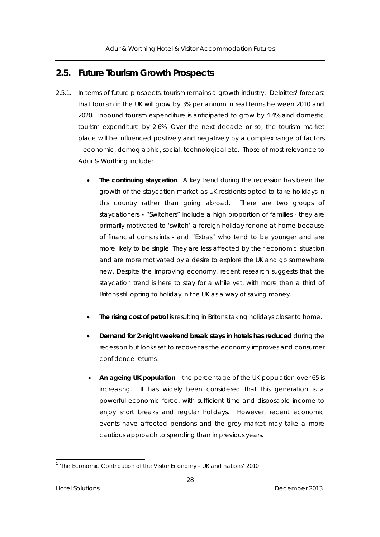## **2.5. Future Tourism Growth Prospects**

- 2.5.1. In terms of future prospects, tourism remains a growth industry. Deloittes1 forecast that tourism in the UK will grow by 3% per annum in real terms between 2010 and 2020. Inbound tourism expenditure is anticipated to grow by 4.4% and domestic tourism expenditure by 2.6%. Over the next decade or so, the tourism market place will be influenced positively and negatively by a complex range of factors – economic, demographic, social, technological etc. Those of most relevance to Adur & Worthing include:
	- **The continuing staycation**. A key trend during the recession has been the growth of the staycation market as UK residents opted to take holidays in this country rather than going abroad. There are two groups of staycationers **-** "Switchers" include a high proportion of families - they are primarily motivated to 'switch' a foreign holiday for one at home because of financial constraints - and "Extras" who tend to be younger and are more likely to be single. They are less affected by their economic situation and are more motivated by a desire to explore the UK and go somewhere new. Despite the improving economy, recent research suggests that the staycation trend is here to stay for a while yet, with more than a third of Britons still opting to holiday in the UK as a way of saving money.
	- **The rising cost of petrol** is resulting in Britons taking holidays closer to home.
	- **Demand for 2-night weekend break stays in hotels has reduced** during the recession but looks set to recover as the economy improves and consumer confidence returns.
	- **An ageing UK population** the percentage of the UK population over 65 is increasing. It has widely been considered that this generation is a powerful economic force, with sufficient time and disposable income to enjoy short breaks and regular holidays. However, recent economic events have affected pensions and the grey market may take a more cautious approach to spending than in previous years.

l <sup>1</sup> 'The Economic Contribution of the Visitor Economy - UK and nations' 2010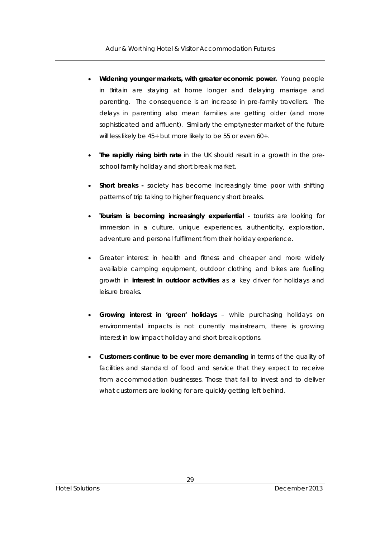- **Widening younger markets, with greater economic power.** Young people in Britain are staying at home longer and delaying marriage and parenting. The consequence is an increase in pre-family travellers. The delays in parenting also mean families are getting older (and more sophisticated and affluent). Similarly the emptynester market of the future will less likely be 45+ but more likely to be 55 or even 60+.
- **The rapidly rising birth rate** in the UK should result in a growth in the preschool family holiday and short break market.
- **Short breaks** society has become increasingly time poor with shifting patterns of trip taking to higher frequency short breaks.
- **Tourism is becoming increasingly experiential** tourists are looking for immersion in a culture, unique experiences, authenticity, exploration, adventure and personal fulfilment from their holiday experience.
- Greater interest in health and fitness and cheaper and more widely available camping equipment, outdoor clothing and bikes are fuelling growth in **interest in outdoor activities** as a key driver for holidays and leisure breaks.
- **Growing interest in 'green' holidays** while purchasing holidays on environmental impacts is not currently mainstream, there is growing interest in low impact holiday and short break options.
- **Customers continue to be ever more demanding** in terms of the quality of facilities and standard of food and service that they expect to receive from accommodation businesses. Those that fail to invest and to deliver what customers are looking for are quickly getting left behind.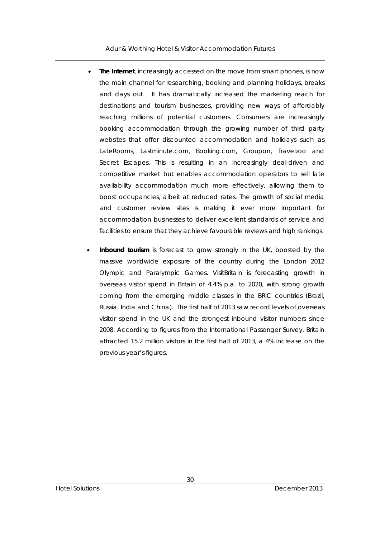Adur & Worthing Hotel & Visitor Accommodation Futures

- **The Internet**, increasingly accessed on the move from smart phones, is now the main channel for researching, booking and planning holidays, breaks and days out. It has dramatically increased the marketing reach for destinations and tourism businesses, providing new ways of affordably reaching millions of potential customers. Consumers are increasingly booking accommodation through the growing number of third party websites that offer discounted accommodation and holidays such as LateRooms, Lastminute.com, Booking.com, Groupon, Travelzoo and Secret Escapes. This is resulting in an increasingly deal-driven and competitive market but enables accommodation operators to sell late availability accommodation much more effectively, allowing them to boost occupancies, albeit at reduced rates. The growth of social media and customer review sites is making it ever more important for accommodation businesses to deliver excellent standards of service and facilities to ensure that they achieve favourable reviews and high rankings.
- **Inbound tourism** is forecast to grow strongly in the UK, boosted by the massive worldwide exposure of the country during the London 2012 Olympic and Paralympic Games. VisitBritain is forecasting growth in overseas visitor spend in Britain of 4.4% p.a. to 2020, with strong growth coming from the emerging middle classes in the BRIC countries (Brazil, Russia, India and China). The first half of 2013 saw record levels of overseas visitor spend in the UK and the strongest inbound visitor numbers since 2008. According to figures from the International Passenger Survey, Britain attracted 15.2 million visitors in the first half of 2013, a 4% increase on the previous year's figures.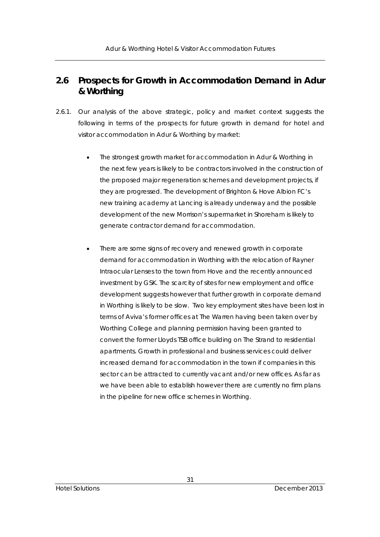# **2.6 Prospects for Growth in Accommodation Demand in Adur & Worthing**

- 2.6.1. Our analysis of the above strategic, policy and market context suggests the following in terms of the prospects for future growth in demand for hotel and visitor accommodation in Adur & Worthing by market:
	- The strongest growth market for accommodation in Adur & Worthing in the next few years is likely to be contractors involved in the construction of the proposed major regeneration schemes and development projects, if they are progressed. The development of Brighton & Hove Albion FC's new training academy at Lancing is already underway and the possible development of the new Morrison's supermarket in Shoreham is likely to generate contractor demand for accommodation.
	- There are some signs of recovery and renewed growth in corporate demand for accommodation in Worthing with the relocation of Rayner Intraocular Lenses to the town from Hove and the recently announced investment by GSK. The scarcity of sites for new employment and office development suggests however that further growth in corporate demand in Worthing is likely to be slow. Two key employment sites have been lost in terms of Aviva's former offices at The Warren having been taken over by Worthing College and planning permission having been granted to convert the former Lloyds TSB office building on The Strand to residential apartments. Growth in professional and business services could deliver increased demand for accommodation in the town if companies in this sector can be attracted to currently vacant and/or new offices. As far as we have been able to establish however there are currently no firm plans in the pipeline for new office schemes in Worthing.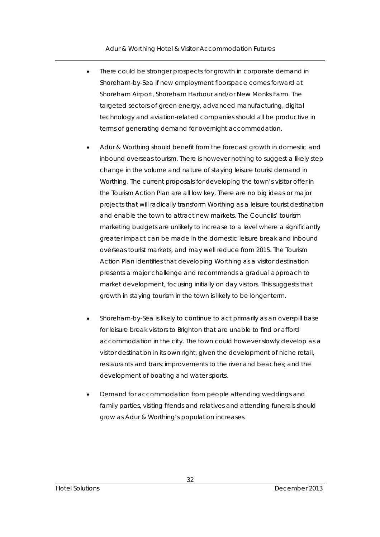- There could be stronger prospects for growth in corporate demand in Shoreham-by-Sea if new employment floorspace comes forward at Shoreham Airport, Shoreham Harbour and/or New Monks Farm. The targeted sectors of green energy, advanced manufacturing, digital technology and aviation-related companies should all be productive in terms of generating demand for overnight accommodation.
- Adur & Worthing should benefit from the forecast growth in domestic and inbound overseas tourism. There is however nothing to suggest a likely step change in the volume and nature of staying leisure tourist demand in Worthing. The current proposals for developing the town's visitor offer in the Tourism Action Plan are all low key. There are no big ideas or major projects that will radically transform Worthing as a leisure tourist destination and enable the town to attract new markets. The Councils' tourism marketing budgets are unlikely to increase to a level where a significantly greater impact can be made in the domestic leisure break and inbound overseas tourist markets, and may well reduce from 2015. The Tourism Action Plan identifies that developing Worthing as a visitor destination presents a major challenge and recommends a gradual approach to market development, focusing initially on day visitors. This suggests that growth in staying tourism in the town is likely to be longer term.
- Shoreham-by-Sea is likely to continue to act primarily as an overspill base for leisure break visitors to Brighton that are unable to find or afford accommodation in the city. The town could however slowly develop as a visitor destination in its own right, given the development of niche retail, restaurants and bars; improvements to the river and beaches; and the development of boating and water sports.
- Demand for accommodation from people attending weddings and family parties, visiting friends and relatives and attending funerals should grow as Adur & Worthing's population increases.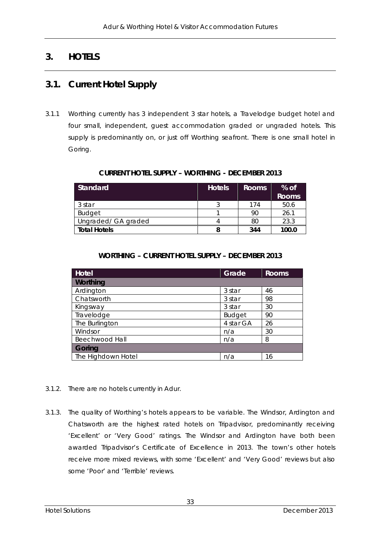# **3. HOTELS**

## **3.1. Current Hotel Supply**

3.1.1 Worthing currently has 3 independent 3 star hotels, a Travelodge budget hotel and four small, independent, guest accommodation graded or ungraded hotels. This supply is predominantly on, or just off Worthing seafront. There is one small hotel in Goring.

| Standard            | <b>Hotels</b> | Rooms | $%$ of<br><b>Rooms</b> |
|---------------------|---------------|-------|------------------------|
| 3 star              |               | 174   | 50.6                   |
| <b>Budget</b>       |               | 90    | 26.1                   |
| Ungraded/ GA graded |               | 80    | 23.3                   |
| <b>Total Hotels</b> |               | 344   | 100.0                  |

### **CURRENT HOTEL SUPPLY – WORTHING - DECEMBER 2013**

### **WORTHING – CURRENT HOTEL SUPPLY – DECEMBER 2013**

| <b>Hotel</b>       | Grade         | <b>Rooms</b> |  |
|--------------------|---------------|--------------|--|
| Worthing           |               |              |  |
| Ardington          | 3 star        | 46           |  |
| Chatsworth         | 3 star        | 98           |  |
| Kingsway           | 3 star        | 30           |  |
| Travelodge         | <b>Budget</b> | 90           |  |
| The Burlington     | 4 star GA     | 26           |  |
| Windsor            | n/a           | 30           |  |
| Beechwood Hall     | n/a           | 8            |  |
| Goring             |               |              |  |
| The Highdown Hotel | n/a           | 16           |  |

- 3.1.2. There are no hotels currently in Adur.
- 3.1.3. The quality of Worthing's hotels appears to be variable. The Windsor, Ardington and Chatsworth are the highest rated hotels on Tripadvisor, predominantly receiving 'Excellent' or 'Very Good' ratings. The Windsor and Ardington have both been awarded Tripadvisor's Certificate of Excellence in 2013. The town's other hotels receive more mixed reviews, with some 'Excellent' and 'Very Good' reviews but also some 'Poor' and 'Terrible' reviews.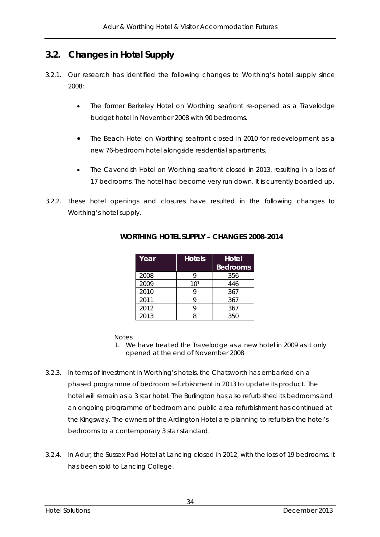# **3.2. Changes in Hotel Supply**

- 3.2.1. Our research has identified the following changes to Worthing's hotel supply since 2008:
	- The former Berkeley Hotel on Worthing seafront re-opened as a Travelodge budget hotel in November 2008 with 90 bedrooms.
	- The Beach Hotel on Worthing seafront closed in 2010 for redevelopment as a new 76-bedroom hotel alongside residential apartments.
	- The Cavendish Hotel on Worthing seafront closed in 2013, resulting in a loss of 17 bedrooms. The hotel had become very run down. It is currently boarded up.
- 3.2.2. These hotel openings and closures have resulted in the following changes to Worthing's hotel supply.

| Year | <b>Hotels</b>   | Hotel<br><b>Bedrooms</b> |
|------|-----------------|--------------------------|
| 2008 |                 | 356                      |
| 2009 | 10 <sup>1</sup> | 446                      |
| 2010 |                 | 367                      |
| 2011 |                 | 367                      |
| 2012 |                 | 367                      |
| 2013 | Q               | 350                      |

### **WORTHING HOTEL SUPPLY – CHANGES 2008-2014**

Notes:

- 1. We have treated the Travelodge as a new hotel in 2009 as it only opened at the end of November 2008
- 3.2.3. In terms of investment in Worthing's hotels, the Chatsworth has embarked on a phased programme of bedroom refurbishment in 2013 to update its product. The hotel will remain as a 3 star hotel. The Burlington has also refurbished its bedrooms and an ongoing programme of bedroom and public area refurbishment has continued at the Kingsway. The owners of the Ardington Hotel are planning to refurbish the hotel's bedrooms to a contemporary 3 star standard.
- 3.2.4. In Adur, the Sussex Pad Hotel at Lancing closed in 2012, with the loss of 19 bedrooms. It has been sold to Lancing College.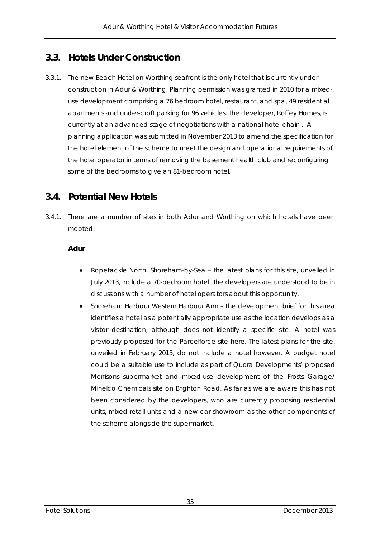# **3.3. Hotels Under Construction**

3.3.1. The new Beach Hotel on Worthing seafront is the only hotel that is currently under construction in Adur & Worthing. Planning permission was granted in 2010 for a mixeduse development comprising a 76 bedroom hotel, restaurant, and spa, 49 residential apartments and under-croft parking for 96 vehicles. The developer, Roffey Homes, is currently at an advanced stage of negotiations with a national hotel chain . A planning application was submitted in November 2013 to amend the specification for the hotel element of the scheme to meet the design and operational requirements of the hotel operator in terms of removing the basement health club and reconfiguring some of the bedrooms to give an 81-bedroom hotel.

# **3.4. Potential New Hotels**

3.4.1. There are a number of sites in both Adur and Worthing on which hotels have been mooted:

### **Adur**

- Ropetackle North, Shoreham-by-Sea the latest plans for this site, unveiled in July 2013, include a 70-bedroom hotel. The developers are understood to be in discussions with a number of hotel operators about this opportunity.
- Shoreham Harbour Western Harbour Arm the development brief for this area identifies a hotel as a potentially appropriate use as the location develops as a visitor destination, although does not identify a specific site. A hotel was previously proposed for the Parcelforce site here. The latest plans for the site, unveiled in February 2013, do not include a hotel however. A budget hotel could be a suitable use to include as part of Quora Developments' proposed Morrisons supermarket and mixed-use development of the Frosts Garage/ Minelco Chemicals site on Brighton Road. As far as we are aware this has not been considered by the developers, who are currently proposing residential units, mixed retail units and a new car showroom as the other components of the scheme alongside the supermarket.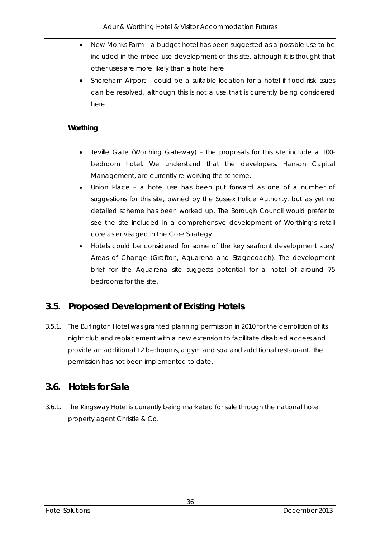- New Monks Farm a budget hotel has been suggested as a possible use to be included in the mixed-use development of this site, although it is thought that other uses are more likely than a hotel here.
- Shoreham Airport could be a suitable location for a hotel if flood risk issues can be resolved, although this is not a use that is currently being considered here.

### **Worthing**

- Teville Gate (Worthing Gateway) the proposals for this site include a 100 bedroom hotel. We understand that the developers, Hanson Capital Management, are currently re-working the scheme.
- Union Place a hotel use has been put forward as one of a number of suggestions for this site, owned by the Sussex Police Authority, but as yet no detailed scheme has been worked up. The Borough Council would prefer to see the site included in a comprehensive development of Worthing's retail core as envisaged in the Core Strategy.
- Hotels could be considered for some of the key seafront development sites/ Areas of Change (Grafton, Aquarena and Stagecoach). The development brief for the Aquarena site suggests potential for a hotel of around 75 bedrooms for the site.

# **3.5. Proposed Development of Existing Hotels**

3.5.1. The Burlington Hotel was granted planning permission in 2010 for the demolition of its night club and replacement with a new extension to facilitate disabled access and provide an additional 12 bedrooms, a gym and spa and additional restaurant. The permission has not been implemented to date.

## **3.6. Hotels for Sale**

3.6.1. The Kingsway Hotel is currently being marketed for sale through the national hotel property agent Christie & Co.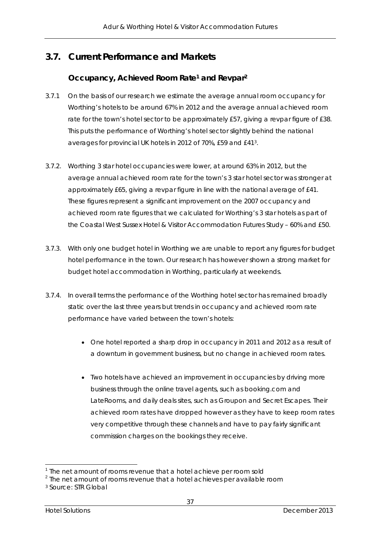# **3.7. Current Performance and Markets**

### **Occupancy, Achieved Room Rate1 and Revpar2**

- 3.7.1 On the basis of our research we estimate the average annual room occupancy for Worthing's hotels to be around 67% in 2012 and the average annual achieved room rate for the town's hotel sector to be approximately £57, giving a revpar figure of £38. This puts the performance of Worthing's hotel sector slightly behind the national averages for provincial UK hotels in 2012 of 70%, £59 and £413.
- 3.7.2. Worthing 3 star hotel occupancies were lower, at around 63% in 2012, but the average annual achieved room rate for the town's 3 star hotel sector was stronger at approximately £65, giving a revpar figure in line with the national average of £41. These figures represent a significant improvement on the 2007 occupancy and achieved room rate figures that we calculated for Worthing's 3 star hotels as part of the Coastal West Sussex Hotel & Visitor Accommodation Futures Study – 60% and £50.
- 3.7.3. With only one budget hotel in Worthing we are unable to report any figures for budget hotel performance in the town. Our research has however shown a strong market for budget hotel accommodation in Worthing, particularly at weekends.
- 3.7.4. In overall terms the performance of the Worthing hotel sector has remained broadly static over the last three years but trends in occupancy and achieved room rate performance have varied between the town's hotels:
	- One hotel reported a sharp drop in occupancy in 2011 and 2012 as a result of a downturn in government business, but no change in achieved room rates.
	- Two hotels have achieved an improvement in occupancies by driving more business through the online travel agents, such as booking.com and LateRooms, and daily deals sites, such as Groupon and Secret Escapes. Their achieved room rates have dropped however as they have to keep room rates very competitive through these channels and have to pay fairly significant commission charges on the bookings they receive.

l

<sup>&</sup>lt;sup>1</sup> The net amount of rooms revenue that a hotel achieve per room sold

<sup>&</sup>lt;sup>2</sup> The net amount of rooms revenue that a hotel achieves per available room

<sup>3</sup> Source: STR Global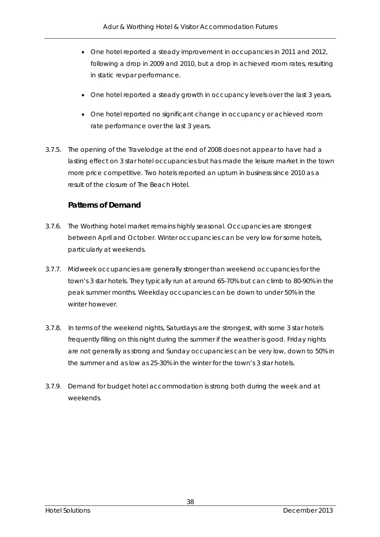- One hotel reported a steady improvement in occupancies in 2011 and 2012, following a drop in 2009 and 2010, but a drop in achieved room rates, resulting in static revpar performance.
- One hotel reported a steady growth in occupancy levels over the last 3 years.
- One hotel reported no significant change in occupancy or achieved room rate performance over the last 3 years.
- 3.7.5. The opening of the Travelodge at the end of 2008 does not appear to have had a lasting effect on 3 star hotel occupancies but has made the leisure market in the town more price competitive. Two hotels reported an upturn in business since 2010 as a result of the closure of The Beach Hotel.

### **Patterns of Demand**

- 3.7.6. The Worthing hotel market remains highly seasonal. Occupancies are strongest between April and October. Winter occupancies can be very low for some hotels, particularly at weekends.
- 3.7.7. Midweek occupancies are generally stronger than weekend occupancies for the town's 3 star hotels. They typically run at around 65-70% but can climb to 80-90% in the peak summer months. Weekday occupancies can be down to under 50% in the winter however.
- 3.7.8. In terms of the weekend nights, Saturdays are the strongest, with some 3 star hotels frequently filling on this night during the summer if the weather is good. Friday nights are not generally as strong and Sunday occupancies can be very low, down to 50% in the summer and as low as 25-30% in the winter for the town's 3 star hotels.
- 3.7.9. Demand for budget hotel accommodation is strong both during the week and at weekends.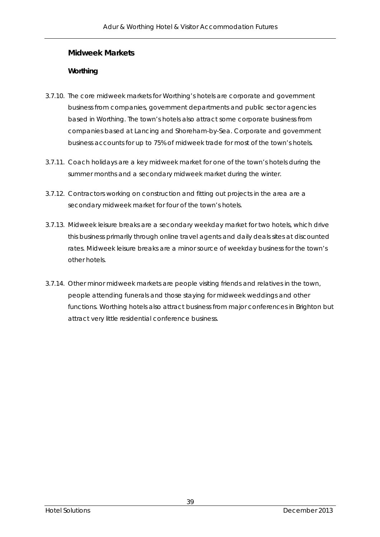### **Midweek Markets**

#### **Worthing**

- 3.7.10. The core midweek markets for Worthing's hotels are corporate and government business from companies, government departments and public sector agencies based in Worthing. The town's hotels also attract some corporate business from companies based at Lancing and Shoreham-by-Sea. Corporate and government business accounts for up to 75% of midweek trade for most of the town's hotels.
- 3.7.11. Coach holidays are a key midweek market for one of the town's hotels during the summer months and a secondary midweek market during the winter.
- 3.7.12. Contractors working on construction and fitting out projects in the area are a secondary midweek market for four of the town's hotels.
- 3.7.13. Midweek leisure breaks are a secondary weekday market for two hotels, which drive this business primarily through online travel agents and daily deals sites at discounted rates. Midweek leisure breaks are a minor source of weekday business for the town's other hotels.
- 3.7.14. Other minor midweek markets are people visiting friends and relatives in the town, people attending funerals and those staying for midweek weddings and other functions. Worthing hotels also attract business from major conferences in Brighton but attract very little residential conference business.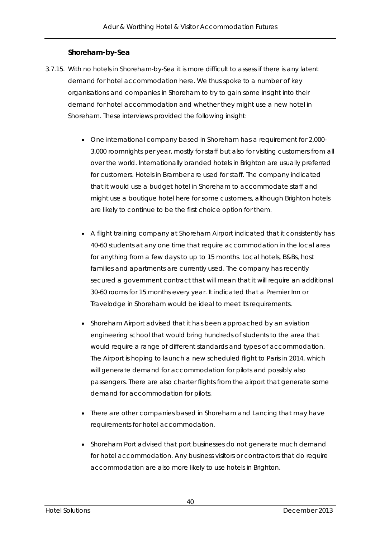### **Shoreham-by-Sea**

- 3.7.15. With no hotels in Shoreham-by-Sea it is more difficult to assess if there is any latent demand for hotel accommodation here. We thus spoke to a number of key organisations and companies in Shoreham to try to gain some insight into their demand for hotel accommodation and whether they might use a new hotel in Shoreham. These interviews provided the following insight:
	- One international company based in Shoreham has a requirement for 2,000- 3,000 roomnights per year, mostly for staff but also for visiting customers from all over the world. Internationally branded hotels in Brighton are usually preferred for customers. Hotels in Bramber are used for staff. The company indicated that it would use a budget hotel in Shoreham to accommodate staff and might use a boutique hotel here for some customers, although Brighton hotels are likely to continue to be the first choice option for them.
	- A flight training company at Shoreham Airport indicated that it consistently has 40-60 students at any one time that require accommodation in the local area for anything from a few days to up to 15 months. Local hotels, B&Bs, host families and apartments are currently used. The company has recently secured a government contract that will mean that it will require an additional 30-60 rooms for 15 months every year. It indicated that a Premier Inn or Travelodge in Shoreham would be ideal to meet its requirements.
	- Shoreham Airport advised that it has been approached by an aviation engineering school that would bring hundreds of students to the area that would require a range of different standards and types of accommodation. The Airport is hoping to launch a new scheduled flight to Paris in 2014, which will generate demand for accommodation for pilots and possibly also passengers. There are also charter flights from the airport that generate some demand for accommodation for pilots.
	- There are other companies based in Shoreham and Lancing that may have requirements for hotel accommodation.
	- Shoreham Port advised that port businesses do not generate much demand for hotel accommodation. Any business visitors or contractors that do require accommodation are also more likely to use hotels in Brighton.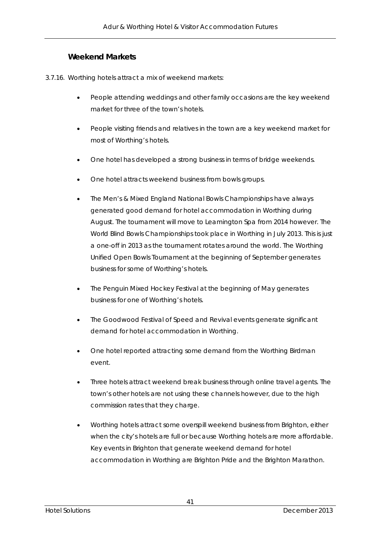### **Weekend Markets**

- 3.7.16. Worthing hotels attract a mix of weekend markets:
	- People attending weddings and other family occasions are the key weekend market for three of the town's hotels.
	- People visiting friends and relatives in the town are a key weekend market for most of Worthing's hotels.
	- One hotel has developed a strong business in terms of bridge weekends.
	- One hotel attracts weekend business from bowls groups.
	- The Men's & Mixed England National Bowls Championships have always generated good demand for hotel accommodation in Worthing during August. The tournament will move to Leamington Spa from 2014 however. The World Blind Bowls Championships took place in Worthing in July 2013. This is just a one-off in 2013 as the tournament rotates around the world. The Worthing Unified Open Bowls Tournament at the beginning of September generates business for some of Worthing's hotels.
	- The Penguin Mixed Hockey Festival at the beginning of May generates business for one of Worthing's hotels.
	- The Goodwood Festival of Speed and Revival events generate significant demand for hotel accommodation in Worthing.
	- One hotel reported attracting some demand from the Worthing Birdman event.
	- Three hotels attract weekend break business through online travel agents. The town's other hotels are not using these channels however, due to the high commission rates that they charge.
	- Worthing hotels attract some overspill weekend business from Brighton, either when the city's hotels are full or because Worthing hotels are more affordable. Key events in Brighton that generate weekend demand for hotel accommodation in Worthing are Brighton Pride and the Brighton Marathon.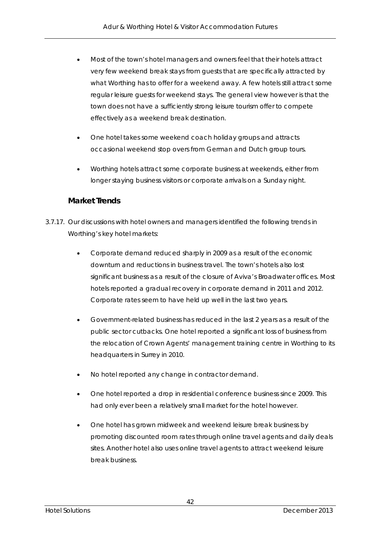- Most of the town's hotel managers and owners feel that their hotels attract very few weekend break stays from guests that are specifically attracted by what Worthing has to offer for a weekend away. A few hotels still attract some regular leisure guests for weekend stays. The general view however is that the town does not have a sufficiently strong leisure tourism offer to compete effectively as a weekend break destination.
- One hotel takes some weekend coach holiday groups and attracts occasional weekend stop overs from German and Dutch group tours.
- Worthing hotels attract some corporate business at weekends, either from longer staying business visitors or corporate arrivals on a Sunday night.

### **Market Trends**

- 3.7.17. Our discussions with hotel owners and managers identified the following trends in Worthing's key hotel markets:
	- Corporate demand reduced sharply in 2009 as a result of the economic downturn and reductions in business travel. The town's hotels also lost significant business as a result of the closure of Aviva's Broadwater offices. Most hotels reported a gradual recovery in corporate demand in 2011 and 2012. Corporate rates seem to have held up well in the last two years.
	- Government-related business has reduced in the last 2 years as a result of the public sector cutbacks. One hotel reported a significant loss of business from the relocation of Crown Agents' management training centre in Worthing to its headquarters in Surrey in 2010.
	- No hotel reported any change in contractor demand.
	- One hotel reported a drop in residential conference business since 2009. This had only ever been a relatively small market for the hotel however.
	- One hotel has grown midweek and weekend leisure break business by promoting discounted room rates through online travel agents and daily deals sites. Another hotel also uses online travel agents to attract weekend leisure break business.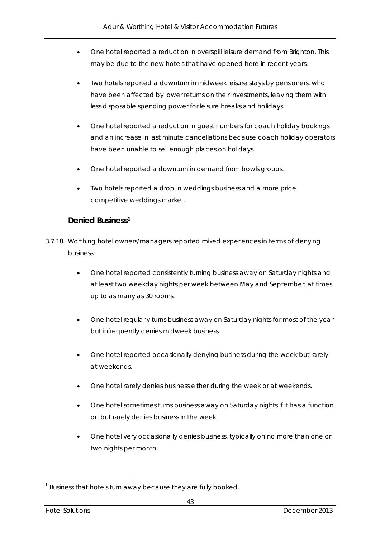- One hotel reported a reduction in overspill leisure demand from Brighton. This may be due to the new hotels that have opened here in recent years.
- Two hotels reported a downturn in midweek leisure stays by pensioners, who have been affected by lower returns on their investments, leaving them with less disposable spending power for leisure breaks and holidays.
- One hotel reported a reduction in guest numbers for coach holiday bookings and an increase in last minute cancellations because coach holiday operators have been unable to sell enough places on holidays.
- One hotel reported a downturn in demand from bowls groups.
- Two hotels reported a drop in weddings business and a more price competitive weddings market.

### **Denied Business1**

- 3.7.18. Worthing hotel owners/managers reported mixed experiences in terms of denying business:
	- One hotel reported consistently turning business away on Saturday nights and at least two weekday nights per week between May and September, at times up to as many as 30 rooms.
	- One hotel regularly turns business away on Saturday nights for most of the year but infrequently denies midweek business.
	- One hotel reported occasionally denying business during the week but rarely at weekends.
	- One hotel rarely denies business either during the week or at weekends.
	- One hotel sometimes turns business away on Saturday nights if it has a function on but rarely denies business in the week.
	- One hotel very occasionally denies business, typically on no more than one or two nights per month.

l <sup>1</sup> Business that hotels turn away because they are fully booked.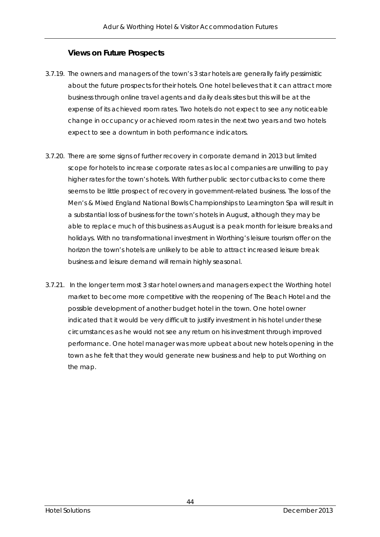### **Views on Future Prospects**

- 3.7.19. The owners and managers of the town's 3 star hotels are generally fairly pessimistic about the future prospects for their hotels. One hotel believes that it can attract more business through online travel agents and daily deals sites but this will be at the expense of its achieved room rates. Two hotels do not expect to see any noticeable change in occupancy or achieved room rates in the next two years and two hotels expect to see a downturn in both performance indicators.
- 3.7.20. There are some signs of further recovery in corporate demand in 2013 but limited scope for hotels to increase corporate rates as local companies are unwilling to pay higher rates for the town's hotels. With further public sector cutbacks to come there seems to be little prospect of recovery in government-related business. The loss of the Men's & Mixed England National Bowls Championships to Leamington Spa will result in a substantial loss of business for the town's hotels in August, although they may be able to replace much of this business as August is a peak month for leisure breaks and holidays. With no transformational investment in Worthing's leisure tourism offer on the horizon the town's hotels are unlikely to be able to attract increased leisure break business and leisure demand will remain highly seasonal.
- 3.7.21. In the longer term most 3 star hotel owners and managers expect the Worthing hotel market to become more competitive with the reopening of The Beach Hotel and the possible development of another budget hotel in the town. One hotel owner indicated that it would be very difficult to justify investment in his hotel under these circumstances as he would not see any return on his investment through improved performance. One hotel manager was more upbeat about new hotels opening in the town as he felt that they would generate new business and help to put Worthing on the map.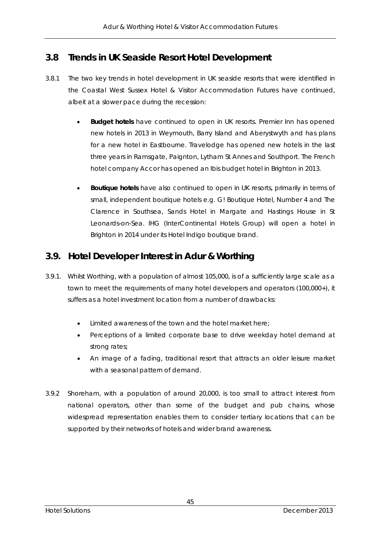# **3.8 Trends in UK Seaside Resort Hotel Development**

- 3.8.1 The two key trends in hotel development in UK seaside resorts that were identified in the Coastal West Sussex Hotel & Visitor Accommodation Futures have continued, albeit at a slower pace during the recession:
	- **Budget hotels** have continued to open in UK resorts. Premier Inn has opened new hotels in 2013 in Weymouth, Barry Island and Aberystwyth and has plans for a new hotel in Eastbourne. Travelodge has opened new hotels in the last three years in Ramsgate, Paignton, Lytham St Annes and Southport. The French hotel company Accor has opened an Ibis budget hotel in Brighton in 2013.
	- **Boutique hotels** have also continued to open in UK resorts, primarily in terms of small, independent boutique hotels e.g. G! Boutique Hotel, Number 4 and The Clarence in Southsea, Sands Hotel in Margate and Hastings House in St Leonards-on-Sea. IHG (InterContinental Hotels Group) will open a hotel in Brighton in 2014 under its Hotel Indigo boutique brand.

# **3.9. Hotel Developer Interest in Adur & Worthing**

- 3.9.1. Whilst Worthing, with a population of almost 105,000, is of a sufficiently large scale as a town to meet the requirements of many hotel developers and operators (100,000+), it suffers as a hotel investment location from a number of drawbacks:
	- Limited awareness of the town and the hotel market here;
	- Perceptions of a limited corporate base to drive weekday hotel demand at strong rates;
	- An image of a fading, traditional resort that attracts an older leisure market with a seasonal pattern of demand.
- 3.9.2 Shoreham, with a population of around 20,000, is too small to attract interest from national operators, other than some of the budget and pub chains, whose widespread representation enables them to consider tertiary locations that can be supported by their networks of hotels and wider brand awareness.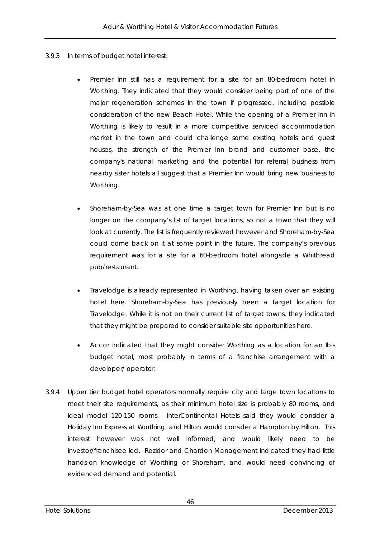- 3.9.3 In terms of budget hotel interest:
	- Premier Inn still has a requirement for a site for an 80-bedroom hotel in Worthing. They indicated that they would consider being part of one of the major regeneration schemes in the town if progressed, including possible consideration of the new Beach Hotel. While the opening of a Premier Inn in Worthing is likely to result in a more competitive serviced accommodation market in the town and could challenge some existing hotels and guest houses, the strength of the Premier Inn brand and customer base, the company's national marketing and the potential for referral business from nearby sister hotels all suggest that a Premier Inn would bring new business to Worthing.
	- Shoreham-by-Sea was at one time a target town for Premier Inn but is no longer on the company's list of target locations, so not a town that they will look at currently. The list is frequently reviewed however and Shoreham-by-Sea could come back on it at some point in the future. The company's previous requirement was for a site for a 60-bedroom hotel alongside a Whitbread pub/restaurant.
	- Travelodge is already represented in Worthing, having taken over an existing hotel here. Shoreham-by-Sea has previously been a target location for Travelodge. While it is not on their current list of target towns, they indicated that they might be prepared to consider suitable site opportunities here.
	- Accor indicated that they might consider Worthing as a location for an Ibis budget hotel, most probably in terms of a franchise arrangement with a developer/ operator.
- 3.9.4 Upper tier budget hotel operators normally require city and large town locations to meet their site requirements, as their minimum hotel size is probably 80 rooms, and ideal model 120-150 rooms. InterContinental Hotels said they would consider a Holiday Inn Express at Worthing, and Hilton would consider a Hampton by Hilton. This interest however was not well informed, and would likely need to be investor/franchisee led. Rezidor and Chardon Management indicated they had little hands-on knowledge of Worthing or Shoreham, and would need convincing of evidenced demand and potential.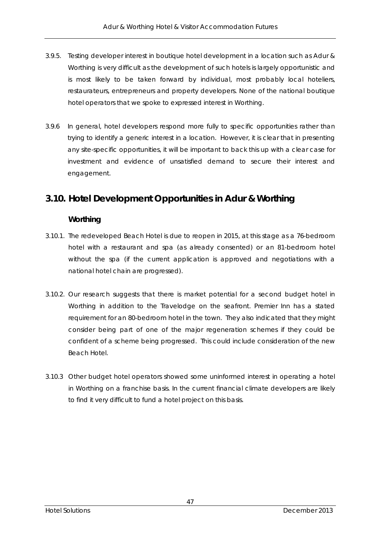- 3.9.5. Testing developer interest in boutique hotel development in a location such as Adur & Worthing is very difficult as the development of such hotels is largely opportunistic and is most likely to be taken forward by individual, most probably local hoteliers, restaurateurs, entrepreneurs and property developers. None of the national boutique hotel operators that we spoke to expressed interest in Worthing.
- 3.9.6 In general, hotel developers respond more fully to specific opportunities rather than trying to identify a generic interest in a location. However, it is clear that in presenting any site-specific opportunities, it will be important to back this up with a clear case for investment and evidence of unsatisfied demand to secure their interest and engagement.

# **3.10. Hotel Development Opportunities in Adur & Worthing**

### **Worthing**

- 3.10.1. The redeveloped Beach Hotel is due to reopen in 2015, at this stage as a 76-bedroom hotel with a restaurant and spa (as already consented) or an 81-bedroom hotel without the spa (if the current application is approved and negotiations with a national hotel chain are progressed).
- 3.10.2. Our research suggests that there is market potential for a second budget hotel in Worthing in addition to the Travelodge on the seafront. Premier Inn has a stated requirement for an 80-bedroom hotel in the town. They also indicated that they might consider being part of one of the major regeneration schemes if they could be confident of a scheme being progressed. This could include consideration of the new Beach Hotel.
- 3.10.3 Other budget hotel operators showed some uninformed interest in operating a hotel in Worthing on a franchise basis. In the current financial climate developers are likely to find it very difficult to fund a hotel project on this basis.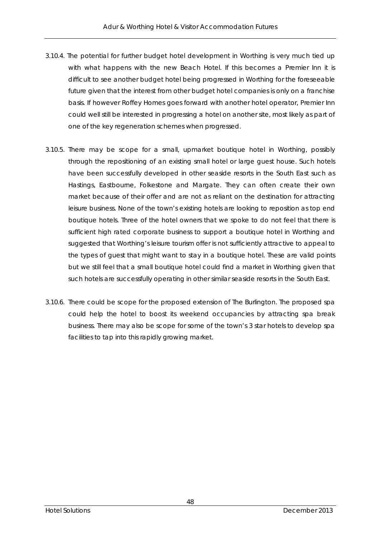- 3.10.4. The potential for further budget hotel development in Worthing is very much tied up with what happens with the new Beach Hotel. If this becomes a Premier Inn it is difficult to see another budget hotel being progressed in Worthing for the foreseeable future given that the interest from other budget hotel companies is only on a franchise basis. If however Roffey Homes goes forward with another hotel operator, Premier Inn could well still be interested in progressing a hotel on another site, most likely as part of one of the key regeneration schemes when progressed.
- 3.10.5. There may be scope for a small, upmarket boutique hotel in Worthing, possibly through the repositioning of an existing small hotel or large guest house. Such hotels have been successfully developed in other seaside resorts in the South East such as Hastings, Eastbourne, Folkestone and Margate. They can often create their own market because of their offer and are not as reliant on the destination for attracting leisure business. None of the town's existing hotels are looking to reposition as top end boutique hotels. Three of the hotel owners that we spoke to do not feel that there is sufficient high rated corporate business to support a boutique hotel in Worthing and suggested that Worthing's leisure tourism offer is not sufficiently attractive to appeal to the types of guest that might want to stay in a boutique hotel. These are valid points but we still feel that a small boutique hotel could find a market in Worthing given that such hotels are successfully operating in other similar seaside resorts in the South East.
- 3.10.6. There could be scope for the proposed extension of The Burlington. The proposed spa could help the hotel to boost its weekend occupancies by attracting spa break business. There may also be scope for some of the town's 3 star hotels to develop spa facilities to tap into this rapidly growing market.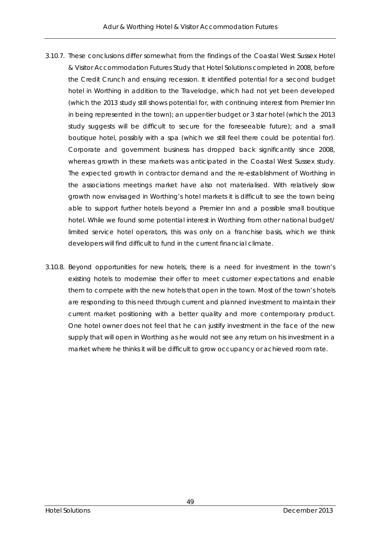- 3.10.7. These conclusions differ somewhat from the findings of the Coastal West Sussex Hotel & Visitor Accommodation Futures Study that Hotel Solutions completed in 2008, before the Credit Crunch and ensuing recession. It identified potential for a second budget hotel in Worthing in addition to the Travelodge, which had not yet been developed (which the 2013 study still shows potential for, with continuing interest from Premier Inn in being represented in the town); an upper-tier budget or 3 star hotel (which the 2013 study suggests will be difficult to secure for the foreseeable future); and a small boutique hotel, possibly with a spa (which we still feel there could be potential for). Corporate and government business has dropped back significantly since 2008, whereas growth in these markets was anticipated in the Coastal West Sussex study. The expected growth in contractor demand and the re-establishment of Worthing in the associations meetings market have also not materialised. With relatively slow growth now envisaged in Worthing's hotel markets it is difficult to see the town being able to support further hotels beyond a Premier Inn and a possible small boutique hotel. While we found some potential interest in Worthing from other national budget/ limited service hotel operators, this was only on a franchise basis, which we think developers will find difficult to fund in the current financial climate.
- 3.10.8. Beyond opportunities for new hotels, there is a need for investment in the town's existing hotels to modernise their offer to meet customer expectations and enable them to compete with the new hotels that open in the town. Most of the town's hotels are responding to this need through current and planned investment to maintain their current market positioning with a better quality and more contemporary product. One hotel owner does not feel that he can justify investment in the face of the new supply that will open in Worthing as he would not see any return on his investment in a market where he thinks it will be difficult to grow occupancy or achieved room rate.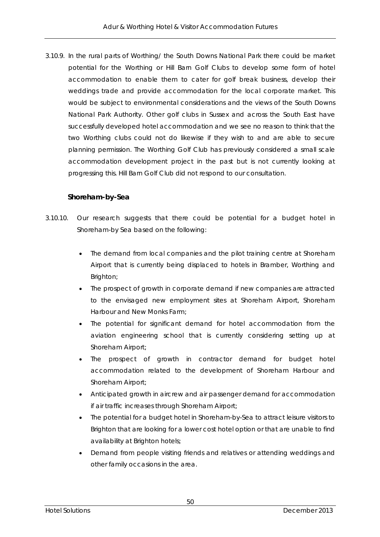3.10.9. In the rural parts of Worthing/ the South Downs National Park there could be market potential for the Worthing or Hill Barn Golf Clubs to develop some form of hotel accommodation to enable them to cater for golf break business, develop their weddings trade and provide accommodation for the local corporate market. This would be subject to environmental considerations and the views of the South Downs National Park Authority. Other golf clubs in Sussex and across the South East have successfully developed hotel accommodation and we see no reason to think that the two Worthing clubs could not do likewise if they wish to and are able to secure planning permission. The Worthing Golf Club has previously considered a small scale accommodation development project in the past but is not currently looking at progressing this. Hill Barn Golf Club did not respond to our consultation.

### **Shoreham-by-Sea**

- 3.10.10. Our research suggests that there could be potential for a budget hotel in Shoreham-by Sea based on the following:
	- The demand from local companies and the pilot training centre at Shoreham Airport that is currently being displaced to hotels in Bramber, Worthing and Brighton;
	- The prospect of growth in corporate demand if new companies are attracted to the envisaged new employment sites at Shoreham Airport, Shoreham Harbour and New Monks Farm;
	- The potential for significant demand for hotel accommodation from the aviation engineering school that is currently considering setting up at Shoreham Airport;
	- The prospect of growth in contractor demand for budget hotel accommodation related to the development of Shoreham Harbour and Shoreham Airport;
	- Anticipated growth in aircrew and air passenger demand for accommodation if air traffic increases through Shoreham Airport;
	- The potential for a budget hotel in Shoreham-by-Sea to attract leisure visitors to Brighton that are looking for a lower cost hotel option or that are unable to find availability at Brighton hotels;
	- Demand from people visiting friends and relatives or attending weddings and other family occasions in the area.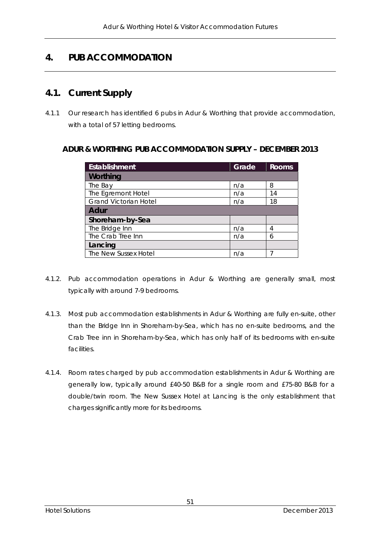# **4. PUB ACCOMMODATION**

# **4.1. Current Supply**

4.1.1 Our research has identified 6 pubs in Adur & Worthing that provide accommodation, with a total of 57 letting bedrooms.

### **ADUR & WORTHING PUB ACCOMMODATION SUPPLY – DECEMBER 2013**

| <b>Establishment</b>         | Grade | <b>Rooms</b> |  |
|------------------------------|-------|--------------|--|
| Worthing                     |       |              |  |
| The Bay                      | n/a   | 8            |  |
| The Egremont Hotel           | n/a   | 14           |  |
| <b>Grand Victorian Hotel</b> | n/a   | 18           |  |
| <b>Adur</b>                  |       |              |  |
| Shoreham-by-Sea              |       |              |  |
| The Bridge Inn               | n/a   | 4            |  |
| The Crab Tree Inn            | n/a   | 6            |  |
| Lancing                      |       |              |  |
| The New Sussex Hotel         | n/a   |              |  |

- 4.1.2. Pub accommodation operations in Adur & Worthing are generally small, most typically with around 7-9 bedrooms.
- 4.1.3. Most pub accommodation establishments in Adur & Worthing are fully en-suite, other than the Bridge Inn in Shoreham-by-Sea, which has no en-suite bedrooms, and the Crab Tree inn in Shoreham-by-Sea, which has only half of its bedrooms with en-suite facilities.
- 4.1.4. Room rates charged by pub accommodation establishments in Adur & Worthing are generally low, typically around £40-50 B&B for a single room and £75-80 B&B for a double/twin room. The New Sussex Hotel at Lancing is the only establishment that charges significantly more for its bedrooms.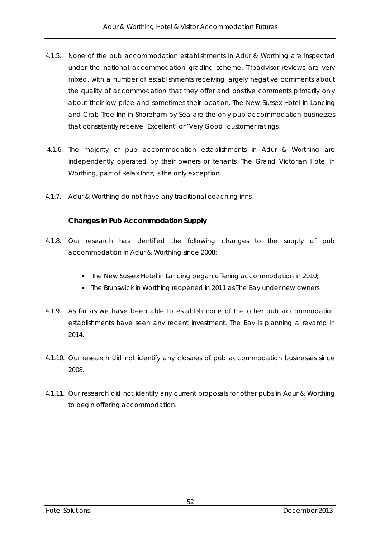- 4.1.5. None of the pub accommodation establishments in Adur & Worthing are inspected under the national accommodation grading scheme. Tripadvisor reviews are very mixed, with a number of establishments receiving largely negative comments about the quality of accommodation that they offer and positive comments primarily only about their low price and sometimes their location. The New Sussex Hotel in Lancing and Crab Tree Inn in Shoreham-by-Sea are the only pub accommodation businesses that consistently receive 'Excellent' or 'Very Good' customer ratings.
- 4.1.6. The majority of pub accommodation establishments in Adur & Worthing are independently operated by their owners or tenants. The Grand Victorian Hotel in Worthing, part of Relax Innz, is the only exception.
- 4.1.7. Adur & Worthing do not have any traditional coaching inns.

### **Changes in Pub Accommodation Supply**

- 4.1.8. Our research has identified the following changes to the supply of pub accommodation in Adur & Worthing since 2008:
	- The New Sussex Hotel in Lancing began offering accommodation in 2010;
	- The Brunswick in Worthing reopened in 2011 as The Bay under new owners.
- 4.1.9. As far as we have been able to establish none of the other pub accommodation establishments have seen any recent investment. The Bay is planning a revamp in 2014.
- 4.1.10. Our research did not identify any closures of pub accommodation businesses since 2008.
- 4.1.11. Our research did not identify any current proposals for other pubs in Adur & Worthing to begin offering accommodation.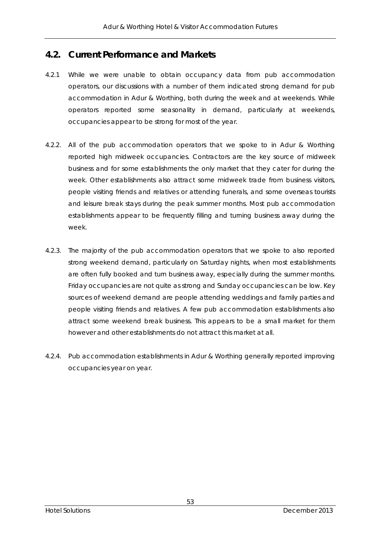## **4.2. Current Performance and Markets**

- 4.2.1 While we were unable to obtain occupancy data from pub accommodation operators, our discussions with a number of them indicated strong demand for pub accommodation in Adur & Worthing, both during the week and at weekends. While operators reported some seasonality in demand, particularly at weekends, occupancies appear to be strong for most of the year.
- 4.2.2. All of the pub accommodation operators that we spoke to in Adur & Worthing reported high midweek occupancies. Contractors are the key source of midweek business and for some establishments the only market that they cater for during the week. Other establishments also attract some midweek trade from business visitors, people visiting friends and relatives or attending funerals, and some overseas tourists and leisure break stays during the peak summer months. Most pub accommodation establishments appear to be frequently filling and turning business away during the week.
- 4.2.3. The majority of the pub accommodation operators that we spoke to also reported strong weekend demand, particularly on Saturday nights, when most establishments are often fully booked and turn business away, especially during the summer months. Friday occupancies are not quite as strong and Sunday occupancies can be low. Key sources of weekend demand are people attending weddings and family parties and people visiting friends and relatives. A few pub accommodation establishments also attract some weekend break business. This appears to be a small market for them however and other establishments do not attract this market at all.
- 4.2.4. Pub accommodation establishments in Adur & Worthing generally reported improving occupancies year on year.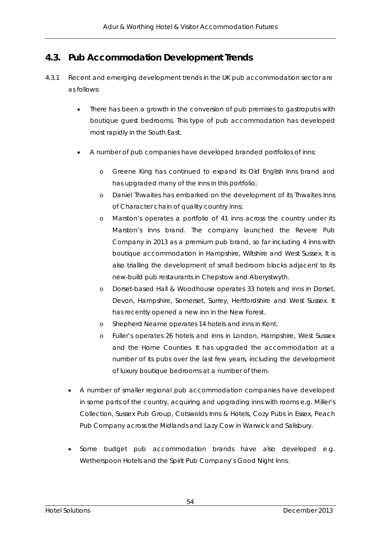# **4.3. Pub Accommodation Development Trends**

- 4.3.1 Recent and emerging development trends in the UK pub accommodation sector are as follows:
	- There has been a growth in the conversion of pub premises to gastropubs with boutique guest bedrooms. This type of pub accommodation has developed most rapidly in the South East.
	- A number of pub companies have developed branded portfolios of inns:
		- o Greene King has continued to expand its Old English Inns brand and has upgraded many of the inns in this portfolio;
		- o Daniel Thwaites has embarked on the development of its Thwaites Inns of Character chain of quality country inns;
		- o Marston's operates a portfolio of 41 inns across the country under its Marston's Inns brand. The company launched the Revere Pub Company in 2013 as a premium pub brand, so far including 4 inns with boutique accommodation in Hampshire, Wiltshire and West Sussex. It is also trialling the development of small bedroom blocks adjacent to its new-build pub restaurants in Chepstow and Aberystwyth.
		- o Dorset-based Hall & Woodhouse operates 33 hotels and inns in Dorset, Devon, Hampshire, Somerset, Surrey, Hertfordshire and West Sussex. It has recently opened a new inn in the New Forest.
		- o Shepherd Neame operates 14 hotels and inns in Kent.
		- o Fuller's operates 26 hotels and inns in London, Hampshire, West Sussex and the Home Counties. It has upgraded the accommodation at a number of its pubs over the last few years, including the development of luxury boutique bedrooms at a number of them.
	- A number of smaller regional pub accommodation companies have developed in some parts of the country, acquiring and upgrading inns with rooms e.g. Miller's Collection, Sussex Pub Group, Cotswolds Inns & Hotels, Cozy Pubs in Essex, Peach Pub Company across the Midlands and Lazy Cow in Warwick and Salisbury.
	- Some budget pub accommodation brands have also developed e.g. Wetherspoon Hotels and the Spirit Pub Company's Good Night Inns.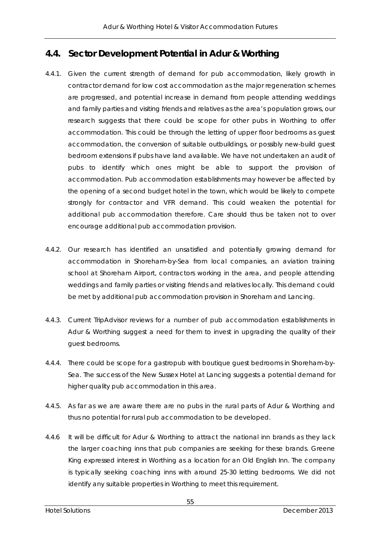# **4.4. Sector Development Potential in Adur & Worthing**

- 4.4.1. Given the current strength of demand for pub accommodation, likely growth in contractor demand for low cost accommodation as the major regeneration schemes are progressed, and potential increase in demand from people attending weddings and family parties and visiting friends and relatives as the area's population grows, our research suggests that there could be scope for other pubs in Worthing to offer accommodation. This could be through the letting of upper floor bedrooms as guest accommodation, the conversion of suitable outbuildings, or possibly new-build guest bedroom extensions if pubs have land available. We have not undertaken an audit of pubs to identify which ones might be able to support the provision of accommodation. Pub accommodation establishments may however be affected by the opening of a second budget hotel in the town, which would be likely to compete strongly for contractor and VFR demand. This could weaken the potential for additional pub accommodation therefore. Care should thus be taken not to over encourage additional pub accommodation provision.
- 4.4.2. Our research has identified an unsatisfied and potentially growing demand for accommodation in Shoreham-by-Sea from local companies, an aviation training school at Shoreham Airport, contractors working in the area, and people attending weddings and family parties or visiting friends and relatives locally. This demand could be met by additional pub accommodation provision in Shoreham and Lancing.
- 4.4.3. Current TripAdvisor reviews for a number of pub accommodation establishments in Adur & Worthing suggest a need for them to invest in upgrading the quality of their guest bedrooms.
- 4.4.4. There could be scope for a gastropub with boutique guest bedrooms in Shoreham-by-Sea. The success of the New Sussex Hotel at Lancing suggests a potential demand for higher quality pub accommodation in this area.
- 4.4.5. As far as we are aware there are no pubs in the rural parts of Adur & Worthing and thus no potential for rural pub accommodation to be developed.
- 4.4.6 It will be difficult for Adur & Worthing to attract the national inn brands as they lack the larger coaching inns that pub companies are seeking for these brands. Greene King expressed interest in Worthing as a location for an Old English Inn. The company is typically seeking coaching inns with around 25-30 letting bedrooms. We did not identify any suitable properties in Worthing to meet this requirement.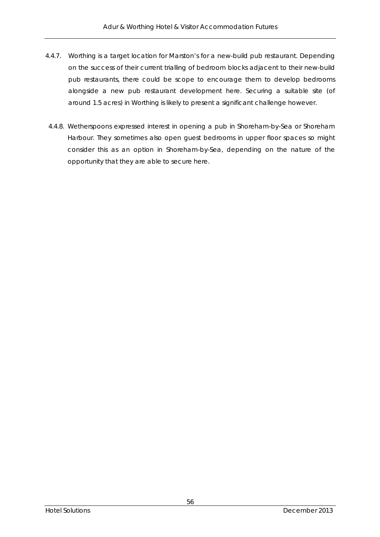- 4.4.7. Worthing is a target location for Marston's for a new-build pub restaurant. Depending on the success of their current trialling of bedroom blocks adjacent to their new-build pub restaurants, there could be scope to encourage them to develop bedrooms alongside a new pub restaurant development here. Securing a suitable site (of around 1.5 acres) in Worthing is likely to present a significant challenge however.
- 4.4.8. Wetherspoons expressed interest in opening a pub in Shoreham-by-Sea or Shoreham Harbour. They sometimes also open guest bedrooms in upper floor spaces so might consider this as an option in Shoreham-by-Sea, depending on the nature of the opportunity that they are able to secure here.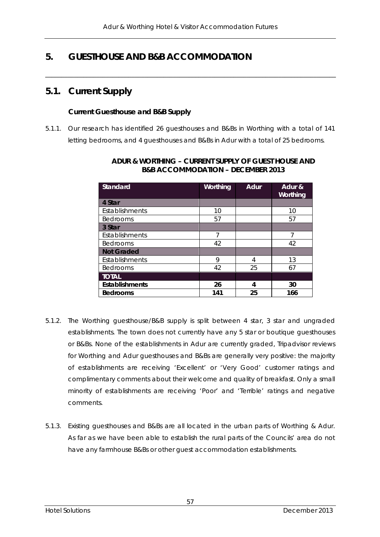$\overline{\phantom{a}}$  , and the contribution of the contribution of the contribution of the contribution of the contribution of the contribution of the contribution of the contribution of the contribution of the contribution of the

# **5. GUESTHOUSE AND B&B ACCOMMODATION**

## **5.1. Current Supply**

#### **Current Guesthouse and B&B Supply**

5.1.1. Our research has identified 26 guesthouses and B&Bs in Worthing with a total of 141 letting bedrooms, and 4 guesthouses and B&Bs in Adur with a total of 25 bedrooms.

| <b>Standard</b>       | Worthing | <b>Adur</b> | Adur &<br>Worthing |
|-----------------------|----------|-------------|--------------------|
| 4 Star                |          |             |                    |
| Establishments        | 10       |             | 10                 |
| <b>Bedrooms</b>       | 57       |             | 57                 |
| 3 Star                |          |             |                    |
| Establishments        | 7        |             | 7                  |
| <b>Bedrooms</b>       | 42       |             | 42                 |
| <b>Not Graded</b>     |          |             |                    |
| Establishments        | 9        | 4           | 13                 |
| <b>Bedrooms</b>       | 42       | 25          | 67                 |
| <b>TOTAL</b>          |          |             |                    |
| <b>Establishments</b> | 26       | 4           | 30                 |
| <b>Bedrooms</b>       | 141      | 25          | 166                |

#### **ADUR & WORTHING – CURRENT SUPPLY OF GUEST HOUSE AND B&B ACCOMMODATION – DECEMBER 2013**

- 5.1.2. The Worthing guesthouse/B&B supply is split between 4 star, 3 star and ungraded establishments. The town does not currently have any 5 star or boutique guesthouses or B&Bs. None of the establishments in Adur are currently graded, Tripadvisor reviews for Worthing and Adur guesthouses and B&Bs are generally very positive: the majority of establishments are receiving 'Excellent' or 'Very Good' customer ratings and complimentary comments about their welcome and quality of breakfast. Only a small minority of establishments are receiving 'Poor' and 'Terrible' ratings and negative comments.
- 5.1.3. Existing guesthouses and B&Bs are all located in the urban parts of Worthing & Adur. As far as we have been able to establish the rural parts of the Councils' area do not have any farmhouse B&Bs or other guest accommodation establishments.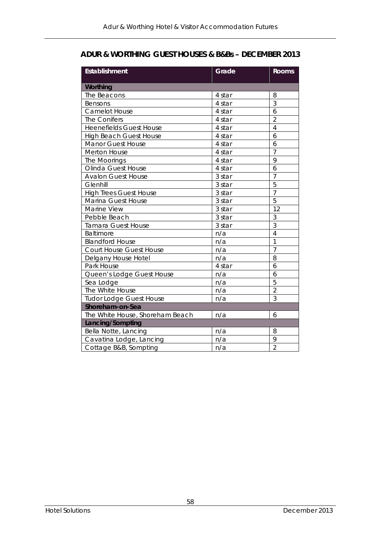## **ADUR & WORTHING GUEST HOUSES & B&Bs – DECEMBER 2013**

| <b>Establishment</b>            | Grade  | <b>Rooms</b>   |  |
|---------------------------------|--------|----------------|--|
| Worthing                        |        |                |  |
| The Beacons                     | 4 star | 8              |  |
| Bensons                         | 4 star | 3              |  |
| Camelot House                   | 4 star | 6              |  |
| The Conifers                    | 4 star | $\overline{2}$ |  |
| <b>Heenefields Guest House</b>  | 4 star | $\overline{4}$ |  |
| <b>High Beach Guest House</b>   | 4 star | 6              |  |
| <b>Manor Guest House</b>        | 4 star | 6              |  |
| Merton House                    | 4 star | $\overline{7}$ |  |
| The Moorings                    | 4 star | 9              |  |
| Olinda Guest House              | 4 star | 6              |  |
| <b>Avalon Guest House</b>       | 3 star | $\overline{7}$ |  |
| Glenhill                        | 3 star | $\overline{5}$ |  |
| <b>High Trees Guest House</b>   | 3 star | $\overline{7}$ |  |
| Marina Guest House              | 3 star | $\overline{5}$ |  |
| Marine View                     | 3 star | 12             |  |
| Pebble Beach                    | 3 star | 3              |  |
| <b>Tamara Guest House</b>       | 3 star | $\overline{3}$ |  |
| Baltimore                       | n/a    | $\overline{4}$ |  |
| <b>Blandford House</b>          | n/a    | $\overline{1}$ |  |
| Court House Guest House         | n/a    | $\overline{7}$ |  |
| Delgany House Hotel             | n/a    | 8              |  |
| Park House                      | 4 star | 6              |  |
| Queen's Lodge Guest House       | n/a    | 6              |  |
| Sea Lodge                       | n/a    | 5              |  |
| The White House                 | n/a    | $\overline{2}$ |  |
| <b>Tudor Lodge Guest House</b>  | n/a    | 3              |  |
| Shoreham-on-Sea                 |        |                |  |
| The White House, Shoreham Beach | n/a    | 6              |  |
| Lancing/Sompting                |        |                |  |
| Bella Notte, Lancing            | n/a    | 8              |  |
| Cavatina Lodge, Lancing         | n/a    | 9              |  |
| Cottage B&B, Sompting           | n/a    | $\overline{2}$ |  |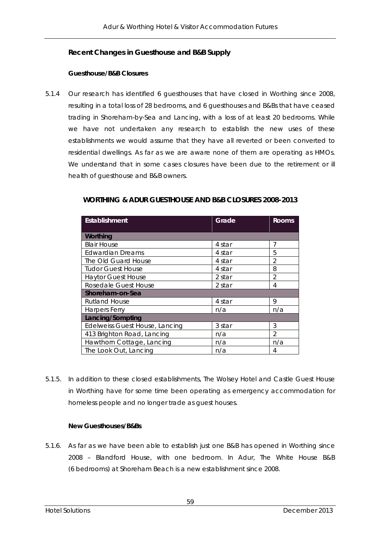### **Recent Changes in Guesthouse and B&B Supply**

#### **Guesthouse/B&B Closures**

5.1.4 Our research has identified 6 guesthouses that have closed in Worthing since 2008, resulting in a total loss of 28 bedrooms, and 6 guesthouses and B&Bs that have ceased trading in Shoreham-by-Sea and Lancing, with a loss of at least 20 bedrooms. While we have not undertaken any research to establish the new uses of these establishments we would assume that they have all reverted or been converted to residential dwellings. As far as we are aware none of them are operating as HMOs. We understand that in some cases closures have been due to the retirement or ill health of guesthouse and B&B owners.

| Establishment                  | Grade  | <b>Rooms</b>   |  |
|--------------------------------|--------|----------------|--|
|                                |        |                |  |
| Worthing                       |        |                |  |
| <b>Blair House</b>             | 4 star | 7              |  |
| <b>Edwardian Dreams</b>        | 4 star | 5              |  |
| The Old Guard House            | 4 star | $\mathfrak{D}$ |  |
| <b>Tudor Guest House</b>       | 4 star | 8              |  |
| <b>Haytor Guest House</b>      | 2 star | $\overline{2}$ |  |
| Rosedale Guest House           | 2 star | 4              |  |
| Shoreham-on-Sea                |        |                |  |
| <b>Rutland House</b>           | 4 star | 9              |  |
| Harpers Ferry                  | n/a    | n/a            |  |
| Lancing/Sompting               |        |                |  |
| Edelweiss Guest House, Lancing | 3 star | 3              |  |
| 413 Brighton Road, Lancing     | n/a    | $\mathcal{P}$  |  |
| Hawthorn Cottage, Lancing      | n/a    | n/a            |  |
| The Look Out, Lancing          | n/a    | 4              |  |

### **WORTHING & ADUR GUESTHOUSE AND B&B CLOSURES 2008-2013**

5.1.5. In addition to these closed establishments, The Wolsey Hotel and Castle Guest House in Worthing have for some time been operating as emergency accommodation for homeless people and no longer trade as guest houses.

### **New Guesthouses/B&Bs**

5.1.6. As far as we have been able to establish just one B&B has opened in Worthing since 2008 – Blandford House, with one bedroom. In Adur, The White House B&B (6 bedrooms) at Shoreham Beach is a new establishment since 2008.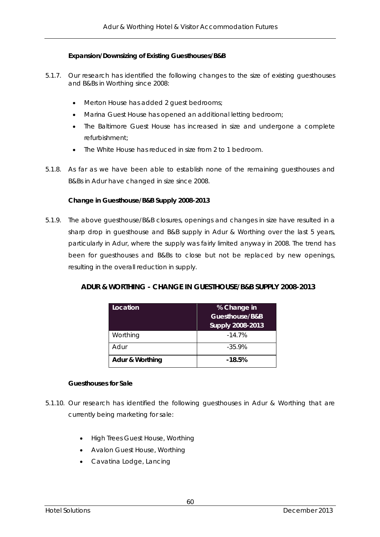#### **Expansion/Downsizing of Existing Guesthouses/B&B**

- 5.1.7. Our research has identified the following changes to the size of existing guesthouses and B&Bs in Worthing since 2008:
	- Merton House has added 2 guest bedrooms;
	- Marina Guest House has opened an additional letting bedroom;
	- The Baltimore Guest House has increased in size and undergone a complete refurbishment;
	- The White House has reduced in size from 2 to 1 bedroom.
- 5.1.8. As far as we have been able to establish none of the remaining guesthouses and B&Bs in Adur have changed in size since 2008.

#### **Change in Guesthouse/B&B Supply 2008-2013**

5.1.9. The above guesthouse/B&B closures, openings and changes in size have resulted in a sharp drop in guesthouse and B&B supply in Adur & Worthing over the last 5 years, particularly in Adur, where the supply was fairly limited anyway in 2008. The trend has been for guesthouses and B&Bs to close but not be replaced by new openings, resulting in the overall reduction in supply.

| ADUR & WORTHING - CHANGE IN GUESTHOUSE/B&B SUPPLY 2008-2013 |
|-------------------------------------------------------------|
|-------------------------------------------------------------|

| Location        | % Change in             |  |  |
|-----------------|-------------------------|--|--|
|                 | Guesthouse/B&B          |  |  |
|                 | <b>Supply 2008-2013</b> |  |  |
| Worthing        | $-14.7%$                |  |  |
| Adur            | $-35.9%$                |  |  |
| Adur & Worthing | $-18.5%$                |  |  |

#### **Guesthouses for Sale**

- 5.1.10. Our research has identified the following guesthouses in Adur & Worthing that are currently being marketing for sale:
	- High Trees Guest House, Worthing
	- Avalon Guest House, Worthing
	- Cavatina Lodge, Lancing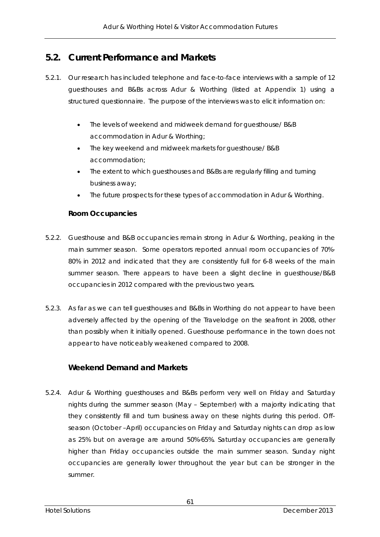## **5.2. Current Performance and Markets**

- 5.2.1. Our research has included telephone and face-to-face interviews with a sample of 12 guesthouses and B&Bs across Adur & Worthing (listed at Appendix 1) using a structured questionnaire. The purpose of the interviews was to elicit information on:
	- The levels of weekend and midweek demand for guesthouse/ B&B accommodation in Adur & Worthing;
	- The key weekend and midweek markets for guesthouse/ B&B accommodation;
	- The extent to which questhouses and B&Bs are regularly filling and turning business away;
	- The future prospects for these types of accommodation in Adur & Worthing.

#### **Room Occupancies**

- 5.2.2. Guesthouse and B&B occupancies remain strong in Adur & Worthing, peaking in the main summer season. Some operators reported annual room occupancies of 70%- 80% in 2012 and indicated that they are consistently full for 6-8 weeks of the main summer season. There appears to have been a slight decline in guesthouse/B&B occupancies in 2012 compared with the previous two years.
- 5.2.3. As far as we can tell guesthouses and B&Bs in Worthing do not appear to have been adversely affected by the opening of the Travelodge on the seafront in 2008, other than possibly when it initially opened. Guesthouse performance in the town does not appear to have noticeably weakened compared to 2008.

## **Weekend Demand and Markets**

5.2.4. Adur & Worthing guesthouses and B&Bs perform very well on Friday and Saturday nights during the summer season (May – September) with a majority indicating that they consistently fill and turn business away on these nights during this period. Offseason (October –April) occupancies on Friday and Saturday nights can drop as low as 25% but on average are around 50%-65%. Saturday occupancies are generally higher than Friday occupancies outside the main summer season. Sunday night occupancies are generally lower throughout the year but can be stronger in the summer.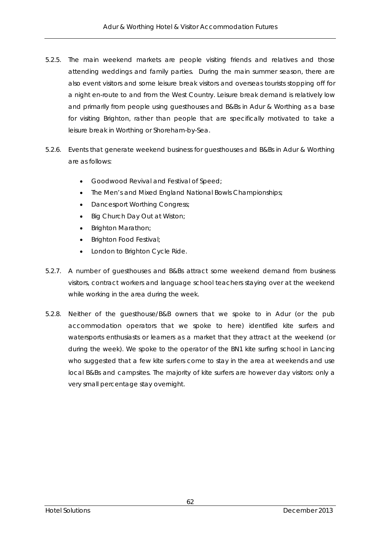- 5.2.5. The main weekend markets are people visiting friends and relatives and those attending weddings and family parties. During the main summer season, there are also event visitors and some leisure break visitors and overseas tourists stopping off for a night en-route to and from the West Country. Leisure break demand is relatively low and primarily from people using guesthouses and B&Bs in Adur & Worthing as a base for visiting Brighton, rather than people that are specifically motivated to take a leisure break in Worthing or Shoreham-by-Sea.
- 5.2.6. Events that generate weekend business for guesthouses and B&Bs in Adur & Worthing are as follows:
	- Goodwood Revival and Festival of Speed;
	- The Men's and Mixed England National Bowls Championships;
	- Dancesport Worthing Congress;
	- Big Church Day Out at Wiston;
	- Brighton Marathon;
	- Brighton Food Festival;
	- London to Brighton Cycle Ride.
- 5.2.7. A number of guesthouses and B&Bs attract some weekend demand from business visitors, contract workers and language school teachers staying over at the weekend while working in the area during the week.
- 5.2.8. Neither of the guesthouse/B&B owners that we spoke to in Adur (or the pub accommodation operators that we spoke to here) identified kite surfers and watersports enthusiasts or learners as a market that they attract at the weekend (or during the week). We spoke to the operator of the BN1 kite surfing school in Lancing who suggested that a few kite surfers come to stay in the area at weekends and use local B&Bs and campsites. The majority of kite surfers are however day visitors: only a very small percentage stay overnight.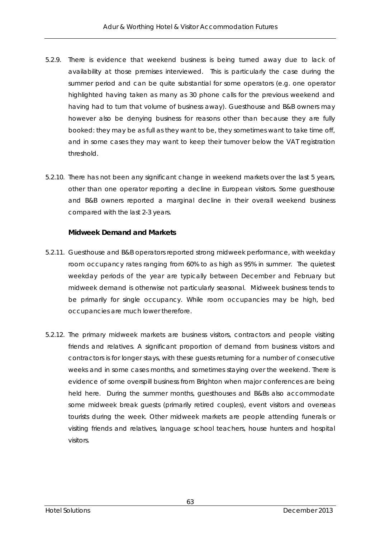- 5.2.9. There is evidence that weekend business is being turned away due to lack of availability at those premises interviewed. This is particularly the case during the summer period and can be quite substantial for some operators (e.g. one operator highlighted having taken as many as 30 phone calls for the previous weekend and having had to turn that volume of business away). Guesthouse and B&B owners may however also be denying business for reasons other than because they are fully booked: they may be as full as they want to be, they sometimes want to take time off, and in some cases they may want to keep their turnover below the VAT registration threshold.
- 5.2.10. There has not been any significant change in weekend markets over the last 5 years, other than one operator reporting a decline in European visitors. Some guesthouse and B&B owners reported a marginal decline in their overall weekend business compared with the last 2-3 years.

#### **Midweek Demand and Markets**

- 5.2.11. Guesthouse and B&B operators reported strong midweek performance, with weekday room occupancy rates ranging from 60% to as high as 95% in summer. The quietest weekday periods of the year are typically between December and February but midweek demand is otherwise not particularly seasonal. Midweek business tends to be primarily for single occupancy. While room occupancies may be high, bed occupancies are much lower therefore.
- 5.2.12. The primary midweek markets are business visitors, contractors and people visiting friends and relatives. A significant proportion of demand from business visitors and contractors is for longer stays, with these guests returning for a number of consecutive weeks and in some cases months, and sometimes staying over the weekend. There is evidence of some overspill business from Brighton when major conferences are being held here. During the summer months, guesthouses and B&Bs also accommodate some midweek break guests (primarily retired couples), event visitors and overseas tourists during the week. Other midweek markets are people attending funerals or visiting friends and relatives, language school teachers, house hunters and hospital visitors.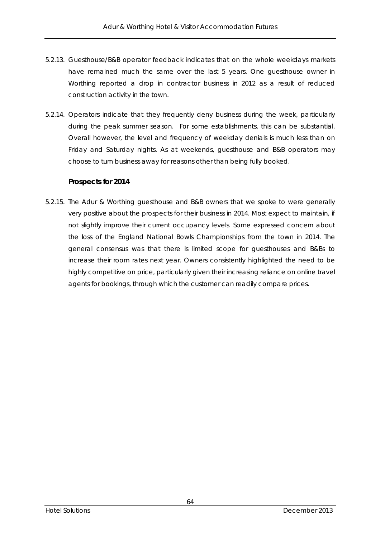- 5.2.13. Guesthouse/B&B operator feedback indicates that on the whole weekdays markets have remained much the same over the last 5 years. One guesthouse owner in Worthing reported a drop in contractor business in 2012 as a result of reduced construction activity in the town.
- 5.2.14. Operators indicate that they frequently deny business during the week, particularly during the peak summer season. For some establishments, this can be substantial. Overall however, the level and frequency of weekday denials is much less than on Friday and Saturday nights. As at weekends, guesthouse and B&B operators may choose to turn business away for reasons other than being fully booked.

## **Prospects for 2014**

5.2.15. The Adur & Worthing guesthouse and B&B owners that we spoke to were generally very positive about the prospects for their business in 2014. Most expect to maintain, if not slightly improve their current occupancy levels. Some expressed concern about the loss of the England National Bowls Championships from the town in 2014. The general consensus was that there is limited scope for guesthouses and B&Bs to increase their room rates next year. Owners consistently highlighted the need to be highly competitive on price, particularly given their increasing reliance on online travel agents for bookings, through which the customer can readily compare prices.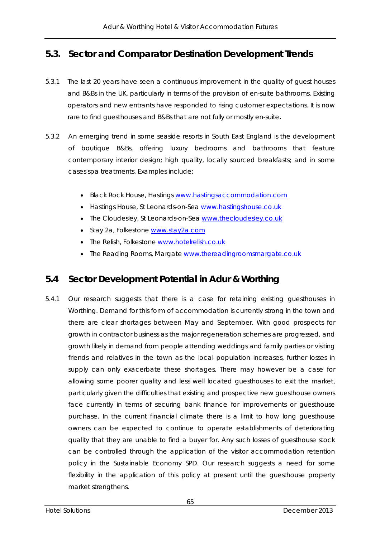## **5.3. Sector and Comparator Destination Development Trends**

- 5.3.1 The last 20 years have seen a continuous improvement in the quality of guest houses and B&Bs in the UK, particularly in terms of the provision of en-suite bathrooms. Existing operators and new entrants have responded to rising customer expectations. It is now rare to find guesthouses and B&Bs that are not fully or mostly en-suite**.**
- 5.3.2 An emerging trend in some seaside resorts in South East England is the development of boutique B&Bs, offering luxury bedrooms and bathrooms that feature contemporary interior design; high quality, locally sourced breakfasts; and in some cases spa treatments. Examples include:
	- **Black Rock House, Hastings www.hastingsaccommodation.com**
	- Hastings House, St Leonards-on-Sea www.hastingshouse.co.uk
	- The Cloudesley, St Leonards-on-Sea www.thecloudesley.co.uk
	- Stay 2a, Folkestone www.stay2a.com
	- The Relish, Folkestone www.hotelrelish.co.uk
	- The Reading Rooms, Margate www.thereadingroomsmargate.co.uk

## **5.4 Sector Development Potential in Adur & Worthing**

5.4.1 Our research suggests that there is a case for retaining existing guesthouses in Worthing. Demand for this form of accommodation is currently strong in the town and there are clear shortages between May and September. With good prospects for growth in contractor business as the major regeneration schemes are progressed, and growth likely in demand from people attending weddings and family parties or visiting friends and relatives in the town as the local population increases, further losses in supply can only exacerbate these shortages. There may however be a case for allowing some poorer quality and less well located guesthouses to exit the market, particularly given the difficulties that existing and prospective new guesthouse owners face currently in terms of securing bank finance for improvements or guesthouse purchase. In the current financial climate there is a limit to how long guesthouse owners can be expected to continue to operate establishments of deteriorating quality that they are unable to find a buyer for. Any such losses of guesthouse stock can be controlled through the application of the visitor accommodation retention policy in the Sustainable Economy SPD. Our research suggests a need for some flexibility in the application of this policy at present until the guesthouse property market strengthens.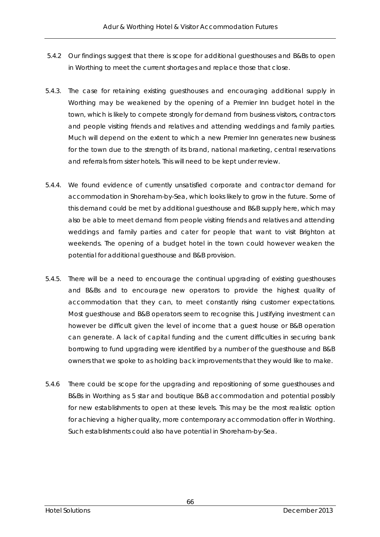- 5.4.2 Our findings suggest that there is scope for additional guesthouses and B&Bs to open in Worthing to meet the current shortages and replace those that close.
- 5.4.3. The case for retaining existing guesthouses and encouraging additional supply in Worthing may be weakened by the opening of a Premier Inn budget hotel in the town, which is likely to compete strongly for demand from business visitors, contractors and people visiting friends and relatives and attending weddings and family parties. Much will depend on the extent to which a new Premier Inn generates new business for the town due to the strength of its brand, national marketing, central reservations and referrals from sister hotels. This will need to be kept under review.
- 5.4.4. We found evidence of currently unsatisfied corporate and contractor demand for accommodation in Shoreham-by-Sea, which looks likely to grow in the future. Some of this demand could be met by additional guesthouse and B&B supply here, which may also be able to meet demand from people visiting friends and relatives and attending weddings and family parties and cater for people that want to visit Brighton at weekends. The opening of a budget hotel in the town could however weaken the potential for additional guesthouse and B&B provision.
- 5.4.5. There will be a need to encourage the continual upgrading of existing guesthouses and B&Bs and to encourage new operators to provide the highest quality of accommodation that they can, to meet constantly rising customer expectations. Most guesthouse and B&B operators seem to recognise this. Justifying investment can however be difficult given the level of income that a guest house or B&B operation can generate. A lack of capital funding and the current difficulties in securing bank borrowing to fund upgrading were identified by a number of the guesthouse and B&B owners that we spoke to as holding back improvements that they would like to make.
- 5.4.6 There could be scope for the upgrading and repositioning of some guesthouses and B&Bs in Worthing as 5 star and boutique B&B accommodation and potential possibly for new establishments to open at these levels. This may be the most realistic option for achieving a higher quality, more contemporary accommodation offer in Worthing. Such establishments could also have potential in Shoreham-by-Sea.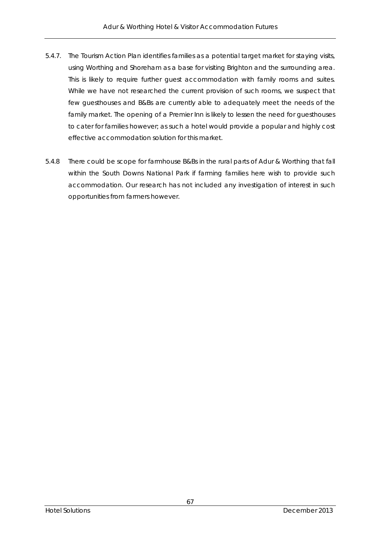- 5.4.7. The Tourism Action Plan identifies families as a potential target market for staying visits, using Worthing and Shoreham as a base for visiting Brighton and the surrounding area. This is likely to require further guest accommodation with family rooms and suites. While we have not researched the current provision of such rooms, we suspect that few guesthouses and B&Bs are currently able to adequately meet the needs of the family market. The opening of a Premier Inn is likely to lessen the need for guesthouses to cater for families however; as such a hotel would provide a popular and highly cost effective accommodation solution for this market.
- 5.4.8 There could be scope for farmhouse B&Bs in the rural parts of Adur & Worthing that fall within the South Downs National Park if farming families here wish to provide such accommodation. Our research has not included any investigation of interest in such opportunities from farmers however.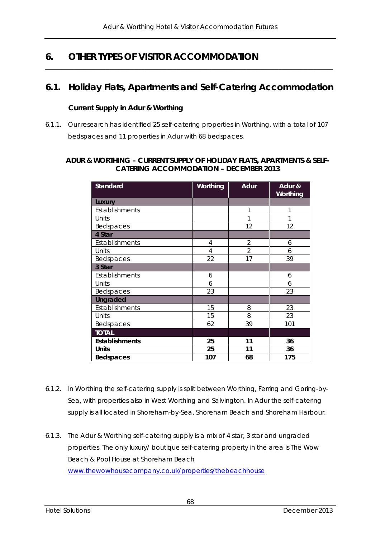# **6. OTHER TYPES OF VISITOR ACCOMMODATION**

## **6.1. Holiday Flats, Apartments and Self-Catering Accommodation**

*\_\_\_\_\_\_\_\_\_\_\_\_\_\_\_\_\_\_\_\_\_\_\_\_\_\_\_\_\_\_\_\_\_\_\_\_\_\_\_\_\_\_\_\_\_\_\_\_\_\_\_\_\_\_\_\_\_\_\_\_\_\_\_\_\_\_\_\_\_\_\_\_\_\_\_\_\_\_\_\_\_\_\_\_\_\_\_\_\_\_* 

## **Current Supply in Adur & Worthing**

6.1.1. Our research has identified 25 self-catering properties in Worthing, with a total of 107 bedspaces and 11 properties in Adur with 68 bedspaces.

### **ADUR & WORTHING – CURRENT SUPPLY OF HOLIDAY FLATS, APARTMENTS & SELF-CATERING ACCOMMODATION – DECEMBER 2013**

| <b>Standard</b>       | Worthing       | <b>Adur</b>    | Adur &<br>Worthing |
|-----------------------|----------------|----------------|--------------------|
| Luxury                |                |                |                    |
| Establishments        |                | 1              | 1                  |
| Units                 |                | 1              |                    |
| Bedspaces             |                | 12             | 12                 |
| 4 Star                |                |                |                    |
| Establishments        | 4              | $\overline{2}$ | 6                  |
| Units                 | $\overline{4}$ | $\overline{2}$ | 6                  |
| Bedspaces             | 22             | 17             | 39                 |
| 3 Star                |                |                |                    |
| Establishments        | 6              |                | 6                  |
| Units                 | 6              |                | 6                  |
| Bedspaces             | 23             |                | 23                 |
| <b>Ungraded</b>       |                |                |                    |
| Establishments        | 15             | 8              | 23                 |
| Units                 | 15             | 8              | 23                 |
| Bedspaces             | 62             | 39             | 101                |
| <b>TOTAL</b>          |                |                |                    |
| <b>Establishments</b> | 25             | 11             | 36                 |
| Units                 | 25             | 11             | 36                 |
| Bedspaces             | 107            | 68             | 175                |

- 6.1.2. In Worthing the self-catering supply is split between Worthing, Ferring and Goring-by-Sea, with properties also in West Worthing and Salvington. In Adur the self-catering supply is all located in Shoreham-by-Sea, Shoreham Beach and Shoreham Harbour.
- 6.1.3. The Adur & Worthing self-catering supply is a mix of 4 star, 3 star and ungraded properties. The only luxury/ boutique self-catering property in the area is The Wow Beach & Pool House at Shoreham Beach www.thewowhousecompany.co.uk/properties/thebeachhouse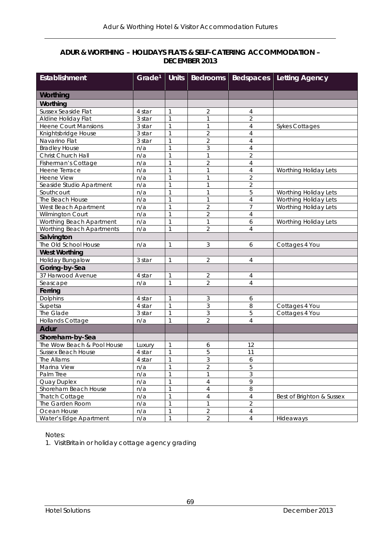### **ADUR & WORTHING – HOLIDAYS FLATS & SELF-CATERING ACCOMMODATION – DECEMBER 2013**

| <b>Establishment</b>        | Grade <sup>1</sup> | <b>Units</b> | <b>Bedrooms</b> |                | <b>Bedspaces</b> Letting Agency |
|-----------------------------|--------------------|--------------|-----------------|----------------|---------------------------------|
|                             |                    |              |                 |                |                                 |
| Worthing                    |                    |              |                 |                |                                 |
| Worthing                    |                    |              |                 |                |                                 |
| <b>Sussex Seaside Flat</b>  | 4 star             | 1            | $\overline{2}$  | 4              |                                 |
| Aldine Holiday Flat         | 3 star             | $\mathbf{1}$ | 1               | $\overline{2}$ |                                 |
| <b>Heene Court Mansions</b> | 3 star             | 1            | 1               | $\overline{4}$ | <b>Sykes Cottages</b>           |
| Knightsbridge House         | 3 star             | $\mathbf{1}$ | $\overline{2}$  | $\overline{4}$ |                                 |
| Navarino Flat               | 3 star             | $\mathbf{1}$ | $\overline{2}$  | $\overline{4}$ |                                 |
| <b>Bradley House</b>        | n/a                | 1            | 3               | $\overline{4}$ |                                 |
| Christ Church Hall          | n/a                | $\mathbf{1}$ | $\mathbf{1}$    | $\overline{2}$ |                                 |
| Fisherman's Cottage         | n/a                | $\mathbf{1}$ | $\overline{2}$  | $\overline{4}$ |                                 |
| Heene Terrace               | n/a                | $\mathbf{1}$ | 1               | $\overline{4}$ | Worthing Holiday Lets           |
| Heene View                  | n/a                | 1            | $\mathbf{1}$    | $\overline{2}$ |                                 |
| Seaside Studio Apartment    | n/a                | 1            | 1               | $\overline{2}$ |                                 |
| Southcourt                  | n/a                | 1            | 1               | 5              | Worthing Holiday Lets           |
| The Beach House             | n/a                | $\mathbf{1}$ | 1               | $\overline{4}$ | Worthing Holiday Lets           |
| West Beach Apartment        | n/a                | $\mathbf{1}$ | $\overline{2}$  | 7              | Worthing Holiday Lets           |
| Wilmington Court            | n/a                | $\mathbf{1}$ | $\overline{2}$  | $\overline{4}$ |                                 |
| Worthing Beach Apartment    | n/a                | $\mathbf{1}$ | $\mathbf{1}$    | 6              | Worthing Holiday Lets           |
| Worthing Beach Apartments   | n/a                | 1            | $\overline{2}$  | $\overline{4}$ |                                 |
| Salvington                  |                    |              |                 |                |                                 |
| The Old School House        | n/a                | 1            | 3               | 6              | Cottages 4 You                  |
| <b>West Worthing</b>        |                    |              |                 |                |                                 |
| Holiday Bungalow            | 3 star             | 1            | $\overline{2}$  | $\sqrt{4}$     |                                 |
| Goring-by-Sea               |                    |              |                 |                |                                 |
| 37 Harwood Avenue           | 4 star             | 1            | $\overline{2}$  | $\overline{4}$ |                                 |
| Seascape                    | n/a                | $\mathbf{1}$ | $\overline{2}$  | $\overline{4}$ |                                 |
| Ferring                     |                    |              |                 |                |                                 |
| Dolphins                    | 4 star             | 1            | 3               | 6              |                                 |
| Supetsa                     | 4 star             | 1            | $\overline{3}$  | 8              | Cottages 4 You                  |
| The Glade                   | 3 star             | 1            | 3               | 5              | Cottages 4 You                  |
| Hollands Cottage            | n/a                | 1            | $\overline{2}$  | $\overline{4}$ |                                 |
| <b>Adur</b>                 |                    |              |                 |                |                                 |
| Shoreham-by-Sea             |                    |              |                 |                |                                 |
| The Wow Beach & Pool House  | Luxury             | 1            | 6               | 12             |                                 |
| Sussex Beach House          | 4 star             | 1            | 5               | 11             |                                 |
| The Allams                  | 4 star             |              | 3               | 6              |                                 |
| Marina View                 | n/a                | $\mathbf{1}$ | $\overline{2}$  | 5              |                                 |
| Palm Tree                   | n/a                | 1            | 1               | 3              |                                 |
| Quay Duplex                 | n/a                | $\mathbf{1}$ | $\overline{4}$  | 9              |                                 |
| Shoreham Beach House        | n/a                | 1            | $\overline{4}$  | 8              |                                 |
| <b>Thatch Cottage</b>       | n/a                | 1            | $\overline{4}$  | $\overline{4}$ | Best of Brighton & Sussex       |
| The Garden Room             | n/a                | $\mathbf{1}$ | 1               | $\overline{2}$ |                                 |
| Ocean House                 | n/a                | 1            | $\overline{2}$  | 4              |                                 |
| Water's Edge Apartment      | n/a                | $\mathbf{1}$ | $\overline{2}$  | $\overline{4}$ | Hideaways                       |

Notes:

1. VisitBritain or holiday cottage agency grading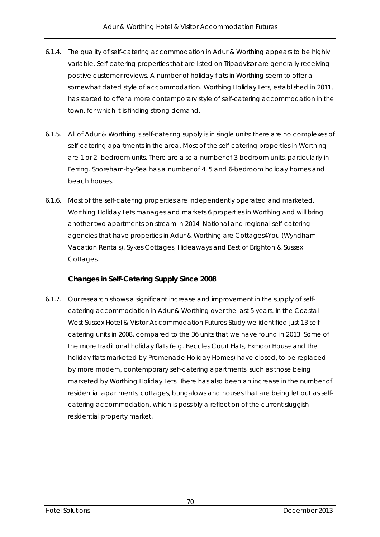- 6.1.4. The quality of self-catering accommodation in Adur & Worthing appears to be highly variable. Self-catering properties that are listed on Tripadvisor are generally receiving positive customer reviews. A number of holiday flats in Worthing seem to offer a somewhat dated style of accommodation. Worthing Holiday Lets, established in 2011, has started to offer a more contemporary style of self-catering accommodation in the town, for which it is finding strong demand.
- 6.1.5. All of Adur & Worthing's self-catering supply is in single units: there are no complexes of self-catering apartments in the area. Most of the self-catering properties in Worthing are 1 or 2- bedroom units. There are also a number of 3-bedroom units, particularly in Ferring. Shoreham-by-Sea has a number of 4, 5 and 6-bedroom holiday homes and beach houses.
- 6.1.6. Most of the self-catering properties are independently operated and marketed. Worthing Holiday Lets manages and markets 6 properties in Worthing and will bring another two apartments on stream in 2014. National and regional self-catering agencies that have properties in Adur & Worthing are Cottages4You (Wyndham Vacation Rentals), Sykes Cottages, Hideaways and Best of Brighton & Sussex Cottages.

## **Changes in Self-Catering Supply Since 2008**

6.1.7. Our research shows a significant increase and improvement in the supply of selfcatering accommodation in Adur & Worthing over the last 5 years. In the Coastal West Sussex Hotel & Visitor Accommodation Futures Study we identified just 13 selfcatering units in 2008, compared to the 36 units that we have found in 2013. Some of the more traditional holiday flats (e.g. Beccles Court Flats, Exmoor House and the holiday flats marketed by Promenade Holiday Homes) have closed, to be replaced by more modern, contemporary self-catering apartments, such as those being marketed by Worthing Holiday Lets. There has also been an increase in the number of residential apartments, cottages, bungalows and houses that are being let out as selfcatering accommodation, which is possibly a reflection of the current sluggish residential property market.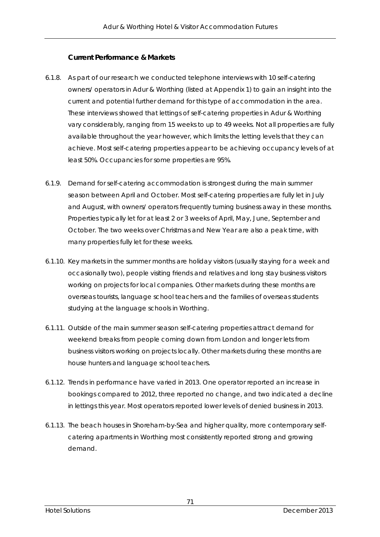## **Current Performance & Markets**

- 6.1.8. As part of our research we conducted telephone interviews with 10 self-catering owners/ operators in Adur & Worthing (listed at Appendix 1) to gain an insight into the current and potential further demand for this type of accommodation in the area. These interviews showed that lettings of self-catering properties in Adur & Worthing vary considerably, ranging from 15 weeks to up to 49 weeks. Not all properties are fully available throughout the year however, which limits the letting levels that they can achieve. Most self-catering properties appear to be achieving occupancy levels of at least 50%. Occupancies for some properties are 95%.
- 6.1.9. Demand for self-catering accommodation is strongest during the main summer season between April and October. Most self-catering properties are fully let in July and August, with owners/ operators frequently turning business away in these months. Properties typically let for at least 2 or 3 weeks of April, May, June, September and October. The two weeks over Christmas and New Year are also a peak time, with many properties fully let for these weeks.
- 6.1.10. Key markets in the summer months are holiday visitors (usually staying for a week and occasionally two), people visiting friends and relatives and long stay business visitors working on projects for local companies. Other markets during these months are overseas tourists, language school teachers and the families of overseas students studying at the language schools in Worthing.
- 6.1.11. Outside of the main summer season self-catering properties attract demand for weekend breaks from people coming down from London and longer lets from business visitors working on projects locally. Other markets during these months are house hunters and language school teachers.
- 6.1.12. Trends in performance have varied in 2013. One operator reported an increase in bookings compared to 2012, three reported no change, and two indicated a decline in lettings this year. Most operators reported lower levels of denied business in 2013.
- 6.1.13. The beach houses in Shoreham-by-Sea and higher quality, more contemporary selfcatering apartments in Worthing most consistently reported strong and growing demand.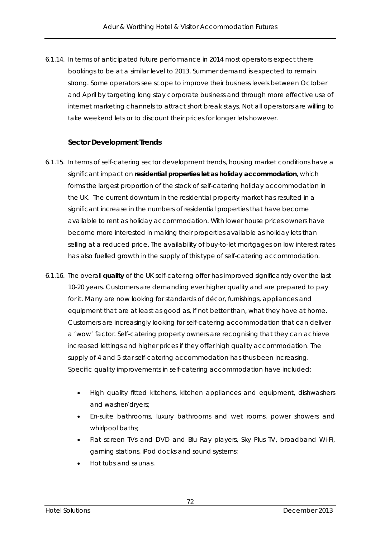6.1.14. In terms of anticipated future performance in 2014 most operators expect there bookings to be at a similar level to 2013. Summer demand is expected to remain strong. Some operators see scope to improve their business levels between October and April by targeting long stay corporate business and through more effective use of internet marketing channels to attract short break stays. Not all operators are willing to take weekend lets or to discount their prices for longer lets however.

#### **Sector Development Trends**

- 6.1.15. In terms of self-catering sector development trends, housing market conditions have a significant impact on **residential properties let as holiday accommodation**, which forms the largest proportion of the stock of self-catering holiday accommodation in the UK. The current downturn in the residential property market has resulted in a significant increase in the numbers of residential properties that have become available to rent as holiday accommodation. With lower house prices owners have become more interested in making their properties available as holiday lets than selling at a reduced price. The availability of buy-to-let mortgages on low interest rates has also fuelled growth in the supply of this type of self-catering accommodation.
- 6.1.16. The overall **quality** of the UK self-catering offer has improved significantly over the last 10-20 years. Customers are demanding ever higher quality and are prepared to pay for it. Many are now looking for standards of décor, furnishings, appliances and equipment that are at least as good as, if not better than, what they have at home. Customers are increasingly looking for self-catering accommodation that can deliver a 'wow' factor. Self-catering property owners are recognising that they can achieve increased lettings and higher prices if they offer high quality accommodation. The supply of 4 and 5 star self-catering accommodation has thus been increasing. Specific quality improvements in self-catering accommodation have included:
	- High quality fitted kitchens, kitchen appliances and equipment, dishwashers and washer/dryers;
	- En-suite bathrooms, luxury bathrooms and wet rooms, power showers and whirlpool baths;
	- Flat screen TVs and DVD and Blu Ray players, Sky Plus TV, broadband Wi-Fi, gaming stations, iPod docks and sound systems;
	- Hot tubs and saunas.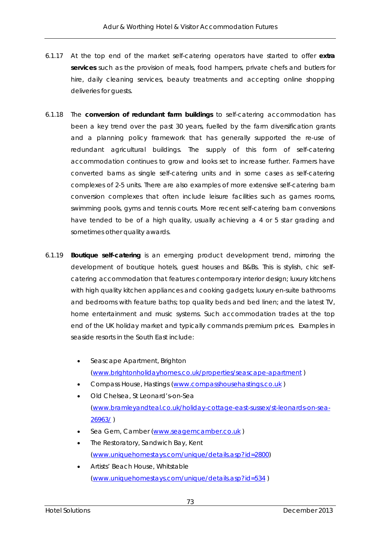- 6.1.17 At the top end of the market self-catering operators have started to offer **extra services** such as the provision of meals, food hampers, private chefs and butlers for hire, daily cleaning services, beauty treatments and accepting online shopping deliveries for guests.
- 6.1.18 The **conversion of redundant farm buildings** to self-catering accommodation has been a key trend over the past 30 years, fuelled by the farm diversification grants and a planning policy framework that has generally supported the re-use of redundant agricultural buildings. The supply of this form of self-catering accommodation continues to grow and looks set to increase further. Farmers have converted barns as single self-catering units and in some cases as self-catering complexes of 2-5 units. There are also examples of more extensive self-catering barn conversion complexes that often include leisure facilities such as games rooms, swimming pools, gyms and tennis courts. More recent self-catering barn conversions have tended to be of a high quality, usually achieving a 4 or 5 star grading and sometimes other quality awards.
- 6.1.19 **Boutique self-catering** is an emerging product development trend, mirroring the development of boutique hotels, guest houses and B&Bs. This is stylish, chic selfcatering accommodation that features contemporary interior design; luxury kitchens with high quality kitchen appliances and cooking gadgets; luxury en-suite bathrooms and bedrooms with feature baths; top quality beds and bed linen; and the latest TV, home entertainment and music systems. Such accommodation trades at the top end of the UK holiday market and typically commands premium prices. Examples in seaside resorts in the South East include:
	- Seascape Apartment, Brighton (www.brightonholidayhomes.co.uk/properties/seascape-apartment )
	- Compass House, Hastings (www.compasshousehastings.co.uk )
	- Old Chelsea, St Leonard's-on-Sea (www.bramleyandteal.co.uk/holiday-cottage-east-sussex/st-leonards-on-sea-26963/ )
	- Sea Gem, Camber (www.seagemcamber.co.uk )
	- The Restoratory, Sandwich Bay, Kent (www.uniquehomestays.com/unique/details.asp?id=2800)
	- Artists' Beach House, Whitstable (www.uniquehomestays.com/unique/details.asp?id=534 )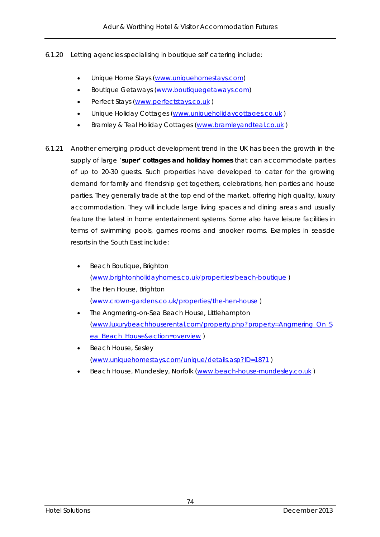- 6.1.20 Letting agencies specialising in boutique self catering include:
	- Unique Home Stays (www.uniquehomestays.com)
	- **Boutique Getaways (www.boutiquegetaways.com)**
	- Perfect Stays (www.perfectstays.co.uk )
	- Unique Holiday Cottages (www.uniqueholidaycottages.co.uk )
	- Bramley & Teal Holiday Cottages (www.bramleyandteal.co.uk )
- 6.1.21 Another emerging product development trend in the UK has been the growth in the supply of large '**super' cottages and holiday homes** that can accommodate parties of up to 20-30 guests. Such properties have developed to cater for the growing demand for family and friendship get togethers, celebrations, hen parties and house parties. They generally trade at the top end of the market, offering high quality, luxury accommodation. They will include large living spaces and dining areas and usually feature the latest in home entertainment systems. Some also have leisure facilities in terms of swimming pools, games rooms and snooker rooms. Examples in seaside resorts in the South East include:
	- Beach Boutique, Brighton (www.brightonholidayhomes.co.uk/properties/beach-boutique )
	- The Hen House, Brighton (www.crown-gardens.co.uk/properties/the-hen-house )
	- The Angmering-on-Sea Beach House, Littlehampton (www.luxurybeachhouserental.com/property.php?property=Angmering\_On\_S ea\_Beach\_House&action=overview )
	- Beach House, Sesley (www.uniquehomestays.com/unique/details.asp?ID=1871 )
	- Beach House, Mundesley, Norfolk (www.beach-house-mundesley.co.uk )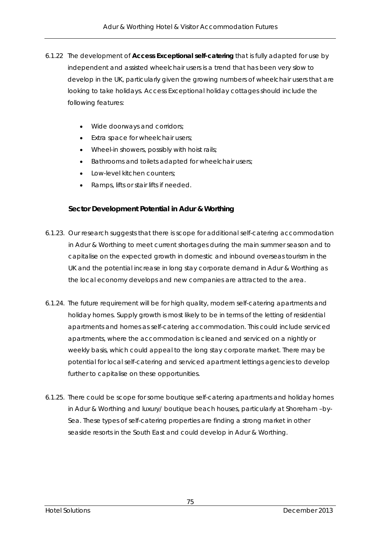- 6.1.22 The development of **Access Exceptional self-catering** that is fully adapted for use by independent and assisted wheelchair users is a trend that has been very slow to develop in the UK, particularly given the growing numbers of wheelchair users that are looking to take holidays. Access Exceptional holiday cottages should include the following features:
	- Wide doorways and corridors;
	- Extra space for wheelchair users:
	- Wheel-in showers, possibly with hoist rails;
	- **Bathrooms and toilets adapted for wheelchair users;**
	- Low-level kitchen counters;
	- Ramps, lifts or stair lifts if needed.

## **Sector Development Potential in Adur & Worthing**

- 6.1.23. Our research suggests that there is scope for additional self-catering accommodation in Adur & Worthing to meet current shortages during the main summer season and to capitalise on the expected growth in domestic and inbound overseas tourism in the UK and the potential increase in long stay corporate demand in Adur & Worthing as the local economy develops and new companies are attracted to the area.
- 6.1.24. The future requirement will be for high quality, modern self-catering apartments and holiday homes. Supply growth is most likely to be in terms of the letting of residential apartments and homes as self-catering accommodation. This could include serviced apartments, where the accommodation is cleaned and serviced on a nightly or weekly basis, which could appeal to the long stay corporate market. There may be potential for local self-catering and serviced apartment lettings agencies to develop further to capitalise on these opportunities.
- 6.1.25. There could be scope for some boutique self-catering apartments and holiday homes in Adur & Worthing and luxury/ boutique beach houses, particularly at Shoreham –by-Sea. These types of self-catering properties are finding a strong market in other seaside resorts in the South East and could develop in Adur & Worthing.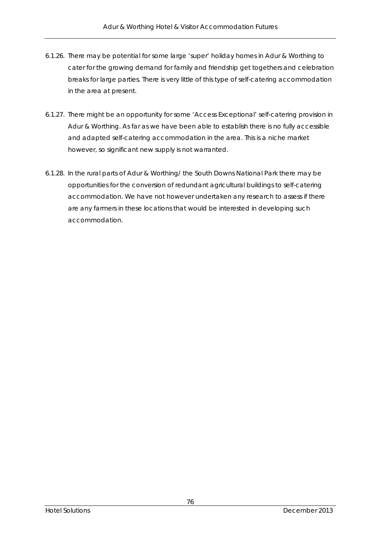- 6.1.26. There may be potential for some large 'super' holiday homes in Adur & Worthing to cater for the growing demand for family and friendship get togethers and celebration breaks for large parties. There is very little of this type of self-catering accommodation in the area at present.
- 6.1.27. There might be an opportunity for some 'Access Exceptional' self-catering provision in Adur & Worthing. As far as we have been able to establish there is no fully accessible and adapted self-catering accommodation in the area. This is a niche market however, so significant new supply is not warranted.
- 6.1.28. In the rural parts of Adur & Worthing/ the South Downs National Park there may be opportunities for the conversion of redundant agricultural buildings to self-catering accommodation. We have not however undertaken any research to assess if there are any farmers in these locations that would be interested in developing such accommodation.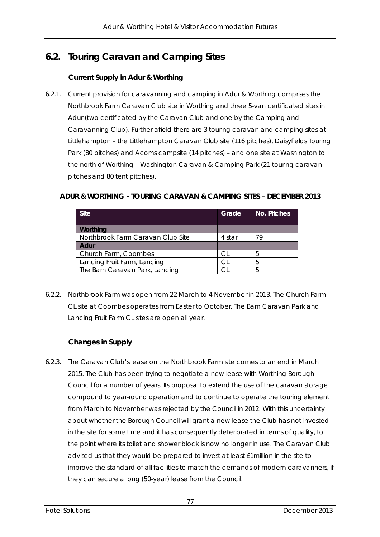# **6.2. Touring Caravan and Camping Sites**

## **Current Supply in Adur & Worthing**

6.2.1. Current provision for caravanning and camping in Adur & Worthing comprises the Northbrook Farm Caravan Club site in Worthing and three 5-van certificated sites in Adur (two certificated by the Caravan Club and one by the Camping and Caravanning Club). Further afield there are 3 touring caravan and camping sites at Littlehampton – the Littlehampton Caravan Club site (116 pitches), Daisyfields Touring Park (80 pitches) and Acorns campsite (14 pitches) – and one site at Washington to the north of Worthing – Washington Caravan & Camping Park (21 touring caravan pitches and 80 tent pitches).

## **ADUR & WORTHING - TOURING CARAVAN & CAMPING SITES – DECEMBER 2013**

| <b>Site</b>                       | Grade  | No. Pitches |
|-----------------------------------|--------|-------------|
| Worthing                          |        |             |
| Northbrook Farm Caravan Club Site | 4 star | 79          |
| Adur                              |        |             |
| Church Farm, Coombes              | CI.    | 5           |
| Lancing Fruit Farm, Lancing       | CI.    | 5           |
| The Barn Caravan Park, Lancing    | ี      | Ҕ           |

6.2.2. Northbrook Farm was open from 22 March to 4 November in 2013. The Church Farm CL site at Coombes operates from Easter to October. The Barn Caravan Park and Lancing Fruit Farm CL sites are open all year.

## **Changes in Supply**

6.2.3. The Caravan Club's lease on the Northbrook Farm site comes to an end in March 2015. The Club has been trying to negotiate a new lease with Worthing Borough Council for a number of years. Its proposal to extend the use of the caravan storage compound to year-round operation and to continue to operate the touring element from March to November was rejected by the Council in 2012. With this uncertainty about whether the Borough Council will grant a new lease the Club has not invested in the site for some time and it has consequently deteriorated in terms of quality, to the point where its toilet and shower block is now no longer in use. The Caravan Club advised us that they would be prepared to invest at least £1million in the site to improve the standard of all facilities to match the demands of modern caravanners, if they can secure a long (50-year) lease from the Council.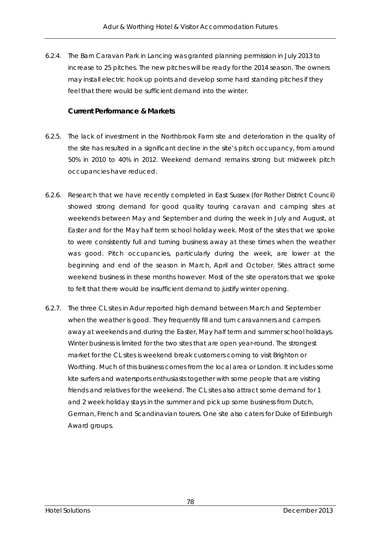6.2.4. The Barn Caravan Park in Lancing was granted planning permission in July 2013 to increase to 25 pitches. The new pitches will be ready for the 2014 season. The owners may install electric hook up points and develop some hard standing pitches if they feel that there would be sufficient demand into the winter.

## **Current Performance & Markets**

- 6.2.5. The lack of investment in the Northbrook Farm site and deterioration in the quality of the site has resulted in a significant decline in the site's pitch occupancy, from around 50% in 2010 to 40% in 2012. Weekend demand remains strong but midweek pitch occupancies have reduced.
- 6.2.6. Research that we have recently completed in East Sussex (for Rother District Council) showed strong demand for good quality touring caravan and camping sites at weekends between May and September and during the week in July and August, at Easter and for the May half term school holiday week. Most of the sites that we spoke to were consistently full and turning business away at these times when the weather was good. Pitch occupancies, particularly during the week, are lower at the beginning and end of the season in March, April and October. Sites attract some weekend business in these months however. Most of the site operators that we spoke to felt that there would be insufficient demand to justify winter opening.
- 6.2.7. The three CL sites in Adur reported high demand between March and September when the weather is good. They frequently fill and turn caravanners and campers away at weekends and during the Easter, May half term and summer school holidays. Winter business is limited for the two sites that are open year-round. The strongest market for the CL sites is weekend break customers coming to visit Brighton or Worthing. Much of this business comes from the local area or London. It includes some kite surfers and watersports enthusiasts together with some people that are visiting friends and relatives for the weekend. The CL sites also attract some demand for 1 and 2 week holiday stays in the summer and pick up some business from Dutch, German, French and Scandinavian tourers. One site also caters for Duke of Edinburgh Award groups.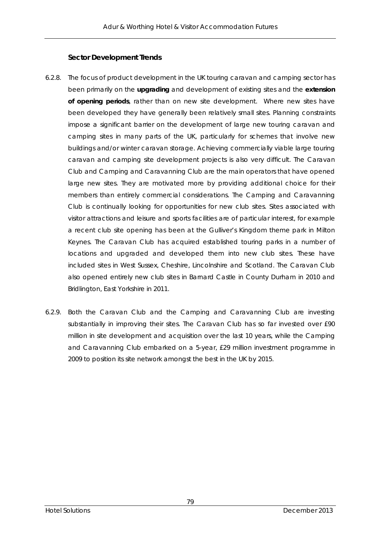#### **Sector Development Trends**

- 6.2.8. The focus of product development in the UK touring caravan and camping sector has been primarily on the **upgrading** and development of existing sites and the **extension of opening periods**, rather than on new site development. Where new sites have been developed they have generally been relatively small sites. Planning constraints impose a significant barrier on the development of large new touring caravan and camping sites in many parts of the UK, particularly for schemes that involve new buildings and/or winter caravan storage. Achieving commercially viable large touring caravan and camping site development projects is also very difficult. The Caravan Club and Camping and Caravanning Club are the main operators that have opened large new sites. They are motivated more by providing additional choice for their members than entirely commercial considerations. The Camping and Caravanning Club is continually looking for opportunities for new club sites. Sites associated with visitor attractions and leisure and sports facilities are of particular interest, for example a recent club site opening has been at the Gulliver's Kingdom theme park in Milton Keynes. The Caravan Club has acquired established touring parks in a number of locations and upgraded and developed them into new club sites. These have included sites in West Sussex, Cheshire, Lincolnshire and Scotland. The Caravan Club also opened entirely new club sites in Barnard Castle in County Durham in 2010 and Bridlington, East Yorkshire in 2011.
- 6.2.9. Both the Caravan Club and the Camping and Caravanning Club are investing substantially in improving their sites. The Caravan Club has so far invested over £90 million in site development and acquisition over the last 10 years, while the Camping and Caravanning Club embarked on a 5-year, £29 million investment programme in 2009 to position its site network amongst the best in the UK by 2015.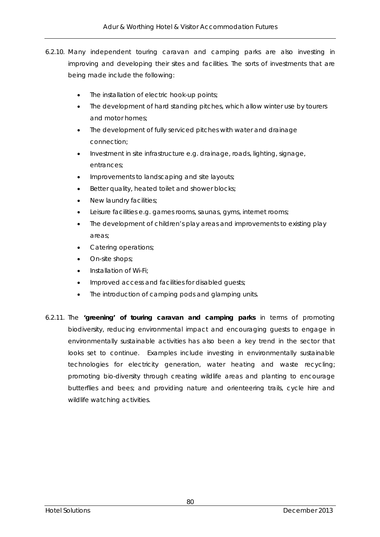- 6.2.10. Many independent touring caravan and camping parks are also investing in improving and developing their sites and facilities. The sorts of investments that are being made include the following:
	- The installation of electric hook-up points;
	- The development of hard standing pitches, which allow winter use by tourers and motor homes;
	- The development of fully serviced pitches with water and drainage connection;
	- Investment in site infrastructure e.g. drainage, roads, lighting, signage, entrances;
	- Improvements to landscaping and site layouts;
	- **Better quality, heated toilet and shower blocks;**
	- New laundry facilities;
	- Leisure facilities e.g. games rooms, saunas, gyms, internet rooms;
	- The development of children's play areas and improvements to existing play areas;
	- Catering operations;
	- On-site shops;
	- Installation of Wi-Fi;
	- Improved access and facilities for disabled guests;
	- The introduction of camping pods and glamping units.
- 6.2.11. The **'greening' of touring caravan and camping parks** in terms of promoting biodiversity, reducing environmental impact and encouraging guests to engage in environmentally sustainable activities has also been a key trend in the sector that looks set to continue. Examples include investing in environmentally sustainable technologies for electricity generation, water heating and waste recycling; promoting bio-diversity through creating wildlife areas and planting to encourage butterflies and bees; and providing nature and orienteering trails, cycle hire and wildlife watching activities.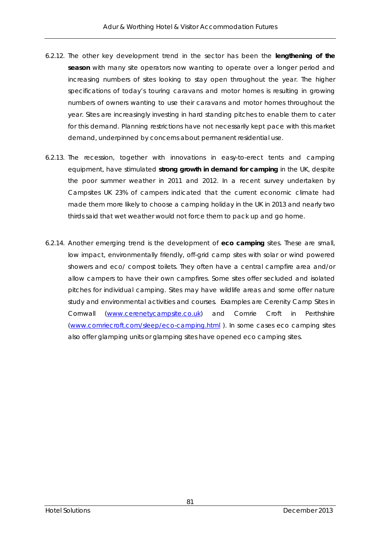- 6.2.12. The other key development trend in the sector has been the **lengthening of the season** with many site operators now wanting to operate over a longer period and increasing numbers of sites looking to stay open throughout the year. The higher specifications of today's touring caravans and motor homes is resulting in growing numbers of owners wanting to use their caravans and motor homes throughout the year. Sites are increasingly investing in hard standing pitches to enable them to cater for this demand. Planning restrictions have not necessarily kept pace with this market demand, underpinned by concerns about permanent residential use.
- 6.2.13. The recession, together with innovations in easy-to-erect tents and camping equipment, have stimulated **strong growth in demand for camping** in the UK, despite the poor summer weather in 2011 and 2012. In a recent survey undertaken by Campsites UK 23% of campers indicated that the current economic climate had made them more likely to choose a camping holiday in the UK in 2013 and nearly two thirds said that wet weather would not force them to pack up and go home.
- 6.2.14. Another emerging trend is the development of **eco camping** sites. These are small, low impact, environmentally friendly, off-grid camp sites with solar or wind powered showers and eco/ compost toilets. They often have a central campfire area and/or allow campers to have their own campfires. Some sites offer secluded and isolated pitches for individual camping. Sites may have wildlife areas and some offer nature study and environmental activities and courses. Examples are Cerenity Camp Sites in Cornwall (www.cerenetycampsite.co.uk) and Comrie Croft in Perthshire (www.comriecroft.com/sleep/eco-camping.html ). In some cases eco camping sites also offer glamping units or glamping sites have opened eco camping sites.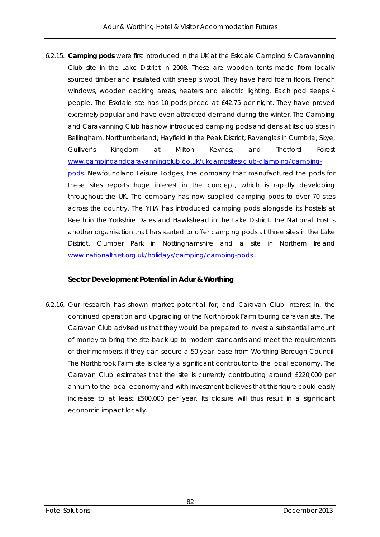6.2.15. **Camping pods** were first introduced in the UK at the Eskdale Camping & Caravanning Club site in the Lake District in 2008. These are wooden tents made from locally sourced timber and insulated with sheep's wool. They have hard foam floors, French windows, wooden decking areas, heaters and electric lighting. Each pod sleeps 4 people. The Eskdale site has 10 pods priced at £42.75 per night. They have proved extremely popular and have even attracted demand during the winter. The Camping and Caravanning Club has now introduced camping pods and dens at its club sites in Bellingham, Northumberland; Hayfield in the Peak District; Ravenglas in Cumbria; Skye; Gulliver's Kingdom at Milton Keynes; and Thetford Forest www.campingandcaravanningclub.co.uk/ukcampsites/club-glamping/campingpods. Newfoundland Leisure Lodges, the company that manufactured the pods for these sites reports huge interest in the concept, which is rapidly developing throughout the UK. The company has now supplied camping pods to over 70 sites across the country. The YHA has introduced camping pods alongside its hostels at Reeth in the Yorkshire Dales and Hawkshead in the Lake District. The National Trust is another organisation that has started to offer camping pods at three sites in the Lake District, Clumber Park in Nottinghamshire and a site in Northern Ireland www.nationaltrust.org.uk/holidays/camping/camping-pods .

## **Sector Development Potential in Adur & Worthing**

6.2.16. Our research has shown market potential for, and Caravan Club interest in, the continued operation and upgrading of the Northbrook Farm touring caravan site. The Caravan Club advised us that they would be prepared to invest a substantial amount of money to bring the site back up to modern standards and meet the requirements of their members, if they can secure a 50-year lease from Worthing Borough Council. The Northbrook Farm site is clearly a significant contributor to the local economy. The Caravan Club estimates that the site is currently contributing around £220,000 per annum to the local economy and with investment believes that this figure could easily increase to at least £500,000 per year. Its closure will thus result in a significant economic impact locally.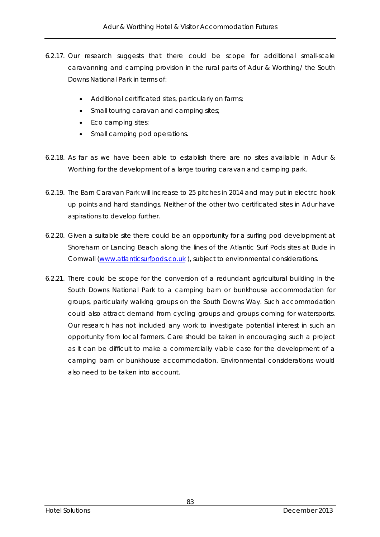- 6.2.17. Our research suggests that there could be scope for additional small-scale caravanning and camping provision in the rural parts of Adur & Worthing/ the South Downs National Park in terms of:
	- Additional certificated sites, particularly on farms;
	- Small touring caravan and camping sites;
	- Eco camping sites;
	- Small camping pod operations.
- 6.2.18. As far as we have been able to establish there are no sites available in Adur & Worthing for the development of a large touring caravan and camping park.
- 6.2.19. The Barn Caravan Park will increase to 25 pitches in 2014 and may put in electric hook up points and hard standings. Neither of the other two certificated sites in Adur have aspirations to develop further.
- 6.2.20. Given a suitable site there could be an opportunity for a surfing pod development at Shoreham or Lancing Beach along the lines of the Atlantic Surf Pods sites at Bude in Cornwall (www.atlanticsurfpods.co.uk ), subject to environmental considerations.
- 6.2.21. There could be scope for the conversion of a redundant agricultural building in the South Downs National Park to a camping barn or bunkhouse accommodation for groups, particularly walking groups on the South Downs Way. Such accommodation could also attract demand from cycling groups and groups coming for watersports. Our research has not included any work to investigate potential interest in such an opportunity from local farmers. Care should be taken in encouraging such a project as it can be difficult to make a commercially viable case for the development of a camping barn or bunkhouse accommodation. Environmental considerations would also need to be taken into account.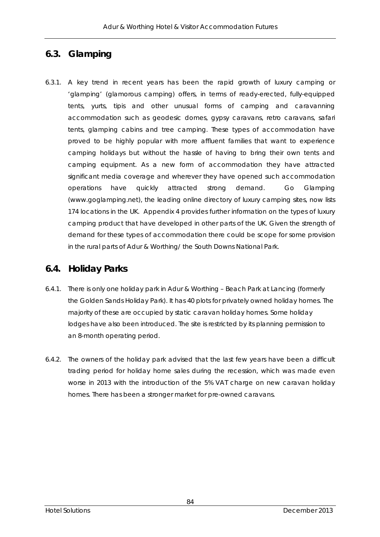# **6.3. Glamping**

6.3.1. A key trend in recent years has been the rapid growth of luxury camping or 'glamping' (glamorous camping) offers, in terms of ready-erected, fully-equipped tents, yurts, tipis and other unusual forms of camping and caravanning accommodation such as geodesic domes, gypsy caravans, retro caravans, safari tents, glamping cabins and tree camping. These types of accommodation have proved to be highly popular with more affluent families that want to experience camping holidays but without the hassle of having to bring their own tents and camping equipment. As a new form of accommodation they have attracted significant media coverage and wherever they have opened such accommodation operations have quickly attracted strong demand. Go Glamping (www.goglamping.net), the leading online directory of luxury camping sites, now lists 174 locations in the UK. Appendix 4 provides further information on the types of luxury camping product that have developed in other parts of the UK. Given the strength of demand for these types of accommodation there could be scope for some provision in the rural parts of Adur & Worthing/ the South Downs National Park.

## **6.4. Holiday Parks**

- 6.4.1. There is only one holiday park in Adur & Worthing Beach Park at Lancing (formerly the Golden Sands Holiday Park). It has 40 plots for privately owned holiday homes. The majority of these are occupied by static caravan holiday homes. Some holiday lodges have also been introduced. The site is restricted by its planning permission to an 8-month operating period.
- 6.4.2. The owners of the holiday park advised that the last few years have been a difficult trading period for holiday home sales during the recession, which was made even worse in 2013 with the introduction of the 5% VAT charge on new caravan holiday homes. There has been a stronger market for pre-owned caravans.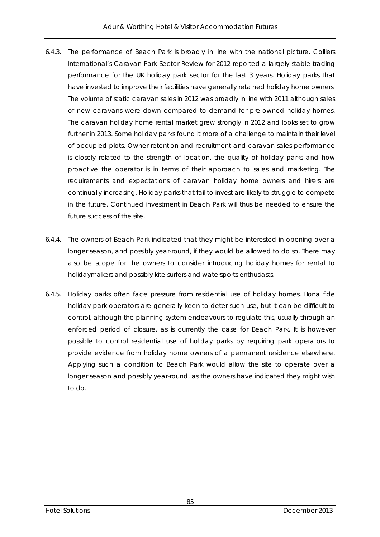- 6.4.3. The performance of Beach Park is broadly in line with the national picture. Colliers International's Caravan Park Sector Review for 2012 reported a largely stable trading performance for the UK holiday park sector for the last 3 years. Holiday parks that have invested to improve their facilities have generally retained holiday home owners. The volume of static caravan sales in 2012 was broadly in line with 2011 although sales of new caravans were down compared to demand for pre-owned holiday homes. The caravan holiday home rental market grew strongly in 2012 and looks set to grow further in 2013. Some holiday parks found it more of a challenge to maintain their level of occupied plots. Owner retention and recruitment and caravan sales performance is closely related to the strength of location, the quality of holiday parks and how proactive the operator is in terms of their approach to sales and marketing. The requirements and expectations of caravan holiday home owners and hirers are continually increasing. Holiday parks that fail to invest are likely to struggle to compete in the future. Continued investment in Beach Park will thus be needed to ensure the future success of the site.
- 6.4.4. The owners of Beach Park indicated that they might be interested in opening over a longer season, and possibly year-round, if they would be allowed to do so. There may also be scope for the owners to consider introducing holiday homes for rental to holidaymakers and possibly kite surfers and watersports enthusiasts.
- 6.4.5. Holiday parks often face pressure from residential use of holiday homes. Bona fide holiday park operators are generally keen to deter such use, but it can be difficult to control, although the planning system endeavours to regulate this, usually through an enforced period of closure, as is currently the case for Beach Park. It is however possible to control residential use of holiday parks by requiring park operators to provide evidence from holiday home owners of a permanent residence elsewhere. Applying such a condition to Beach Park would allow the site to operate over a longer season and possibly year-round, as the owners have indicated they might wish to do.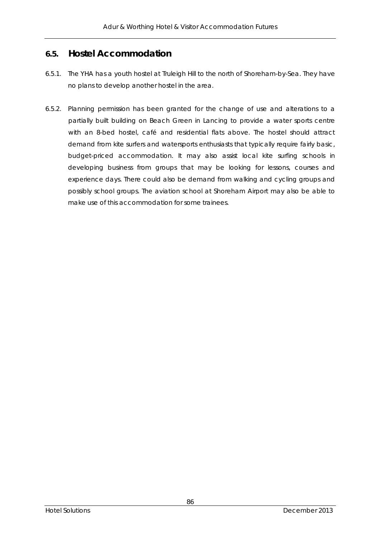## **6.5. Hostel Accommodation**

- 6.5.1. The YHA has a youth hostel at Truleigh Hill to the north of Shoreham-by-Sea. They have no plans to develop another hostel in the area.
- 6.5.2. Planning permission has been granted for the change of use and alterations to a partially built building on Beach Green in Lancing to provide a water sports centre with an 8-bed hostel, café and residential flats above. The hostel should attract demand from kite surfers and watersports enthusiasts that typically require fairly basic, budget-priced accommodation. It may also assist local kite surfing schools in developing business from groups that may be looking for lessons, courses and experience days. There could also be demand from walking and cycling groups and possibly school groups. The aviation school at Shoreham Airport may also be able to make use of this accommodation for some trainees.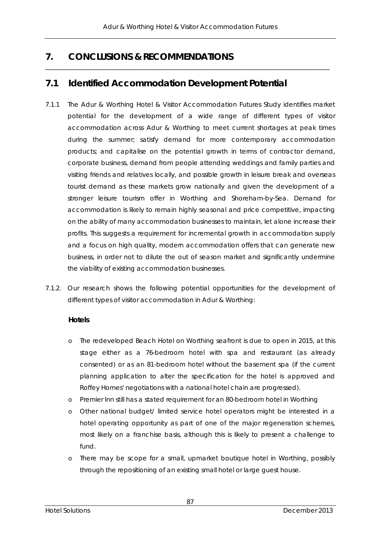\_\_\_\_\_\_\_\_\_\_\_\_\_\_\_\_\_\_\_\_\_\_\_\_\_\_\_\_\_\_\_\_\_\_\_\_\_\_\_\_\_\_\_\_\_\_\_\_\_\_\_\_\_\_\_\_\_\_\_\_\_\_\_\_\_\_\_\_\_\_\_\_\_\_\_\_\_\_\_\_\_\_\_\_\_\_\_\_\_

# **7. CONCLUSIONS & RECOMMENDATIONS**

# **7.1 Identified Accommodation Development Potential**

- 7.1.1 The Adur & Worthing Hotel & Visitor Accommodation Futures Study identifies market potential for the development of a wide range of different types of visitor accommodation across Adur & Worthing to meet current shortages at peak times during the summer; satisfy demand for more contemporary accommodation products; and capitalise on the potential growth in terms of contractor demand, corporate business, demand from people attending weddings and family parties and visiting friends and relatives locally, and possible growth in leisure break and overseas tourist demand as these markets grow nationally and given the development of a stronger leisure tourism offer in Worthing and Shoreham-by-Sea. Demand for accommodation is likely to remain highly seasonal and price competitive, impacting on the ability of many accommodation businesses to maintain, let alone increase their profits. This suggests a requirement for incremental growth in accommodation supply and a focus on high quality, modern accommodation offers that can generate new business, in order not to dilute the out of season market and significantly undermine the viability of existing accommodation businesses.
- 7.1.2. Our research shows the following potential opportunities for the development of different types of visitor accommodation in Adur & Worthing:

## **Hotels**

- o The redeveloped Beach Hotel on Worthing seafront is due to open in 2015, at this stage either as a 76-bedroom hotel with spa and restaurant (as already consented) or as an 81-bedroom hotel without the basement spa (if the current planning application to alter the specification for the hotel is approved and Roffey Homes' negotiations with a national hotel chain are progressed).
- o Premier Inn still has a stated requirement for an 80-bedroom hotel in Worthing
- o Other national budget/ limited service hotel operators might be interested in a hotel operating opportunity as part of one of the major regeneration schemes, most likely on a franchise basis, although this is likely to present a challenge to fund.
- o There may be scope for a small, upmarket boutique hotel in Worthing, possibly through the repositioning of an existing small hotel or large guest house.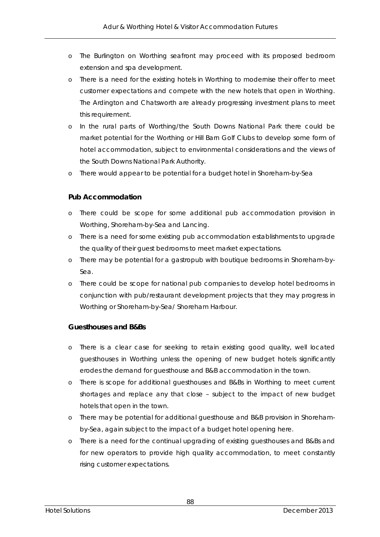- o The Burlington on Worthing seafront may proceed with its proposed bedroom extension and spa development.
- o There is a need for the existing hotels in Worthing to modernise their offer to meet customer expectations and compete with the new hotels that open in Worthing. The Ardington and Chatsworth are already progressing investment plans to meet this requirement.
- o In the rural parts of Worthing/the South Downs National Park there could be market potential for the Worthing or Hill Barn Golf Clubs to develop some form of hotel accommodation, subject to environmental considerations and the views of the South Downs National Park Authority.
- o There would appear to be potential for a budget hotel in Shoreham-by-Sea

## **Pub Accommodation**

- o There could be scope for some additional pub accommodation provision in Worthing, Shoreham-by-Sea and Lancing.
- o There is a need for some existing pub accommodation establishments to upgrade the quality of their guest bedrooms to meet market expectations.
- o There may be potential for a gastropub with boutique bedrooms in Shoreham-by-Sea.
- o There could be scope for national pub companies to develop hotel bedrooms in conjunction with pub/restaurant development projects that they may progress in Worthing or Shoreham-by-Sea/ Shoreham Harbour.

#### **Guesthouses and B&Bs**

- o There is a clear case for seeking to retain existing good quality, well located guesthouses in Worthing unless the opening of new budget hotels significantly erodes the demand for guesthouse and B&B accommodation in the town.
- o There is scope for additional guesthouses and B&Bs in Worthing to meet current shortages and replace any that close – subject to the impact of new budget hotels that open in the town.
- o There may be potential for additional guesthouse and B&B provision in Shorehamby-Sea, again subject to the impact of a budget hotel opening here.
- o There is a need for the continual upgrading of existing guesthouses and B&Bs and for new operators to provide high quality accommodation, to meet constantly rising customer expectations.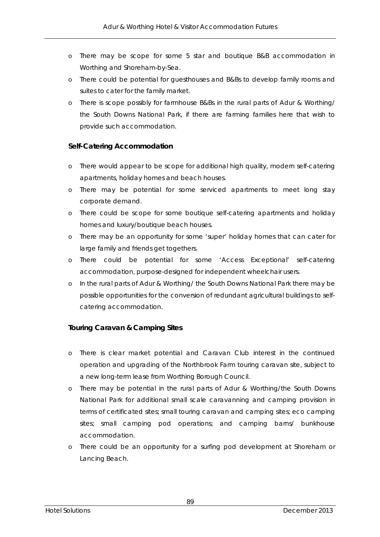- o There may be scope for some 5 star and boutique B&B accommodation in Worthing and Shoreham-by-Sea.
- o There could be potential for guesthouses and B&Bs to develop family rooms and suites to cater for the family market.
- o There is scope possibly for farmhouse B&Bs in the rural parts of Adur & Worthing/ the South Downs National Park, if there are farming families here that wish to provide such accommodation.

## **Self-Catering Accommodation**

- o There would appear to be scope for additional high quality, modern self-catering apartments, holiday homes and beach houses.
- o There may be potential for some serviced apartments to meet long stay corporate demand.
- o There could be scope for some boutique self-catering apartments and holiday homes and luxury/boutique beach houses.
- o There may be an opportunity for some 'super' holiday homes that can cater for large family and friends get togethers.
- o There could be potential for some 'Access Exceptional' self-catering accommodation, purpose-designed for independent wheelchair users.
- o In the rural parts of Adur & Worthing/ the South Downs National Park there may be possible opportunities for the conversion of redundant agricultural buildings to selfcatering accommodation.

## **Touring Caravan & Camping Sites**

- o There is clear market potential and Caravan Club interest in the continued operation and upgrading of the Northbrook Farm touring caravan site, subject to a new long-term lease from Worthing Borough Council.
- o There may be potential in the rural parts of Adur & Worthing/the South Downs National Park for additional small scale caravanning and camping provision in terms of certificated sites; small touring caravan and camping sites; eco camping sites; small camping pod operations; and camping barns/ bunkhouse accommodation.
- o There could be an opportunity for a surfing pod development at Shoreham or Lancing Beach.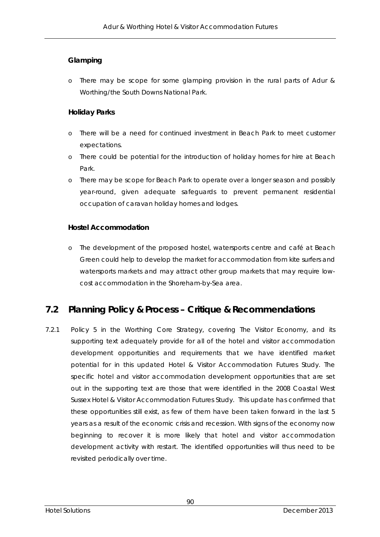## **Glamping**

o There may be scope for some glamping provision in the rural parts of Adur & Worthing/the South Downs National Park.

## **Holiday Parks**

- o There will be a need for continued investment in Beach Park to meet customer expectations.
- o There could be potential for the introduction of holiday homes for hire at Beach Park.
- o There may be scope for Beach Park to operate over a longer season and possibly year-round, given adequate safeguards to prevent permanent residential occupation of caravan holiday homes and lodges.

## **Hostel Accommodation**

o The development of the proposed hostel, watersports centre and café at Beach Green could help to develop the market for accommodation from kite surfers and watersports markets and may attract other group markets that may require lowcost accommodation in the Shoreham-by-Sea area.

# **7.2 Planning Policy & Process – Critique & Recommendations**

7.2.1 Policy 5 in the Worthing Core Strategy, covering The Visitor Economy, and its supporting text adequately provide for all of the hotel and visitor accommodation development opportunities and requirements that we have identified market potential for in this updated Hotel & Visitor Accommodation Futures Study. The specific hotel and visitor accommodation development opportunities that are set out in the supporting text are those that were identified in the 2008 Coastal West Sussex Hotel & Visitor Accommodation Futures Study. This update has confirmed that these opportunities still exist, as few of them have been taken forward in the last 5 years as a result of the economic crisis and recession. With signs of the economy now beginning to recover it is more likely that hotel and visitor accommodation development activity with restart. The identified opportunities will thus need to be revisited periodically over time.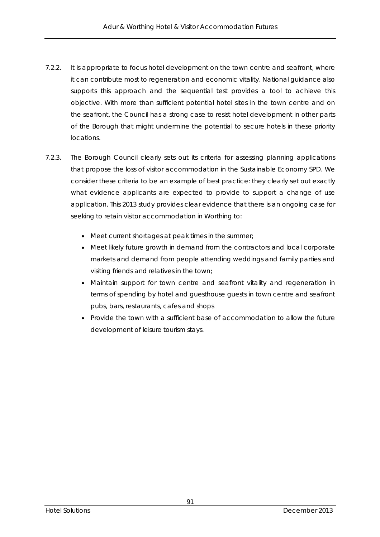- 7.2.2. It is appropriate to focus hotel development on the town centre and seafront, where it can contribute most to regeneration and economic vitality. National guidance also supports this approach and the sequential test provides a tool to achieve this objective. With more than sufficient potential hotel sites in the town centre and on the seafront, the Council has a strong case to resist hotel development in other parts of the Borough that might undermine the potential to secure hotels in these priority locations.
- 7.2.3. The Borough Council clearly sets out its criteria for assessing planning applications that propose the loss of visitor accommodation in the Sustainable Economy SPD. We consider these criteria to be an example of best practice: they clearly set out exactly what evidence applicants are expected to provide to support a change of use application. This 2013 study provides clear evidence that there is an ongoing case for seeking to retain visitor accommodation in Worthing to:
	- Meet current shortages at peak times in the summer;
	- Meet likely future growth in demand from the contractors and local corporate markets and demand from people attending weddings and family parties and visiting friends and relatives in the town;
	- Maintain support for town centre and seafront vitality and regeneration in terms of spending by hotel and guesthouse guests in town centre and seafront pubs, bars, restaurants, cafes and shops
	- Provide the town with a sufficient base of accommodation to allow the future development of leisure tourism stays.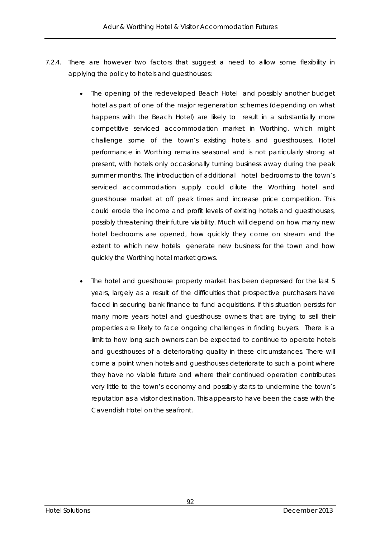- 7.2.4. There are however two factors that suggest a need to allow some flexibility in applying the policy to hotels and guesthouses:
	- The opening of the redeveloped Beach Hotel and possibly another budget hotel as part of one of the major regeneration schemes (depending on what happens with the Beach Hotel) are likely to result in a substantially more competitive serviced accommodation market in Worthing, which might challenge some of the town's existing hotels and guesthouses. Hotel performance in Worthing remains seasonal and is not particularly strong at present, with hotels only occasionally turning business away during the peak summer months. The introduction of additional hotel bedrooms to the town's serviced accommodation supply could dilute the Worthing hotel and guesthouse market at off peak times and increase price competition. This could erode the income and profit levels of existing hotels and guesthouses, possibly threatening their future viability. Much will depend on how many new hotel bedrooms are opened, how quickly they come on stream and the extent to which new hotels generate new business for the town and how quickly the Worthing hotel market grows.
	- The hotel and guesthouse property market has been depressed for the last 5 years, largely as a result of the difficulties that prospective purchasers have faced in securing bank finance to fund acquisitions. If this situation persists for many more years hotel and guesthouse owners that are trying to sell their properties are likely to face ongoing challenges in finding buyers. There is a limit to how long such owners can be expected to continue to operate hotels and guesthouses of a deteriorating quality in these circumstances. There will come a point when hotels and guesthouses deteriorate to such a point where they have no viable future and where their continued operation contributes very little to the town's economy and possibly starts to undermine the town's reputation as a visitor destination. This appears to have been the case with the Cavendish Hotel on the seafront.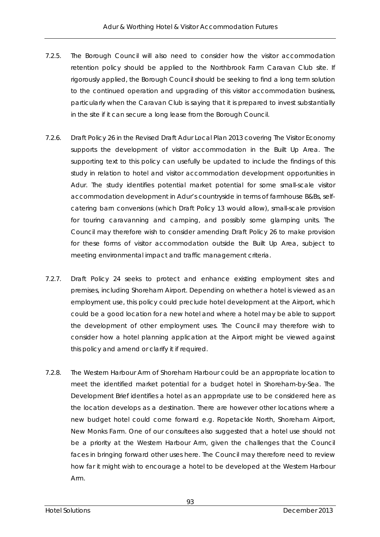- 7.2.5. The Borough Council will also need to consider how the visitor accommodation retention policy should be applied to the Northbrook Farm Caravan Club site. If rigorously applied, the Borough Council should be seeking to find a long term solution to the continued operation and upgrading of this visitor accommodation business, particularly when the Caravan Club is saying that it is prepared to invest substantially in the site if it can secure a long lease from the Borough Council.
- 7.2.6. Draft Policy 26 in the Revised Draft Adur Local Plan 2013 covering The Visitor Economy supports the development of visitor accommodation in the Built Up Area. The supporting text to this policy can usefully be updated to include the findings of this study in relation to hotel and visitor accommodation development opportunities in Adur. The study identifies potential market potential for some small-scale visitor accommodation development in Adur's countryside in terms of farmhouse B&Bs, selfcatering barn conversions (which Draft Policy 13 would allow), small-scale provision for touring caravanning and camping, and possibly some glamping units. The Council may therefore wish to consider amending Draft Policy 26 to make provision for these forms of visitor accommodation outside the Built Up Area, subject to meeting environmental impact and traffic management criteria.
- 7.2.7. Draft Policy 24 seeks to protect and enhance existing employment sites and premises, including Shoreham Airport. Depending on whether a hotel is viewed as an employment use, this policy could preclude hotel development at the Airport, which could be a good location for a new hotel and where a hotel may be able to support the development of other employment uses. The Council may therefore wish to consider how a hotel planning application at the Airport might be viewed against this policy and amend or clarify it if required.
- 7.2.8. The Western Harbour Arm of Shoreham Harbour could be an appropriate location to meet the identified market potential for a budget hotel in Shoreham-by-Sea. The Development Brief identifies a hotel as an appropriate use to be considered here as the location develops as a destination. There are however other locations where a new budget hotel could come forward e.g. Ropetackle North, Shoreham Airport, New Monks Farm. One of our consultees also suggested that a hotel use should not be a priority at the Western Harbour Arm, given the challenges that the Council faces in bringing forward other uses here. The Council may therefore need to review how far it might wish to encourage a hotel to be developed at the Western Harbour Arm.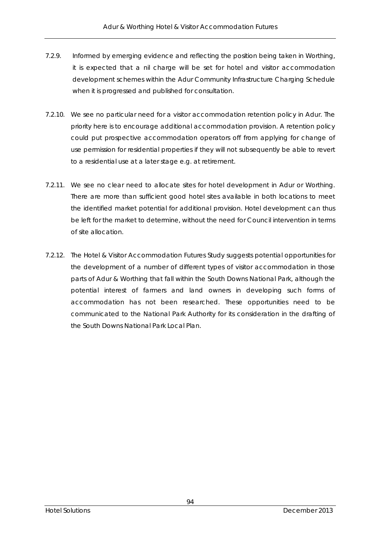- 7.2.9. Informed by emerging evidence and reflecting the position being taken in Worthing, it is expected that a nil charge will be set for hotel and visitor accommodation development schemes within the Adur Community Infrastructure Charging Schedule when it is progressed and published for consultation.
- 7.2.10. We see no particular need for a visitor accommodation retention policy in Adur. The priority here is to encourage additional accommodation provision. A retention policy could put prospective accommodation operators off from applying for change of use permission for residential properties if they will not subsequently be able to revert to a residential use at a later stage e.g. at retirement.
- 7.2.11. We see no clear need to allocate sites for hotel development in Adur or Worthing. There are more than sufficient good hotel sites available in both locations to meet the identified market potential for additional provision. Hotel development can thus be left for the market to determine, without the need for Council intervention in terms of site allocation.
- 7.2.12. The Hotel & Visitor Accommodation Futures Study suggests potential opportunities for the development of a number of different types of visitor accommodation in those parts of Adur & Worthing that fall within the South Downs National Park, although the potential interest of farmers and land owners in developing such forms of accommodation has not been researched. These opportunities need to be communicated to the National Park Authority for its consideration in the drafting of the South Downs National Park Local Plan.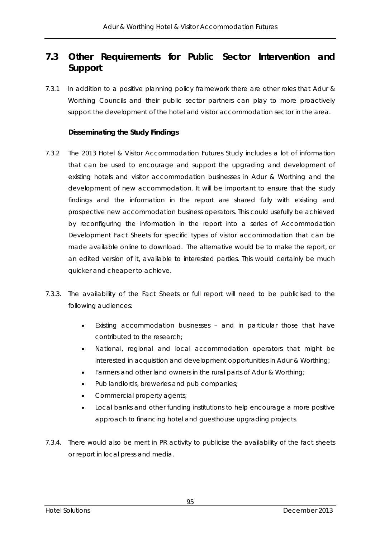## **7.3 Other Requirements for Public Sector Intervention and Support**

7.3.1 In addition to a positive planning policy framework there are other roles that Adur & Worthing Councils and their public sector partners can play to more proactively support the development of the hotel and visitor accommodation sector in the area.

## **Disseminating the Study Findings**

- 7.3.2 The 2013 Hotel & Visitor Accommodation Futures Study includes a lot of information that can be used to encourage and support the upgrading and development of existing hotels and visitor accommodation businesses in Adur & Worthing and the development of new accommodation. It will be important to ensure that the study findings and the information in the report are shared fully with existing and prospective new accommodation business operators. This could usefully be achieved by reconfiguring the information in the report into a series of Accommodation Development Fact Sheets for specific types of visitor accommodation that can be made available online to download. The alternative would be to make the report, or an edited version of it, available to interested parties. This would certainly be much quicker and cheaper to achieve.
- 7.3.3. The availability of the Fact Sheets or full report will need to be publicised to the following audiences:
	- Existing accommodation businesses and in particular those that have contributed to the research;
	- National, regional and local accommodation operators that might be interested in acquisition and development opportunities in Adur & Worthing;
	- Farmers and other land owners in the rural parts of Adur & Worthing;
	- Pub landlords, breweries and pub companies;
	- Commercial property agents;
	- Local banks and other funding institutions to help encourage a more positive approach to financing hotel and guesthouse upgrading projects.
- 7.3.4. There would also be merit in PR activity to publicise the availability of the fact sheets or report in local press and media.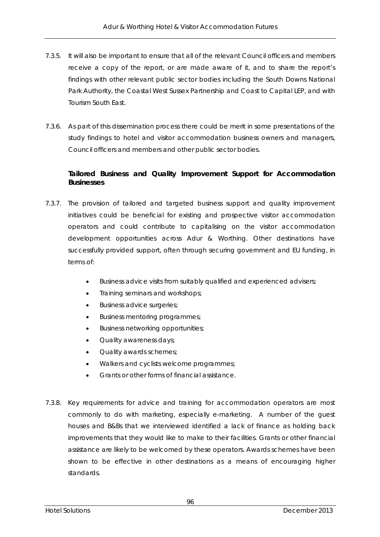- 7.3.5. It will also be important to ensure that all of the relevant Council officers and members receive a copy of the report, or are made aware of it, and to share the report's findings with other relevant public sector bodies including the South Downs National Park Authority, the Coastal West Sussex Partnership and Coast to Capital LEP, and with Tourism South East.
- 7.3.6. As part of this dissemination process there could be merit in some presentations of the study findings to hotel and visitor accommodation business owners and managers, Council officers and members and other public sector bodies.

## **Tailored Business and Quality Improvement Support for Accommodation Businesses**

- 7.3.7. The provision of tailored and targeted business support and quality improvement initiatives could be beneficial for existing and prospective visitor accommodation operators and could contribute to capitalising on the visitor accommodation development opportunities across Adur & Worthing. Other destinations have successfully provided support, often through securing government and EU funding, in terms of:
	- Business advice visits from suitably qualified and experienced advisers;
	- **•** Training seminars and workshops;
	- **Business advice surgeries;**
	- Business mentoring programmes;
	- **•** Business networking opportunities;
	- Quality awareness days;
	- Quality awards schemes;
	- Walkers and cyclists welcome programmes:
	- Grants or other forms of financial assistance.
- 7.3.8. Key requirements for advice and training for accommodation operators are most commonly to do with marketing, especially e-marketing. A number of the guest houses and B&Bs that we interviewed identified a lack of finance as holding back improvements that they would like to make to their facilities. Grants or other financial assistance are likely to be welcomed by these operators. Awards schemes have been shown to be effective in other destinations as a means of encouraging higher standards.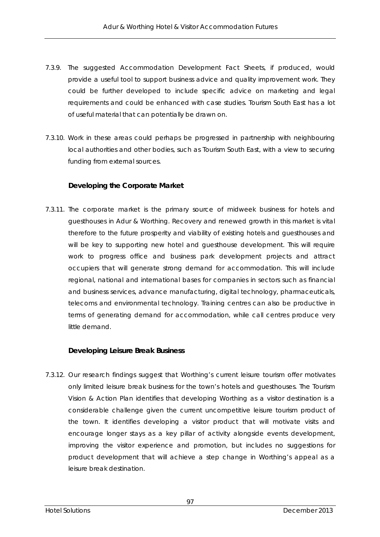- 7.3.9. The suggested Accommodation Development Fact Sheets, if produced, would provide a useful tool to support business advice and quality improvement work. They could be further developed to include specific advice on marketing and legal requirements and could be enhanced with case studies. Tourism South East has a lot of useful material that can potentially be drawn on.
- 7.3.10. Work in these areas could perhaps be progressed in partnership with neighbouring local authorities and other bodies, such as Tourism South East, with a view to securing funding from external sources.

### **Developing the Corporate Market**

7.3.11. The corporate market is the primary source of midweek business for hotels and guesthouses in Adur & Worthing. Recovery and renewed growth in this market is vital therefore to the future prosperity and viability of existing hotels and guesthouses and will be key to supporting new hotel and guesthouse development. This will require work to progress office and business park development projects and attract occupiers that will generate strong demand for accommodation. This will include regional, national and international bases for companies in sectors such as financial and business services, advance manufacturing, digital technology, pharmaceuticals, telecoms and environmental technology. Training centres can also be productive in terms of generating demand for accommodation, while call centres produce very little demand.

#### **Developing Leisure Break Business**

7.3.12. Our research findings suggest that Worthing's current leisure tourism offer motivates only limited leisure break business for the town's hotels and guesthouses. The Tourism Vision & Action Plan identifies that developing Worthing as a visitor destination is a considerable challenge given the current uncompetitive leisure tourism product of the town. It identifies developing a visitor product that will motivate visits and encourage longer stays as a key pillar of activity alongside events development, improving the visitor experience and promotion, but includes no suggestions for product development that will achieve a step change in Worthing's appeal as a leisure break destination.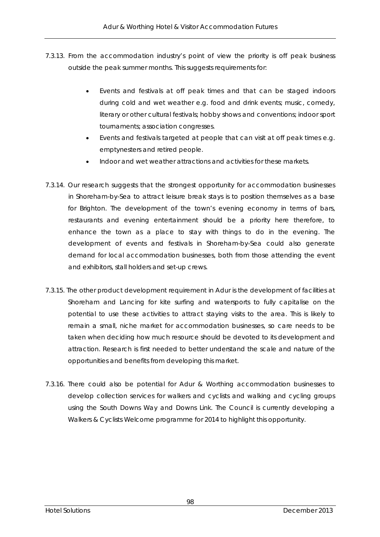- 7.3.13. From the accommodation industry's point of view the priority is off peak business outside the peak summer months. This suggests requirements for:
	- Events and festivals at off peak times and that can be staged indoors during cold and wet weather e.g. food and drink events; music, comedy, literary or other cultural festivals; hobby shows and conventions; indoor sport tournaments; association congresses.
	- Events and festivals targeted at people that can visit at off peak times e.g. emptynesters and retired people.
	- Indoor and wet weather attractions and activities for these markets.
- 7.3.14. Our research suggests that the strongest opportunity for accommodation businesses in Shoreham-by-Sea to attract leisure break stays is to position themselves as a base for Brighton. The development of the town's evening economy in terms of bars, restaurants and evening entertainment should be a priority here therefore, to enhance the town as a place to stay with things to do in the evening. The development of events and festivals in Shoreham-by-Sea could also generate demand for local accommodation businesses, both from those attending the event and exhibitors, stall holders and set-up crews.
- 7.3.15. The other product development requirement in Adur is the development of facilities at Shoreham and Lancing for kite surfing and watersports to fully capitalise on the potential to use these activities to attract staying visits to the area. This is likely to remain a small, niche market for accommodation businesses, so care needs to be taken when deciding how much resource should be devoted to its development and attraction. Research is first needed to better understand the scale and nature of the opportunities and benefits from developing this market.
- 7.3.16. There could also be potential for Adur & Worthing accommodation businesses to develop collection services for walkers and cyclists and walking and cycling groups using the South Downs Way and Downs Link. The Council is currently developing a Walkers & Cyclists Welcome programme for 2014 to highlight this opportunity.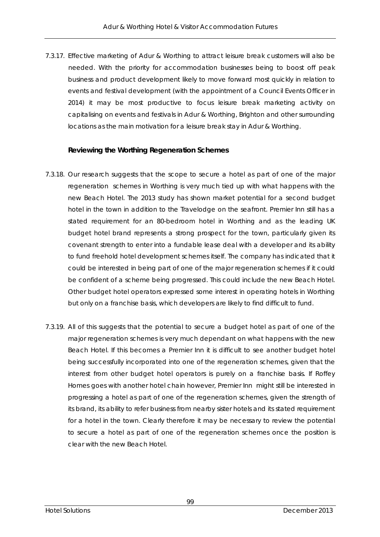7.3.17. Effective marketing of Adur & Worthing to attract leisure break customers will also be needed. With the priority for accommodation businesses being to boost off peak business and product development likely to move forward most quickly in relation to events and festival development (with the appointment of a Council Events Officer in 2014) it may be most productive to focus leisure break marketing activity on capitalising on events and festivals in Adur & Worthing, Brighton and other surrounding locations as the main motivation for a leisure break stay in Adur & Worthing.

#### **Reviewing the Worthing Regeneration Schemes**

- 7.3.18. Our research suggests that the scope to secure a hotel as part of one of the major regeneration schemes in Worthing is very much tied up with what happens with the new Beach Hotel. The 2013 study has shown market potential for a second budget hotel in the town in addition to the Travelodge on the seafront. Premier Inn still has a stated requirement for an 80-bedroom hotel in Worthing and as the leading UK budget hotel brand represents a strong prospect for the town, particularly given its covenant strength to enter into a fundable lease deal with a developer and its ability to fund freehold hotel development schemes itself. The company has indicated that it could be interested in being part of one of the major regeneration schemes if it could be confident of a scheme being progressed. This could include the new Beach Hotel. Other budget hotel operators expressed some interest in operating hotels in Worthing but only on a franchise basis, which developers are likely to find difficult to fund.
- 7.3.19. All of this suggests that the potential to secure a budget hotel as part of one of the major regeneration schemes is very much dependant on what happens with the new Beach Hotel. If this becomes a Premier Inn it is difficult to see another budget hotel being successfully incorporated into one of the regeneration schemes, given that the interest from other budget hotel operators is purely on a franchise basis. If Roffey Homes goes with another hotel chain however, Premier Inn might still be interested in progressing a hotel as part of one of the regeneration schemes, given the strength of its brand, its ability to refer business from nearby sister hotels and its stated requirement for a hotel in the town. Clearly therefore it may be necessary to review the potential to secure a hotel as part of one of the regeneration schemes once the position is clear with the new Beach Hotel.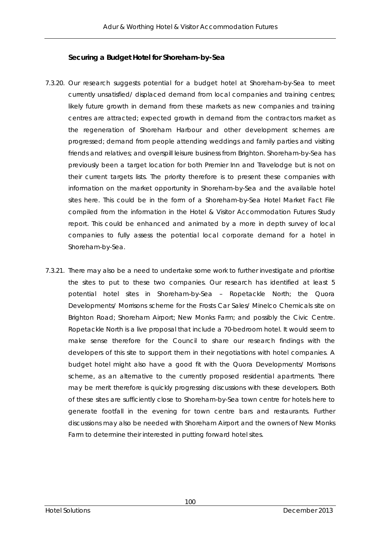#### **Securing a Budget Hotel for Shoreham-by-Sea**

- 7.3.20. Our research suggests potential for a budget hotel at Shoreham-by-Sea to meet currently unsatisfied/ displaced demand from local companies and training centres; likely future growth in demand from these markets as new companies and training centres are attracted; expected growth in demand from the contractors market as the regeneration of Shoreham Harbour and other development schemes are progressed; demand from people attending weddings and family parties and visiting friends and relatives; and overspill leisure business from Brighton. Shoreham-by-Sea has previously been a target location for both Premier Inn and Travelodge but is not on their current targets lists. The priority therefore is to present these companies with information on the market opportunity in Shoreham-by-Sea and the available hotel sites here. This could be in the form of a Shoreham-by-Sea Hotel Market Fact File compiled from the information in the Hotel & Visitor Accommodation Futures Study report. This could be enhanced and animated by a more in depth survey of local companies to fully assess the potential local corporate demand for a hotel in Shoreham-by-Sea.
- 7.3.21. There may also be a need to undertake some work to further investigate and prioritise the sites to put to these two companies. Our research has identified at least 5 potential hotel sites in Shoreham-by-Sea – Ropetackle North; the Quora Developments/ Morrisons scheme for the Frosts Car Sales/ Minelco Chemicals site on Brighton Road; Shoreham Airport; New Monks Farm; and possibly the Civic Centre. Ropetackle North is a live proposal that include a 70-bedroom hotel. It would seem to make sense therefore for the Council to share our research findings with the developers of this site to support them in their negotiations with hotel companies. A budget hotel might also have a good fit with the Quora Developments/ Morrisons scheme, as an alternative to the currently proposed residential apartments. There may be merit therefore is quickly progressing discussions with these developers. Both of these sites are sufficiently close to Shoreham-by-Sea town centre for hotels here to generate footfall in the evening for town centre bars and restaurants. Further discussions may also be needed with Shoreham Airport and the owners of New Monks Farm to determine their interested in putting forward hotel sites.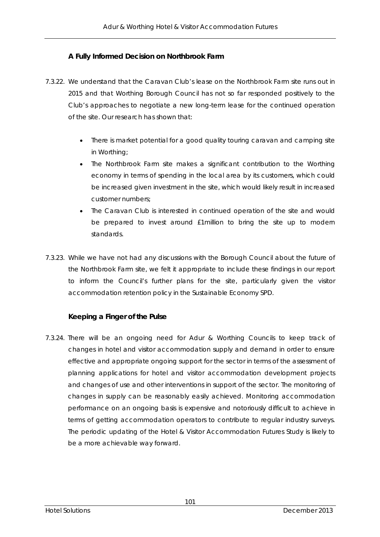## **A Fully Informed Decision on Northbrook Farm**

- 7.3.22. We understand that the Caravan Club's lease on the Northbrook Farm site runs out in 2015 and that Worthing Borough Council has not so far responded positively to the Club's approaches to negotiate a new long-term lease for the continued operation of the site. Our research has shown that:
	- There is market potential for a good quality touring caravan and camping site in Worthing;
	- The Northbrook Farm site makes a significant contribution to the Worthing economy in terms of spending in the local area by its customers, which could be increased given investment in the site, which would likely result in increased customer numbers;
	- The Caravan Club is interested in continued operation of the site and would be prepared to invest around £1million to bring the site up to modern standards.
- 7.3.23. While we have not had any discussions with the Borough Council about the future of the Northbrook Farm site, we felt it appropriate to include these findings in our report to inform the Council's further plans for the site, particularly given the visitor accommodation retention policy in the Sustainable Economy SPD.

### **Keeping a Finger of the Pulse**

7.3.24. There will be an ongoing need for Adur & Worthing Councils to keep track of changes in hotel and visitor accommodation supply and demand in order to ensure effective and appropriate ongoing support for the sector in terms of the assessment of planning applications for hotel and visitor accommodation development projects and changes of use and other interventions in support of the sector. The monitoring of changes in supply can be reasonably easily achieved. Monitoring accommodation performance on an ongoing basis is expensive and notoriously difficult to achieve in terms of getting accommodation operators to contribute to regular industry surveys. The periodic updating of the Hotel & Visitor Accommodation Futures Study is likely to be a more achievable way forward.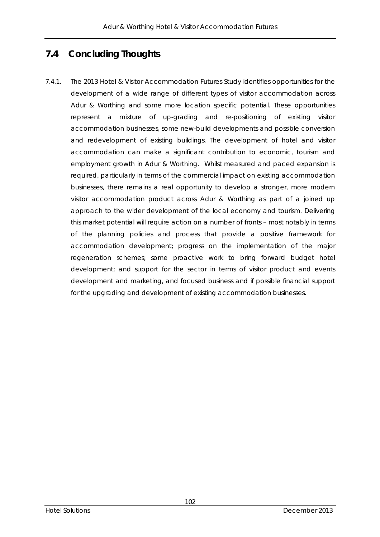## **7.4 Concluding Thoughts**

7.4.1. The 2013 Hotel & Visitor Accommodation Futures Study identifies opportunities for the development of a wide range of different types of visitor accommodation across Adur & Worthing and some more location specific potential. These opportunities represent a mixture of up-grading and re-positioning of existing visitor accommodation businesses, some new-build developments and possible conversion and redevelopment of existing buildings. The development of hotel and visitor accommodation can make a significant contribution to economic, tourism and employment growth in Adur & Worthing. Whilst measured and paced expansion is required, particularly in terms of the commercial impact on existing accommodation businesses, there remains a real opportunity to develop a stronger, more modern visitor accommodation product across Adur & Worthing as part of a joined up approach to the wider development of the local economy and tourism. Delivering this market potential will require action on a number of fronts – most notably in terms of the planning policies and process that provide a positive framework for accommodation development; progress on the implementation of the major regeneration schemes; some proactive work to bring forward budget hotel development; and support for the sector in terms of visitor product and events development and marketing, and focused business and if possible financial support for the upgrading and development of existing accommodation businesses.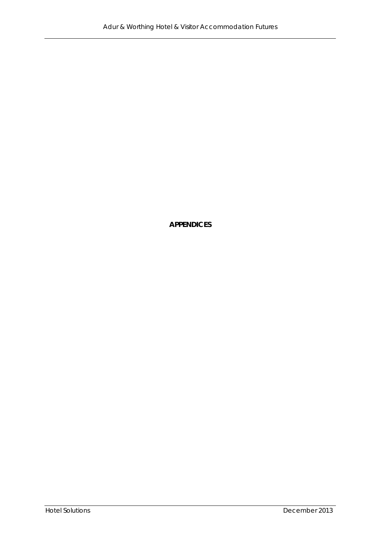**APPENDICES**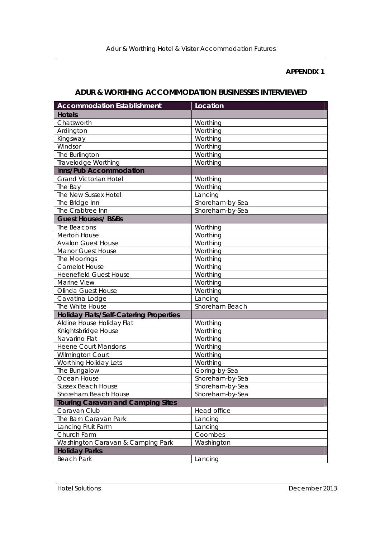#### **APPENDIX 1**

### **ADUR & WORTHING ACCOMMODATION BUSINESSES INTERVIEWED**

| <b>Accommodation Establishment</b>            | Location        |
|-----------------------------------------------|-----------------|
| <b>Hotels</b>                                 |                 |
| Chatsworth                                    | Worthing        |
| Ardington                                     | Worthing        |
| Kingsway                                      | Worthing        |
| Windsor                                       | Worthing        |
| The Burlington                                | Worthing        |
| <b>Travelodge Worthing</b>                    | Worthing        |
| Inns/Pub Accommodation                        |                 |
| <b>Grand Victorian Hotel</b>                  | Worthing        |
| The Bay                                       | Worthing        |
| The New Sussex Hotel                          | Lancing         |
| The Bridge Inn                                | Shoreham-by-Sea |
| The Crabtree Inn                              | Shoreham-by-Sea |
| <b>Guest Houses/ B&amp;Bs</b>                 |                 |
| The Beacons                                   | Worthing        |
| <b>Merton House</b>                           | Worthing        |
| <b>Avalon Guest House</b>                     | Worthing        |
| <b>Manor Guest House</b>                      | Worthing        |
| The Moorings                                  | Worthing        |
| <b>Camelot House</b>                          | Worthing        |
| <b>Heenefield Guest House</b>                 | Worthing        |
| Marine View                                   | Worthing        |
| Olinda Guest House                            | Worthing        |
| Cavatina Lodge                                | Lancing         |
| The White House                               | Shoreham Beach  |
| <b>Holiday Flats/Self-Catering Properties</b> |                 |
| Aldine House Holiday Flat                     | Worthing        |
| Knightsbridge House                           | Worthing        |
| Navarino Flat                                 | Worthing        |
| <b>Heene Court Mansions</b>                   | Worthing        |
| <b>Wilmington Court</b>                       | Worthing        |
| Worthing Holiday Lets                         | Worthing        |
| The Bungalow                                  | Goring-by-Sea   |
| Ocean House                                   | Shoreham-by-Sea |
| <b>Sussex Beach House</b>                     | Shoreham-by-Sea |
| Shoreham Beach House                          | Shoreham-by-Sea |
| <b>Touring Caravan and Camping Sites</b>      |                 |
| Caravan Club                                  | Head office     |
| The Barn Caravan Park                         | Lancing         |
| Lancing Fruit Farm                            | Lancing         |
| Church Farm                                   | Coombes         |
| Washington Caravan & Camping Park             | Washington      |
| <b>Holiday Parks</b>                          |                 |
| <b>Beach Park</b>                             | Lancing         |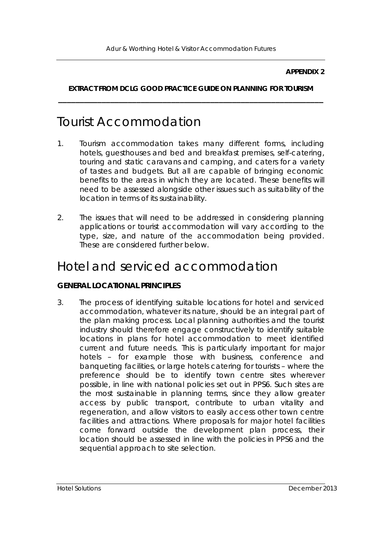#### **APPENDIX 2**

## **EXTRACT FROM DCLG GOOD PRACTICE GUIDE ON PLANNING FOR TOURISM \_\_\_\_\_\_\_\_\_\_\_\_\_\_\_\_\_\_\_\_\_\_\_\_\_\_\_\_\_\_\_\_\_\_\_\_\_\_\_\_\_\_\_\_\_\_\_\_\_\_\_\_\_\_\_\_\_\_\_\_\_**

## Tourist Accommodation

- 1. Tourism accommodation takes many different forms, including hotels, guesthouses and bed and breakfast premises, self-catering, touring and static caravans and camping, and caters for a variety of tastes and budgets. But all are capable of bringing economic benefits to the areas in which they are located. These benefits will need to be assessed alongside other issues such as suitability of the location in terms of its sustainability.
- 2. The issues that will need to be addressed in considering planning applications or tourist accommodation will vary according to the type, size, and nature of the accommodation being provided. These are considered further below.

# Hotel and serviced accommodation

### **GENERAL LOCATIONAL PRINCIPLES**

3. The process of identifying suitable locations for hotel and serviced accommodation, whatever its nature, should be an integral part of the plan making process. Local planning authorities and the tourist industry should therefore engage constructively to identify suitable locations in plans for hotel accommodation to meet identified current and future needs. This is particularly important for major hotels – for example those with business, conference and banqueting facilities, or large hotels catering for tourists – where the preference should be to identify town centre sites wherever possible, in line with national policies set out in PPS6. Such sites are the most sustainable in planning terms, since they allow greater access by public transport, contribute to urban vitality and regeneration, and allow visitors to easily access other town centre facilities and attractions. Where proposals for major hotel facilities come forward outside the development plan process, their location should be assessed in line with the policies in PPS6 and the sequential approach to site selection.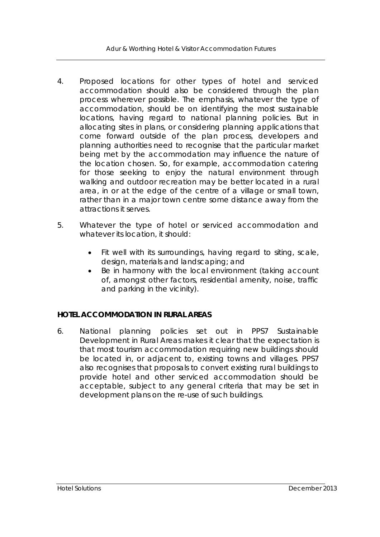- 4. Proposed locations for other types of hotel and serviced accommodation should also be considered through the plan process wherever possible. The emphasis, whatever the type of accommodation, should be on identifying the most sustainable locations, having regard to national planning policies. But in allocating sites in plans, or considering planning applications that come forward outside of the plan process, developers and planning authorities need to recognise that the particular market being met by the accommodation may influence the nature of the location chosen. So, for example, accommodation catering for those seeking to enjoy the natural environment through walking and outdoor recreation may be better located in a rural area, in or at the edge of the centre of a village or small town, rather than in a major town centre some distance away from the attractions it serves.
- 5. Whatever the type of hotel or serviced accommodation and whatever its location, it should:
	- Fit well with its surroundings, having regard to siting, scale, design, materials and landscaping; and
	- Be in harmony with the local environment (taking account of, amongst other factors, residential amenity, noise, traffic and parking in the vicinity).

## **HOTEL ACCOMMODATION IN RURAL AREAS**

6. National planning policies set out in PPS7 *Sustainable Development in Rural Areas* makes it clear that the expectation is that most tourism accommodation requiring new buildings should be located in, or adjacent to, existing towns and villages. PPS7 also recognises that proposals to convert existing rural buildings to provide hotel and other serviced accommodation should be acceptable, subject to any general criteria that may be set in development plans on the re-use of such buildings.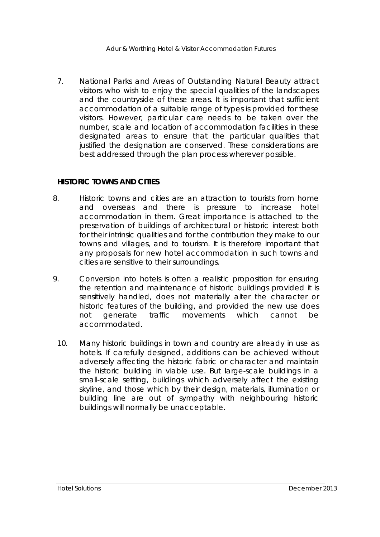7. National Parks and Areas of Outstanding Natural Beauty attract visitors who wish to enjoy the special qualities of the landscapes and the countryside of these areas. It is important that sufficient accommodation of a suitable range of types is provided for these visitors. However, particular care needs to be taken over the number, scale and location of accommodation facilities in these designated areas to ensure that the particular qualities that justified the designation are conserved. These considerations are best addressed through the plan process wherever possible.

### **HISTORIC TOWNS AND CITIES**

- 8. Historic towns and cities are an attraction to tourists from home and overseas and there is pressure to increase hotel accommodation in them. Great importance is attached to the preservation of buildings of architectural or historic interest both for their intrinsic qualities and for the contribution they make to our towns and villages, and to tourism. It is therefore important that any proposals for new hotel accommodation in such towns and cities are sensitive to their surroundings.
- 9. Conversion into hotels is often a realistic proposition for ensuring the retention and maintenance of historic buildings provided it is sensitively handled, does not materially alter the character or historic features of the building, and provided the new use does not generate traffic movements which cannot be accommodated.
	- 10. Many historic buildings in town and country are already in use as hotels. If carefully designed, additions can be achieved without adversely affecting the historic fabric or character and maintain the historic building in viable use. But large-scale buildings in a small-scale setting, buildings which adversely affect the existing skyline, and those which by their design, materials, illumination or building line are out of sympathy with neighbouring historic buildings will normally be unacceptable.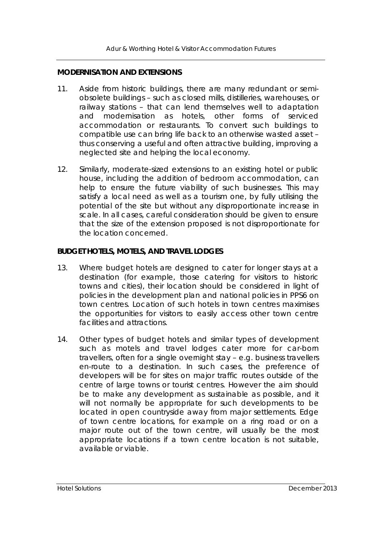#### **MODERNISATION AND EXTENSIONS**

- 11. Aside from historic buildings, there are many redundant or semiobsolete buildings – such as closed mills, distilleries, warehouses, or railway stations – that can lend themselves well to adaptation and modernisation as hotels, other forms of serviced accommodation or restaurants. To convert such buildings to compatible use can bring life back to an otherwise wasted asset – thus conserving a useful and often attractive building, improving a neglected site and helping the local economy.
- 12. Similarly, moderate-sized extensions to an existing hotel or public house, including the addition of bedroom accommodation, can help to ensure the future viability of such businesses. This may satisfy a local need as well as a tourism one, by fully utilising the potential of the site but without any disproportionate increase in scale. In all cases, careful consideration should be given to ensure that the size of the extension proposed is not disproportionate for the location concerned.

#### **BUDGET HOTELS, MOTELS, AND TRAVEL LODGES**

- 13. Where budget hotels are designed to cater for longer stays at a destination (for example, those catering for visitors to historic towns and cities), their location should be considered in light of policies in the development plan and national policies in PPS6 on town centres. Location of such hotels in town centres maximises the opportunities for visitors to easily access other town centre facilities and attractions.
- 14. Other types of budget hotels and similar types of development such as motels and travel lodges cater more for car-born travellers, often for a single overnight stay – e.g. business travellers en-route to a destination. In such cases, the preference of developers will be for sites on major traffic routes outside of the centre of large towns or tourist centres. However the aim should be to make any development as sustainable as possible, and it will not normally be appropriate for such developments to be located in open countryside away from major settlements. Edge of town centre locations, for example on a ring road or on a major route out of the town centre, will usually be the most appropriate locations if a town centre location is not suitable, available or viable.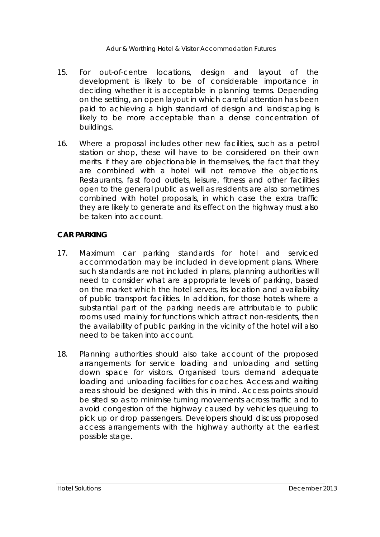- 15. For out-of-centre locations, design and layout of the development is likely to be of considerable importance in deciding whether it is acceptable in planning terms. Depending on the setting, an open layout in which careful attention has been paid to achieving a high standard of design and landscaping is likely to be more acceptable than a dense concentration of buildings.
- 16. Where a proposal includes other new facilities, such as a petrol station or shop, these will have to be considered on their own merits. If they are objectionable in themselves, the fact that they are combined with a hotel will not remove the objections. Restaurants, fast food outlets, leisure, fitness and other facilities open to the general public as well as residents are also sometimes combined with hotel proposals, in which case the extra traffic they are likely to generate and its effect on the highway must also be taken into account.

## **CAR PARKING**

- 17. Maximum car parking standards for hotel and serviced accommodation may be included in development plans. Where such standards are not included in plans, planning authorities will need to consider what are appropriate levels of parking, based on the market which the hotel serves, its location and availability of public transport facilities. In addition, for those hotels where a substantial part of the parking needs are attributable to public rooms used mainly for functions which attract non-residents, then the availability of public parking in the vicinity of the hotel will also need to be taken into account.
- 18. Planning authorities should also take account of the proposed arrangements for service loading and unloading and setting down space for visitors. Organised tours demand adequate loading and unloading facilities for coaches. Access and waiting areas should be designed with this in mind. Access points should be sited so as to minimise turning movements across traffic and to avoid congestion of the highway caused by vehicles queuing to pick up or drop passengers. Developers should discuss proposed access arrangements with the highway authority at the earliest possible stage.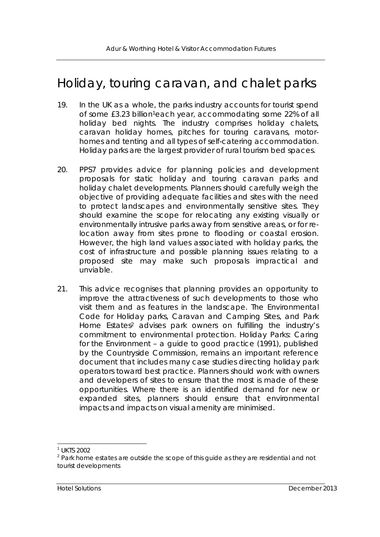# Holiday, touring caravan, and chalet parks

- 19. In the UK as a whole, the parks industry accounts for tourist spend of some £3.23 billion1each year, accommodating some 22% of all holiday bed nights. The industry comprises holiday chalets, caravan holiday homes, pitches for touring caravans, motorhomes and tenting and all types of self-catering accommodation. Holiday parks are the largest provider of rural tourism bed spaces.
- 20. PPS7 provides advice for planning policies and development proposals for static holiday and touring caravan parks and holiday chalet developments. Planners should carefully weigh the objective of providing adequate facilities and sites with the need to protect landscapes and environmentally sensitive sites. They should examine the scope for relocating any existing visually or environmentally intrusive parks away from sensitive areas, or for relocation away from sites prone to flooding or coastal erosion. However, the high land values associated with holiday parks, the cost of infrastructure and possible planning issues relating to a proposed site may make such proposals impractical and unviable.
- 21. This advice recognises that planning provides an opportunity to improve the attractiveness of such developments to those who visit them and as features in the landscape. The *Environmental Code for Holiday parks, Caravan and Camping Sites, and Park Home Estates2* advises park owners on fulfilling the industry's commitment to environmental protection. *Holiday Parks: Caring for the Environment – a guide to good practice* (1991), published by the Countryside Commission, remains an important reference document that includes many case studies directing holiday park operators toward best practice. Planners should work with owners and developers of sites to ensure that the most is made of these opportunities. Where there is an identified demand for new or expanded sites, planners should ensure that environmental impacts and impacts on visual amenity are minimised.

l

<sup>1</sup> UKTS 2002

<sup>&</sup>lt;sup>2</sup> Park home estates are outside the scope of this guide as they are residential and not tourist developments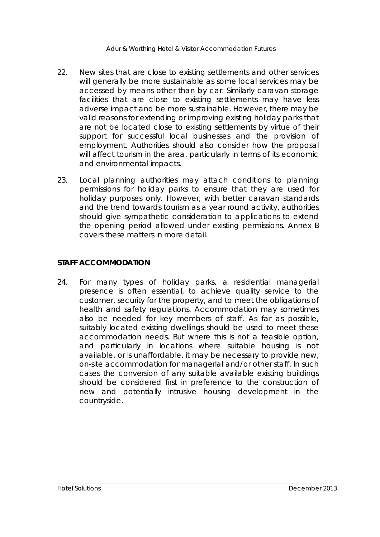Adur & Worthing Hotel & Visitor Accommodation Futures

- 22. New sites that are close to existing settlements and other services will generally be more sustainable as some local services may be accessed by means other than by car. Similarly caravan storage facilities that are close to existing settlements may have less adverse impact and be more sustainable. However, there may be valid reasons for extending or improving existing holiday parks that are not be located close to existing settlements by virtue of their support for successful local businesses and the provision of employment. Authorities should also consider how the proposal will affect tourism in the area, particularly in terms of its economic and environmental impacts.
- 23. Local planning authorities may attach conditions to planning permissions for holiday parks to ensure that they are used for holiday purposes only. However, with better caravan standards and the trend towards tourism as a year round activity, authorities should give sympathetic consideration to applications to extend the opening period allowed under existing permissions. Annex B covers these matters in more detail.

## **STAFF ACCOMMODATION**

24. For many types of holiday parks, a residential managerial presence is often essential, to achieve quality service to the customer, security for the property, and to meet the obligations of health and safety regulations. Accommodation may sometimes also be needed for key members of staff. As far as possible, suitably located existing dwellings should be used to meet these accommodation needs. But where this is not a feasible option, and particularly in locations where suitable housing is not available, or is unaffordable, it may be necessary to provide new, on-site accommodation for managerial and/or other staff. In such cases the conversion of any suitable available existing buildings should be considered first in preference to the construction of new and potentially intrusive housing development in the countryside.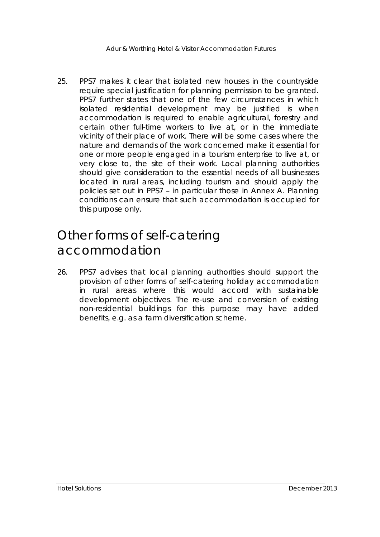25. PPS7 makes it clear that isolated new houses in the countryside require special justification for planning permission to be granted. PPS7 further states that one of the few circumstances in which isolated residential development may be justified is when accommodation is required to enable agricultural, forestry and certain other full-time workers to live at, or in the immediate vicinity of their place of work. There will be some cases where the nature and demands of the work concerned make it essential for one or more people engaged in a tourism enterprise to live at, or very close to, the site of their work. Local planning authorities should give consideration to the essential needs of all businesses located in rural areas, including tourism and should apply the policies set out in PPS7 – in particular those in Annex A. Planning conditions can ensure that such accommodation is occupied for this purpose only.

# Other forms of self-catering accommodation

26. PPS7 advises that local planning authorities should support the provision of other forms of self-catering holiday accommodation in rural areas where this would accord with sustainable development objectives. The re-use and conversion of existing non-residential buildings for this purpose may have added benefits, e.g. as a farm diversification scheme.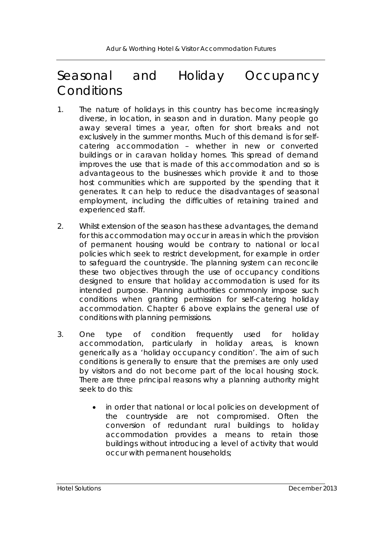# Seasonal and Holiday Occupancy **Conditions**

- 1. The nature of holidays in this country has become increasingly diverse, in location, in season and in duration. Many people go away several times a year, often for short breaks and not exclusively in the summer months. Much of this demand is for selfcatering accommodation – whether in new or converted buildings or in caravan holiday homes. This spread of demand improves the use that is made of this accommodation and so is advantageous to the businesses which provide it and to those host communities which are supported by the spending that it generates. It can help to reduce the disadvantages of seasonal employment, including the difficulties of retaining trained and experienced staff.
- 2. Whilst extension of the season has these advantages, the demand for this accommodation may occur in areas in which the provision of permanent housing would be contrary to national or local policies which seek to restrict development, for example in order to safeguard the countryside. The planning system can reconcile these two objectives through the use of occupancy conditions designed to ensure that holiday accommodation is used for its intended purpose. Planning authorities commonly impose such conditions when granting permission for self-catering holiday accommodation. Chapter 6 above explains the general use of conditions with planning permissions.
- 3. One type of condition frequently used for holiday accommodation, particularly in holiday areas, is known generically as a 'holiday occupancy condition'. The aim of such conditions is generally to ensure that the premises are only used by visitors and do not become part of the local housing stock. There are three principal reasons why a planning authority might seek to do this:
	- in order that national or local policies on development of the countryside are not compromised. Often the conversion of redundant rural buildings to holiday accommodation provides a means to retain those buildings without introducing a level of activity that would occur with permanent households;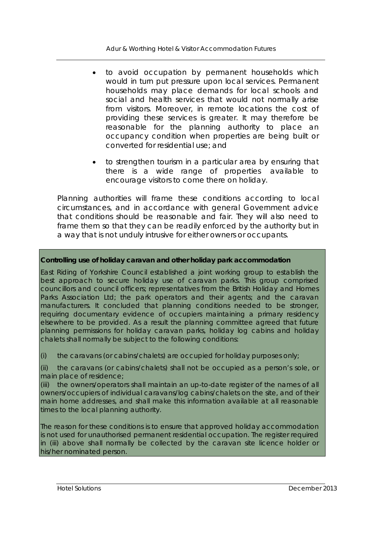- to avoid occupation by permanent households which would in turn put pressure upon local services. Permanent households may place demands for local schools and social and health services that would not normally arise from visitors. Moreover, in remote locations the cost of providing these services is greater. It may therefore be reasonable for the planning authority to place an occupancy condition when properties are being built or converted for residential use; and
- to strengthen tourism in a particular area by ensuring that there is a wide range of properties available to encourage visitors to come there on holiday.

Planning authorities will frame these conditions according to local circumstances, and in accordance with general Government advice that conditions should be reasonable and fair. They will also need to frame them so that they can be readily enforced by the authority but in a way that is not unduly intrusive for either owners or occupants.

## **Controlling use of holiday caravan and other holiday park accommodation**

East Riding of Yorkshire Council established a joint working group to establish the best approach to secure holiday use of caravan parks. This group comprised councillors and council officers; representatives from the British Holiday and Homes Parks Association Ltd; the park operators and their agents; and the caravan manufacturers. It concluded that planning conditions needed to be stronger, requiring documentary evidence of occupiers maintaining a primary residency elsewhere to be provided. As a result the planning committee agreed that future planning permissions for holiday caravan parks, holiday log cabins and holiday chalets shall normally be subject to the following conditions:

(i) the caravans (or cabins/chalets) are occupied for holiday purposes only;

(ii) the caravans (or cabins/chalets) shall not be occupied as a person's sole, or main place of residence;

(iii) the owners/operators shall maintain an up-to-date register of the names of all owners/occupiers of individual caravans/log cabins/chalets on the site, and of their main home addresses, and shall make this information available at all reasonable times to the local planning authority.

The reason for these conditions is to ensure that approved holiday accommodation is not used for unauthorised permanent residential occupation. The register required in (iii) above shall normally be collected by the caravan site licence holder or his/her nominated person.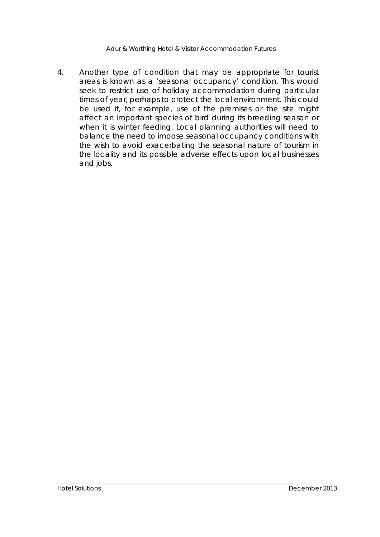Adur & Worthing Hotel & Visitor Accommodation Futures

4. Another type of condition that may be appropriate for tourist areas is known as a 'seasonal occupancy' condition. This would seek to restrict use of holiday accommodation during particular times of year, perhaps to protect the local environment. This could be used if, for example, use of the premises or the site might affect an important species of bird during its breeding season or when it is winter feeding. Local planning authorities will need to balance the need to impose seasonal occupancy conditions with the wish to avoid exacerbating the seasonal nature of tourism in the locality and its possible adverse effects upon local businesses and jobs.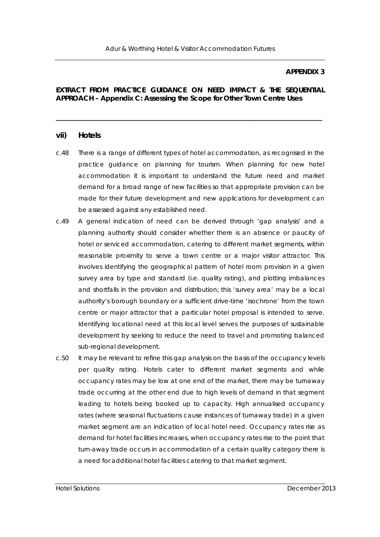#### **APPENDIX 3**

#### **EXTRACT FROM PRACTICE GUIDANCE ON NEED IMPACT & THE SEQUENTIAL APPROACH – Appendix C: Assessing the Scope for Other Town Centre Uses**

**\_\_\_\_\_\_\_\_\_\_\_\_\_\_\_\_\_\_\_\_\_\_\_\_\_\_\_\_\_\_\_\_\_\_\_\_\_\_\_\_\_\_\_\_\_\_\_\_\_\_\_\_\_\_\_\_\_\_\_\_\_\_\_\_\_\_\_\_\_\_\_\_\_\_\_\_\_\_** 

#### **vii) Hotels**

- c.48 There is a range of different types of hotel accommodation, as recognised in the practice guidance on planning for tourism. When planning for new hotel accommodation it is important to understand the future need and market demand for a broad range of new facilities so that appropriate provision can be made for their future development and new applications for development can be assessed against any established need.
- c.49 A general indication of need can be derived through 'gap analysis' and a planning authority should consider whether there is an absence or paucity of hotel or serviced accommodation, catering to different market segments, within reasonable proximity to serve a town centre or a major visitor attractor. This involves identifying the geographical pattern of hotel room provision in a given survey area by type and standard (i.e. quality rating), and plotting imbalances and shortfalls in the provision and distribution; this 'survey area' may be a local authority's borough boundary or a sufficient drive-time 'isochrone' from the town centre or major attractor that a particular hotel proposal is intended to serve. Identifying locational need at this local level serves the purposes of sustainable development by seeking to reduce the need to travel and promoting balanced sub-regional development.
- c.50 It may be relevant to refine this gap analysis on the basis of the occupancy levels per quality rating. Hotels cater to different market segments and while occupancy rates may be low at one end of the market, there may be turnaway trade occurring at the other end due to high levels of demand in that segment leading to hotels being booked up to capacity. High annualised occupancy rates (where seasonal fluctuations cause instances of turnaway trade) in a given market segment are an indication of local hotel need. Occupancy rates rise as demand for hotel facilities increases, when occupancy rates rise to the point that turn-away trade occurs in accommodation of a certain quality category there is a need for additional hotel facilities catering to that market segment.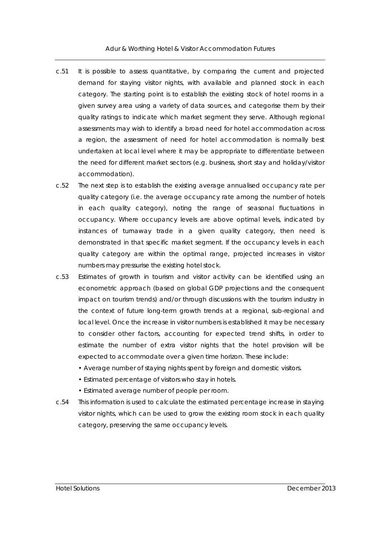Adur & Worthing Hotel & Visitor Accommodation Futures

- c.51 It is possible to assess quantitative, by comparing the current and projected demand for staying visitor nights, with available and planned stock in each category. The starting point is to establish the existing stock of hotel rooms in a given survey area using a variety of data sources, and categorise them by their quality ratings to indicate which market segment they serve. Although regional assessments may wish to identify a broad need for hotel accommodation across a region, the assessment of need for hotel accommodation is normally best undertaken at local level where it may be appropriate to differentiate between the need for different market sectors (e.g. business, short stay and holiday/visitor accommodation).
- c.52 The next step is to establish the existing average annualised occupancy rate per quality category (i.e. the average occupancy rate among the number of hotels in each quality category), noting the range of seasonal fluctuations in occupancy. Where occupancy levels are above optimal levels, indicated by instances of turnaway trade in a given quality category, then need is demonstrated in that specific market segment. If the occupancy levels in each quality category are within the optimal range, projected increases in visitor numbers may pressurise the existing hotel stock.
- c.53 Estimates of growth in tourism and visitor activity can be identified using an econometric approach (based on global GDP projections and the consequent impact on tourism trends) and/or through discussions with the tourism industry in the context of future long-term growth trends at a regional, sub-regional and local level. Once the increase in visitor numbers is established it may be necessary to consider other factors, accounting for expected trend shifts, in order to estimate the number of extra visitor nights that the hotel provision will be expected to accommodate over a given time horizon. These include:
	- Average number of staying nights spent by foreign and domestic visitors.
	- Estimated percentage of visitors who stay in hotels.
	- Estimated average number of people per room.
- c.54 This information is used to calculate the estimated percentage increase in staying visitor nights, which can be used to grow the existing room stock in each quality category, preserving the same occupancy levels.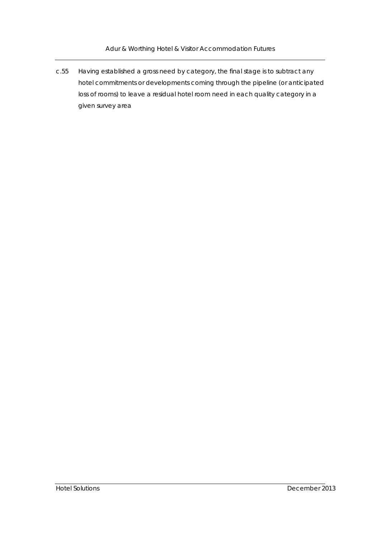Adur & Worthing Hotel & Visitor Accommodation Futures

c.55 Having established a gross need by category, the final stage is to subtract any hotel commitments or developments coming through the pipeline (or anticipated loss of rooms) to leave a residual hotel room need in each quality category in a given survey area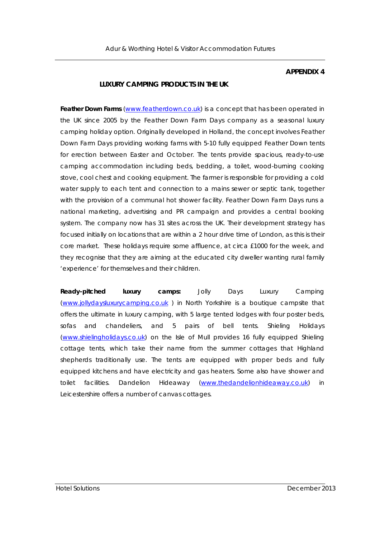#### **APPENDIX 4**

#### **LUXURY CAMPING PRODUCTS IN THE UK**

**Feather Down Farms** (www.featherdown.co.uk) is a concept that has been operated in the UK since 2005 by the Feather Down Farm Days company as a seasonal luxury camping holiday option. Originally developed in Holland, the concept involves Feather Down Farm Days providing working farms with 5-10 fully equipped Feather Down tents for erection between Easter and October. The tents provide spacious, ready-to-use camping accommodation including beds, bedding, a toilet, wood-burning cooking stove, cool chest and cooking equipment. The farmer is responsible for providing a cold water supply to each tent and connection to a mains sewer or septic tank, together with the provision of a communal hot shower facility. Feather Down Farm Days runs a national marketing, advertising and PR campaign and provides a central booking system. The company now has 31 sites across the UK. Their development strategy has focused initially on locations that are within a 2 hour drive time of London, as this is their core market. These holidays require some affluence, at circa £1000 for the week, and they recognise that they are aiming at the educated city dweller wanting rural family 'experience' for themselves and their children.

**Ready-pitched luxury camps:** Jolly Days Luxury Camping (www.jollydaysluxurycamping.co.uk ) in North Yorkshire is a boutique campsite that offers the ultimate in luxury camping, with 5 large tented lodges with four poster beds, sofas and chandeliers, and 5 pairs of bell tents. Shieling Holidays (www.shielingholidays.co.uk) on the Isle of Mull provides 16 fully equipped Shieling cottage tents, which take their name from the summer cottages that Highland shepherds traditionally use. The tents are equipped with proper beds and fully equipped kitchens and have electricity and gas heaters. Some also have shower and toilet facilities. Dandelion Hideaway (www.thedandelionhideaway.co.uk) in Leicestershire offers a number of canvas cottages.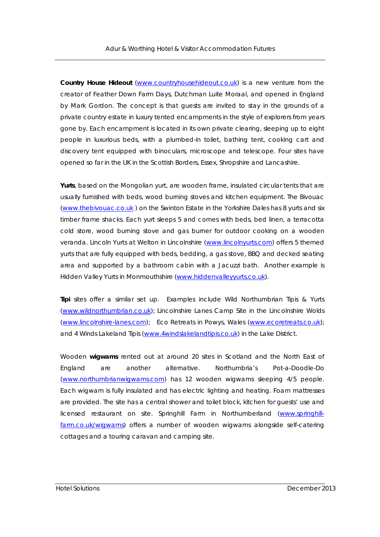**Country House Hideout** (www.countryhousehideout.co.uk) is a new venture from the creator of Feather Down Farm Days, Dutchman Luite Moraal, and opened in England by Mark Gordon. The concept is that guests are invited to stay in the grounds of a private country estate in luxury tented encampments in the style of explorers from years gone by. Each encampment is located in its own private clearing, sleeping up to eight people in luxurious beds, with a plumbed-in toilet, bathing tent, cooking cart and discovery tent equipped with binoculars, microscope and telescope. Four sites have opened so far in the UK in the Scottish Borders, Essex, Shropshire and Lancashire.

**Yurts**, based on the Mongolian yurt, are wooden frame, insulated circular tents that are usually furnished with beds, wood burning stoves and kitchen equipment. The Bivouac (www.thebivouac.co.uk ) on the Swinton Estate in the Yorkshire Dales has 8 yurts and six timber frame shacks. Each yurt sleeps 5 and comes with beds, bed linen, a terracotta cold store, wood burning stove and gas burner for outdoor cooking on a wooden veranda. Lincoln Yurts at Welton in Lincolnshire (www.lincolnyurts.com) offers 5 themed yurts that are fully equipped with beds, bedding, a gas stove, BBQ and decked seating area and supported by a bathroom cabin with a Jacuzzi bath. Another example is Hidden Valley Yurts in Monmouthshire (www.hiddenvalleyyurts.co.uk).

**Tipi** sites offer a similar set up. Examples include Wild Northumbrian Tipis & Yurts (www.wildnorthumbrian.co.uk); Lincolnshire Lanes Camp Site in the Lincolnshire Wolds (www.lincolnshire-lanes.com); Eco Retreats in Powys, Wales (www.ecoretreats.co.uk); and 4 Winds Lakeland Tipis (www.4windslakelandtipis.co.uk) in the Lake District.

Wooden **wigwams** rented out at around 20 sites in Scotland and the North East of England are another alternative. Northumbria's Pot-a-Doodle-Do (www.northumbrianwigwams.com) has 12 wooden wigwams sleeping 4/5 people. Each wigwam is fully insulated and has electric lighting and heating. Foam mattresses are provided. The site has a central shower and toilet block, kitchen for guests' use and licensed restaurant on site. Springhill Farm in Northumberland (www.springhillfarm.co.uk/wigwams) offers a number of wooden wigwams alongside self-catering cottages and a touring caravan and camping site.